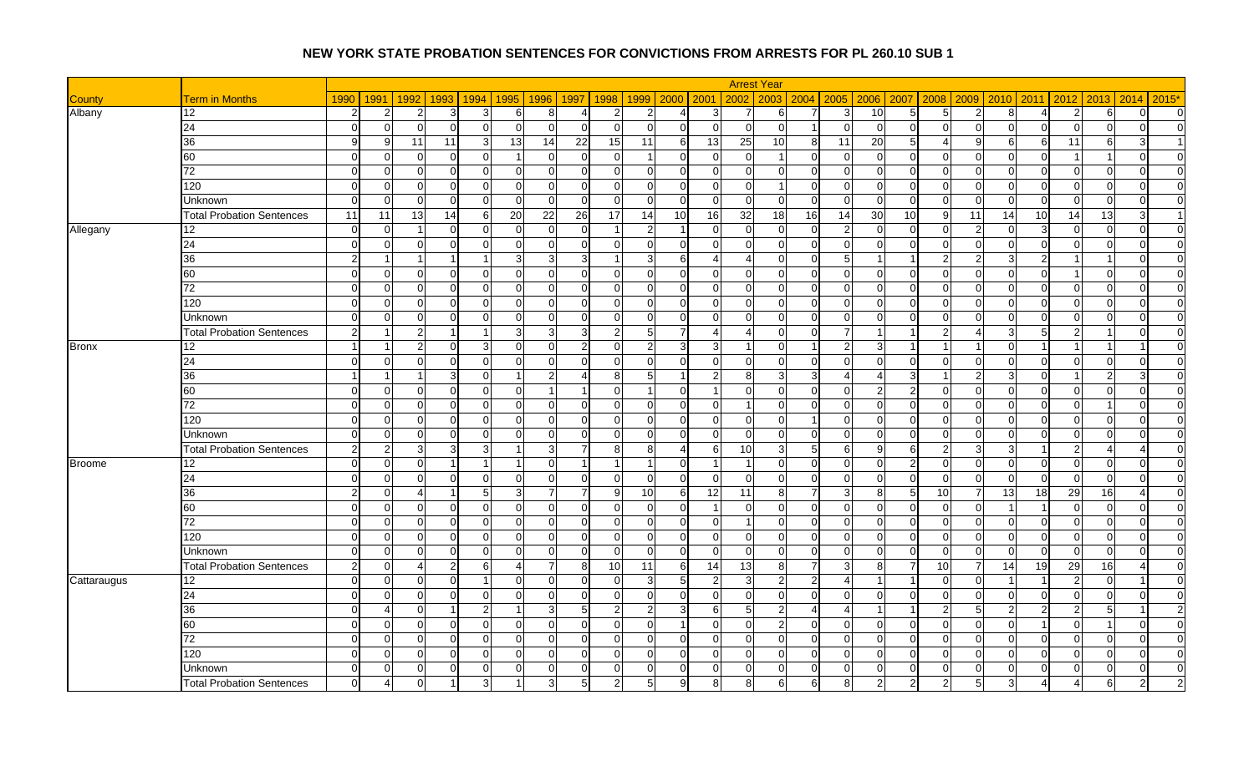|               |                                  |                |                        |                               |                      |                |                |                        |                       |                 |                | <b>Arrest Year</b>      |                      |                       |                |                                 |          |                |                         |                            |                |                |
|---------------|----------------------------------|----------------|------------------------|-------------------------------|----------------------|----------------|----------------|------------------------|-----------------------|-----------------|----------------|-------------------------|----------------------|-----------------------|----------------|---------------------------------|----------|----------------|-------------------------|----------------------------|----------------|----------------|
| <b>County</b> | <b>Term in Months</b>            | 1990           | 1991                   | 1992<br>1993                  | 1994                 | 1995           | 1996           | 1997<br>1998           | 1999                  | 2000            | 2001           | 2002<br>2003            |                      | $2004$ 2005           | 2006 2007      | 2008                            | 2009     | 2010           | 2011                    | 2012<br>2013               | 2014           | $2015*$        |
| Albany        | 12                               | 2              | $\overline{2}$         | 3                             | 3                    | 6              | 8              | Δ                      | 2<br>2                | 4               | 3              |                         | 6                    | 3                     | 10             | 5<br>5                          |          | 8              | $\overline{4}$          | 2<br>6                     | $\Omega$       | $\overline{0}$ |
|               | $\overline{24}$                  | $\Omega$       | $\overline{0}$         | $\sqrt{ }$                    | $\Omega$             | $\Omega$       | $\overline{0}$ | $\Omega$               | $\Omega$<br>$\Omega$  | $\Omega$        | $\overline{0}$ | $\Omega$<br>$\Omega$    |                      | $\Omega$              | $\overline{0}$ | $\overline{0}$<br>$\Omega$      | $\Omega$ | $\Omega$       | $\mathbf 0$             | $\Omega$<br>$\Omega$       | $\Omega$       | $\Omega$       |
|               | 36                               | 9              | 9                      | 11<br>11                      | 3                    | 13             | 14             | $\overline{22}$        | 15<br>11              | 6               | 13             | 25<br>10                | 8                    | 11                    | 20             | 5<br>Δ                          |          | 6              | 6                       | 11<br>6                    | 3              |                |
|               | 60                               | $\Omega$       | $\overline{0}$         | $\Omega$<br>∩                 | $\Omega$             |                | 0              | $\Omega$               | ∩                     | $\Omega$        | $\overline{0}$ | $\mathbf 0$             | 0                    | $\mathbf 0$           | $\overline{0}$ | $\overline{0}$<br>$\mathcal{C}$ |          | $\Omega$       | $\mathbf 0$             | $\overline{1}$             | $\Omega$       | $\overline{0}$ |
|               | 72                               | $\Omega$       | $\overline{0}$         | $\Omega$<br>$\Omega$          | $\overline{0}$       | $\Omega$       | $\Omega$       | $\Omega$               | $\Omega$<br>$\Omega$  | $\Omega$        | $\Omega$       | $\Omega$                | $\Omega$<br>$\Omega$ | $\Omega$              | $\Omega$       | $\Omega$<br>$\Omega$            | $\Omega$ | $\Omega$       | $\Omega$                | $\Omega$<br>$\Omega$       | $\Omega$       | $\Omega$       |
|               | 120                              | $\Omega$       | $\overline{0}$         | $\Omega$                      | 0                    | $\Omega$       | $\overline{0}$ | $\Omega$               | U<br>$\Omega$         | $\Omega$        | $\Omega$       | $\Omega$                | $\Omega$             | $\overline{0}$        | $\Omega$       | $\Omega$<br>$\Omega$            | ∩        | $\Omega$       | $\Omega$                | $\Omega$<br>$\Omega$       | $\Omega$       | $\Omega$       |
|               | Unknown                          | $\Omega$       | $\overline{0}$         | $\Omega$<br>∩                 | $\Omega$             | $\Omega$       | $\Omega$       | $\Omega$               | $\Omega$<br>$\Omega$  | $\Omega$        | $\Omega$       | $\Omega$                | $\Omega$<br>$\Omega$ | $\Omega$              | $\Omega$       | $\Omega$<br>$\Omega$            | $\Omega$ | $\Omega$       | $\overline{0}$          | $\Omega$<br>$\Omega$       | $\Omega$       | $\Omega$       |
|               | <b>Total Probation Sentences</b> | 11             | 11                     | $\overline{13}$<br>14         | 6                    | 20             | 22             | $\overline{26}$        | 17<br>14              | $\overline{10}$ | 16             | 32<br>18                | 16                   | $\overline{14}$       | 30             | 10<br>-9                        | 11       | 14             | 10                      | $\overline{13}$<br>14      | 3              | $\overline{1}$ |
| Allegany      | 12                               | $\Omega$       | $\overline{0}$         |                               | $\Omega$             | $\Omega$       | $\Omega$       | -C                     | 2                     | $\mathbf 1$     | $\Omega$       | $\Omega$<br>$\Omega$    | <sup>n</sup>         | 2                     | $\Omega$       | $\Omega$<br>C                   |          | $\Omega$       | 3                       | $\Omega$<br>$\Omega$       | $\Omega$       | $\overline{0}$ |
|               | 24                               | $\Omega$       | $\overline{0}$         | $\Omega$<br>∩                 | 0                    | $\Omega$       | 0              | $\Omega$               | $\Omega$<br>n         | $\Omega$        | $\Omega$       | $\Omega$                | $\Omega$<br>0        | $\Omega$              | $\overline{0}$ | $\mathbf{0}$<br>∩               | ∩        | 0              | $\mathbf 0$             | $\Omega$<br>$\Omega$       | <sup>O</sup>   | $\overline{0}$ |
|               | 36                               | $\mathcal{P}$  |                        |                               |                      | 3              | 3 <sup>1</sup> | 3                      | 3                     | 6               | Δ              | $\overline{4}$          | $\Omega$<br>U        | 5                     |                | 2                               |          | 3              | $\overline{2}$          |                            | $\Omega$       | $\overline{0}$ |
|               | 60                               | $\Omega$       | $\overline{0}$         | $\Omega$                      | $\mathbf 0$          | $\overline{0}$ | $\overline{0}$ | $\Omega$               | $\Omega$<br>$\Omega$  | $\Omega$        | $\Omega$       | $\mathbf 0$             | $\Omega$<br>$\Omega$ | $\overline{0}$        | $\overline{0}$ | $\overline{0}$<br>$\Omega$      | $\Omega$ | $\Omega$       | $\mathbf 0$             | $\mathbf 0$                | $\Omega$       | $\overline{0}$ |
|               | 72                               | $\Omega$       | $\overline{0}$         | $\mathcal{C}$                 | $\mathbf 0$          | $\Omega$       | $\Omega$       | $\Omega$               | U<br>$\Omega$         | $\Omega$        | $\Omega$       | $\Omega$<br>$\Omega$    | $\Omega$             | $\overline{0}$        | $\Omega$       | $\mathbf{0}$<br>$\mathcal{C}$   | $\Omega$ | $\Omega$       | $\Omega$                | $\Omega$<br>$\Omega$       | $\Omega$       | $\overline{0}$ |
|               | 120                              | $\Omega$       | $\overline{0}$         | $\Omega$<br>$\Omega$          | $\Omega$             | $\Omega$       | $\overline{0}$ | $\Omega$               | $\Omega$<br>$\Omega$  | $\Omega$        | $\Omega$       | $\Omega$                | $\Omega$<br>$\Omega$ | $\overline{0}$        | $\Omega$       | $\Omega$<br>$\Omega$            | $\Omega$ | $\Omega$       | $\Omega$                | $\Omega$<br>$\Omega$       | $\Omega$       | $\overline{0}$ |
|               | <b>Unknown</b>                   | $\Omega$       | $\overline{0}$         | $\sqrt{ }$                    | $\Omega$             | $\Omega$       | $\Omega$       | $\Omega$               | n                     | $\Omega$        | $\Omega$       | $\Omega$                | $\Omega$<br>$\Omega$ | $\overline{0}$        | $\Omega$       | $\Omega$<br>$\sqrt{ }$          |          | $\Omega$       | $\Omega$                | $\Omega$                   | $\Omega$       | $\overline{0}$ |
|               | <b>Total Probation Sentences</b> | $\mathcal{P}$  | -1                     | 2                             | $\mathbf 1$          | 3              | 3 <sup>1</sup> | 3                      | 5<br>$\mathcal{P}$    | $\overline{7}$  | Δ              | $\overline{4}$          | $\Omega$<br>$\Omega$ | 7                     | $\overline{1}$ | 2<br>-1                         |          | 3              | 5                       | $\overline{2}$<br>-1       | $\Omega$       | $\overline{0}$ |
| <b>Bronx</b>  | 12                               |                |                        | 2                             | 3                    | $\Omega$       | $\overline{0}$ | 2                      |                       | 3               | 3              | $\Omega$<br>$\mathbf 1$ |                      | $\mathfrak{p}$        | $\mathbf{3}$   |                                 |          | $\Omega$       |                         |                            |                | $\overline{0}$ |
|               | $\overline{24}$                  | $\Omega$       | $\overline{0}$         | $\Omega$<br>∩                 | $\Omega$             | $\Omega$       | $\Omega$       | $\Omega$               | $\Omega$<br>$\Omega$  | ∩               | $\Omega$       | $\Omega$                | $\Omega$<br>$\Omega$ | $\Omega$              | $\Omega$       | $\Omega$<br>$\Omega$            | $\Omega$ | $\Omega$       | $\Omega$                | $\Omega$<br>$\cap$         | $\Omega$       | $\Omega$       |
|               | 36                               |                | -1                     |                               | 3<br>$\mathbf 0$     |                | $\overline{2}$ | $\boldsymbol{\Lambda}$ | 5<br>81               | $\mathbf 1$     | $\mathfrak{p}$ | 8                       | $\overline{3}$<br>З  |                       | $\overline{4}$ | 3                               |          | 3              | $\Omega$                | $\overline{2}$             | 3              | $\overline{0}$ |
|               | 60                               | $\Omega$       | $\overline{0}$         | $\Omega$                      | $\Omega$             | $\Omega$       | $\overline{1}$ |                        | U                     | ∩               |                | $\Omega$                | $\Omega$<br>$\Omega$ | $\mathbf 0$           | $\overline{2}$ | $\overline{2}$<br>∩             | ∩        | 0              | $\Omega$                | $\Omega$<br>$\Omega$       | $\Omega$       | $\Omega$       |
|               | 72                               | $\Omega$       | $\overline{0}$         | $\Omega$<br>∩                 | $\overline{0}$       | $\Omega$       | 0              | $\Omega$               | $\Omega$<br>$\Omega$  | $\Omega$        | $\overline{0}$ | $\overline{1}$          | $\Omega$<br>$\Omega$ | $\overline{0}$        | $\overline{0}$ | $\overline{0}$<br>$\Omega$      | $\Omega$ | $\Omega$       | $\overline{0}$          | $\Omega$<br>$\mathbf 1$    | $\Omega$       | $\overline{0}$ |
|               | 120                              | $\Omega$       | $\overline{0}$         | $\Omega$                      | $\Omega$             | $\Omega$       | $\mathbf 0$    | $\Omega$               | $\Omega$<br>$\Omega$  | $\Omega$        | $\Omega$       | $\Omega$<br>$\Omega$    | 1                    | $\overline{0}$        | $\Omega$       | $\Omega$<br>$\Omega$            |          | $\Omega$       | $\Omega$                | $\Omega$<br>$\Omega$       | $\Omega$       | $\Omega$       |
|               | Unknown                          | $\Omega$       | $\overline{0}$         | $\Omega$<br>$\Omega$          | $\Omega$             | $\Omega$       | $\overline{0}$ | $\Omega$               | $\Omega$<br>$\Omega$  | $\Omega$        | $\Omega$       | $\Omega$                | $\Omega$<br>$\Omega$ | $\Omega$              | $\Omega$       | $\Omega$<br>$\Omega$            | $\Omega$ | $\Omega$       | $\Omega$                | $\Omega$<br>$\Omega$       | $\Omega$       | $\overline{0}$ |
|               | <b>Total Probation Sentences</b> | $\overline{2}$ | $\overline{2}$         | 3                             | 3                    |                | 3 <sup>1</sup> |                        | 8<br>8                | 4               | $6 \mid$       | 10                      | 5 <sub>l</sub>       | 6                     | 9              | 6<br>$\overline{2}$             |          | 3              | $\overline{\mathbf{1}}$ | $\overline{2}$             |                | $\Omega$       |
| <b>Broome</b> | 12                               | $\Omega$       | $\overline{0}$         | $\Omega$                      | -1                   |                | $\overline{0}$ |                        |                       | $\Omega$        |                | $\overline{1}$          | $\Omega$<br>$\Omega$ | $\Omega$              | $\overline{0}$ | $\overline{c}$<br>$\Omega$      | $\Omega$ | $\Omega$       | $\mathbf 0$             | $\Omega$<br>$\Omega$       | $\Omega$       | $\overline{0}$ |
|               | 24                               | $\Omega$       | $\overline{0}$         | $\Omega$                      | 0                    | 0              | $\overline{0}$ | $\Omega$               | U<br>0                | 0               | $\overline{0}$ | $\mathbf 0$<br>$\Omega$ | $\Omega$             | $\overline{0}$        | $\overline{0}$ | $\mathbf 0$<br>- 0              |          | 0              | $\mathbf 0$             | $\Omega$<br>0              | 0              | $\overline{0}$ |
|               | 36                               | っ              | $\overline{0}$         | ∠                             | 5                    | 3              | $\overline{7}$ | 7                      | 10 <sup>1</sup><br>a  | 6               | 12             | 11                      | $\overline{7}$<br>8  | 3                     | 8 <sup>1</sup> | 5<br>10                         |          | 13             | 18                      | 29<br>16                   |                | $\overline{0}$ |
|               | 60                               | $\Omega$       | $\overline{0}$         | $\Omega$<br>∩                 | $\mathbf 0$          | $\overline{0}$ | $\overline{0}$ | $\Omega$               | $\overline{0}$<br>O   | $\Omega$        |                | $\mathbf{0}$            | $\Omega$<br>$\Omega$ | $\mathbf 0$           | $\overline{0}$ | $\overline{0}$<br>$\Omega$      | $\Omega$ |                | -1                      | $\Omega$<br>$\mathbf 0$    | $\Omega$       | $\overline{0}$ |
|               | 72                               | $\Omega$       | $\overline{0}$         | $\Omega$                      | $\Omega$             | $\Omega$       | $\Omega$       | $\Omega$               | n                     | ∩               | $\Omega$       |                         | $\Omega$<br>U        | $\Omega$              | $\Omega$       | $\Omega$<br>C                   | ∩        | $\Omega$       | $\Omega$                | $\Omega$<br>$\Omega$       | $\Omega$       | $\Omega$       |
|               | 120                              | $\Omega$       | $\overline{0}$         | $\Omega$<br>∩                 | $\mathbf 0$          | $\Omega$       | $\Omega$       | $\Omega$               | $\Omega$<br>$\Omega$  | $\Omega$        | $\Omega$       | $\Omega$                | $\Omega$<br>$\Omega$ | $\overline{0}$        | $\Omega$       | $\Omega$<br>$\Omega$            | $\Omega$ | $\Omega$       | $\Omega$                | $\Omega$<br>$\Omega$       | $\Omega$       | $\Omega$       |
|               | <b>Unknown</b>                   | $\Omega$       | $\Omega$               | $\sqrt{ }$                    | $\Omega$             | $\Omega$       | $\Omega$       | $\Omega$               | $\cap$<br>$\Omega$    | $\Omega$        | $\Omega$       | $\Omega$<br>$\Omega$    | $\Omega$             | $\Omega$              | $\Omega$       | $\Omega$<br>$\sqrt{ }$          |          | $\Omega$       | $\Omega$                | $\Omega$<br>$\Omega$       | $\Omega$       | $\overline{0}$ |
|               | <b>Total Probation Sentences</b> | $\mathcal{P}$  | $\overline{0}$         | 2<br>$\overline{\mathcal{L}}$ | $6 \mid$             | $\overline{a}$ | $\overline{7}$ | -8                     | 10 <sup>1</sup><br>11 | 6               | 14             | 13                      | 8<br>$\overline{7}$  | 3                     | 8              | 10<br>$\overline{7}$            |          | 14             | 19                      | 29<br>16                   | $\overline{4}$ | $\Omega$       |
| Cattaraugus   | 12                               | $\Omega$       | $\overline{0}$         | C                             | $\blacktriangleleft$ | $\Omega$       | $\Omega$       | $\Omega$               | 3                     | 5 <sub>l</sub>  | $\overline{2}$ | $\mathbf{3}$            | $2 \vert$            | 4                     |                | $\Omega$                        |          |                | $\overline{\mathbf{1}}$ | $\overline{2}$<br>$\Omega$ |                | $\Omega$       |
|               | 24                               | $\Omega$       | $\overline{0}$         | $\Omega$<br>∩                 | 0                    | $\Omega$       | $\overline{0}$ | $\Omega$               | $\Omega$<br>∩         | $\Omega$        | $\Omega$       | $\Omega$                | $\Omega$<br>$\Omega$ | $\Omega$              | $\Omega$       | $\Omega$<br>$\Omega$            | $\Omega$ | $\Omega$       | $\overline{0}$          | $\Omega$<br>$\Omega$       | $\Omega$       | $\overline{0}$ |
|               | 36                               | - 0            | 4                      | $\Omega$                      | $\overline{2}$       |                | 3 <sup>1</sup> | 5                      | 2                     | 3 <sup>1</sup>  | 6              | 5                       | 4                    | $\boldsymbol{\Delta}$ | $\mathbf 1$    | $\overline{2}$                  | 5        |                | $\overline{2}$          | $\overline{2}$<br>5        |                | $\mathbf{2}$   |
|               | 60                               | $\Omega$       | $\overline{0}$         | $\Omega$<br>∩                 | $\Omega$             | $\Omega$       | $\overline{0}$ | $\Omega$               | $\Omega$<br>$\Omega$  | $\overline{1}$  | $\Omega$       | $\Omega$<br>っ           | $\Omega$             | $\Omega$              | $\Omega$       | $\mathbf 0$<br>$\sqrt{ }$       | $\Omega$ | $\Omega$       |                         | $\Omega$                   | $\Omega$       | $\overline{0}$ |
|               | $\overline{72}$                  | $\Omega$       | $\overline{0}$         | $\Omega$<br>∩                 | $\mathbf 0$          | $\Omega$       | $\overline{0}$ | $\Omega$               | $\Omega$<br>$\Omega$  | $\Omega$        | $\Omega$       | $\mathbf{0}$            | $\Omega$<br>$\Omega$ | $\mathbf 0$           | $\overline{0}$ | $\overline{0}$<br>$\Omega$      | $\Omega$ | $\overline{0}$ | $\mathbf 0$             | $\Omega$<br>0              | $\Omega$       | $\overline{0}$ |
|               | 120                              | $\Omega$       | $\overline{0}$         | $\sqrt{ }$                    | $\Omega$             | $\Omega$       | $\Omega$       | $\Omega$               |                       | $\Omega$        | $\Omega$       | $\Omega$<br>$\Omega$    | U                    | $\Omega$              | $\Omega$       | $\mathbf 0$<br>$\sqrt{ }$       |          | O              | $\mathbf 0$             | ∩<br>$\Omega$              | $\Omega$       | $\overline{0}$ |
|               | Unknown                          | $\Omega$       | $\overline{0}$         | $\overline{0}$<br>∩           | $\mathbf 0$          | $\overline{0}$ | $\overline{0}$ | $\Omega$               | $\Omega$<br>0         | $\Omega$        | $\overline{0}$ | $\mathbf 0$             | $\Omega$<br>$\Omega$ | $\overline{0}$        | $\overline{0}$ | $\overline{0}$<br>$\Omega$      | $\Omega$ | 0              | $\mathbf 0$             | 0<br>$\mathbf 0$           | $\Omega$       | $\overline{0}$ |
|               | <b>Total Probation Sentences</b> | $\Omega$       | $\boldsymbol{\Lambda}$ | $\Omega$                      | 3                    |                | 3              | 5                      |                       | 9               | 8              | 8                       | 6                    | 8                     | $\overline{2}$ | $\overline{2}$                  |          | 3              |                         | 6<br>Δ                     | 2              | $\mathcal{P}$  |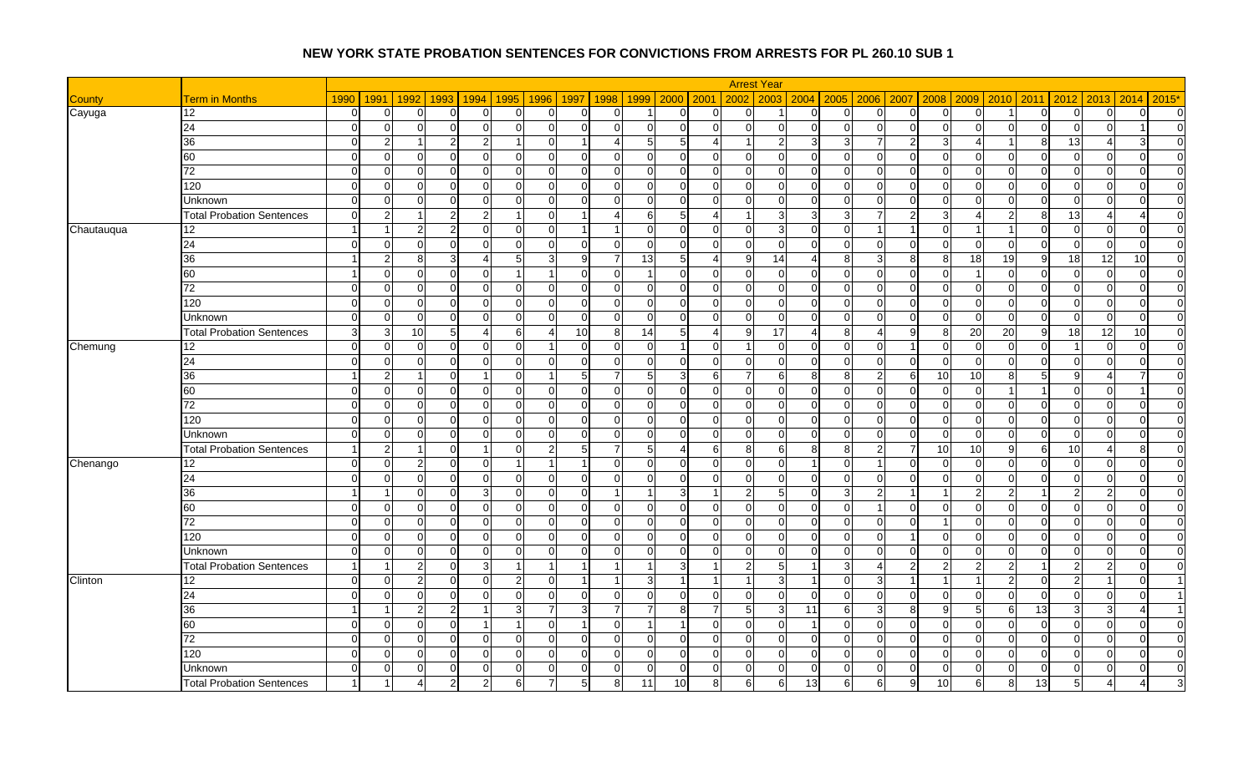|               |                                  |          |                |                                |                |                |                                  |                            |                 |                | <b>Arrest Year</b>         |                 |                |                |                   |            |                            |                |                |                         |                                  |
|---------------|----------------------------------|----------|----------------|--------------------------------|----------------|----------------|----------------------------------|----------------------------|-----------------|----------------|----------------------------|-----------------|----------------|----------------|-------------------|------------|----------------------------|----------------|----------------|-------------------------|----------------------------------|
| <b>County</b> | <b>Term in Months</b>            | 1990     | 1991           | 1992<br>1993                   | 1994           | 1996<br>1995   | 1997<br>1998                     | 1999                       | 2000 2001       |                | 2003<br>2002               |                 | 2004 2005      |                | 2006 2007<br>2008 | 2009       | $ 2010\rangle$             | 2011           | 2013<br>2012   | 2014                    | $2015*$                          |
| Cayuga        | 12                               | $\Omega$ | $\overline{0}$ | C                              | 0              | 0              | C<br>0                           |                            | ∩               | O              | $\Omega$                   | U               | $\Omega$       | $\overline{0}$ | $\mathbf 0$       | ∩          |                            | $\overline{0}$ | $\Omega$       | 0                       | $\overline{0}$<br>$\Omega$       |
|               | 24                               | $\Omega$ | $\overline{0}$ | $\Omega$                       | $\mathbf 0$    | $\Omega$       | $\overline{0}$<br>$\Omega$       | U<br>$\Omega$              | $\Omega$        | $\Omega$       | $\Omega$<br>$\Omega$       | $\Omega$        | $\mathbf 0$    | $\overline{0}$ | $\mathbf{0}$      | ∩          | $\Omega$                   | $\mathbf 0$    | $\Omega$       | $\Omega$                | $\overline{0}$                   |
|               | 36                               | 0        | $\overline{2}$ | -1                             | $\overline{2}$ |                | $\overline{0}$                   | Δ<br>51                    | $5\overline{)}$ | 4              | 2<br>-1                    | 3 <sup>l</sup>  | 3              | $\overline{7}$ | $\overline{2}$    | 3          |                            | 8              | 13             |                         | $\overline{0}$<br>31             |
|               | 60                               | $\Omega$ | $\Omega$       | $\Omega$                       | $\Omega$       | $\Omega$       | $\Omega$<br>$\Omega$             | ∩<br>$\Omega$              | $\Omega$        | $\Omega$       | $\Omega$<br>$\Omega$       | U               | $\Omega$       | $\Omega$       | $\Omega$          | C          | ∩<br>O                     | $\Omega$       | $\Omega$       | $\Omega$                | $\Omega$                         |
|               | 72                               | $\Omega$ | $\overline{0}$ | $\Omega$<br>$\Omega$           | $\Omega$       | $\Omega$       | $\overline{0}$<br>$\Omega$       | $\Omega$<br>$\Omega$       | $\Omega$        | $\Omega$       | $\Omega$<br>$\Omega$       | $\Omega$        | $\Omega$       | $\Omega$       | $\Omega$          | $\Omega$   | $\Omega$<br>$\Omega$       | $\Omega$       | $\Omega$       | $\Omega$                | $\Omega$<br>$\Omega$             |
|               | 120                              | $\Omega$ | $\overline{0}$ | $\sqrt{ }$                     | $\Omega$       | $\Omega$       | $\Omega$<br>$\Omega$             | U<br>$\Omega$              | $\Omega$        | $\Omega$       | $\Omega$<br>$\Omega$       | ΩI              | $\overline{0}$ | $\Omega$       | $\Omega$          | C          | ∩<br>$\Omega$              | $\Omega$       | $\Omega$       | $\Omega$                | $\Omega$<br>$\Omega$             |
|               | Unknown                          | $\Omega$ | $\overline{0}$ | $\Omega$                       | $\Omega$       | $\Omega$       | $\Omega$<br>$\Omega$             | $\Omega$<br>$\Omega$       | $\Omega$        | $\Omega$       | $\Omega$<br>$\Omega$       | $\Omega$        | $\overline{0}$ | $\Omega$       | $\Omega$          | $\Omega$   | $\Omega$<br>$\Omega$       | $\overline{0}$ | $\Omega$       | $\Omega$                | $\overline{0}$<br>$\Omega$       |
|               | <b>Total Probation Sentences</b> |          | $\overline{2}$ |                                | $\overline{2}$ |                | $\Omega$                         | 6                          | 5               | 4              | $\overline{1}$             | $\overline{3}$  | 3              | $\overline{7}$ | $\overline{2}$    | 3          |                            | 8              | 13             |                         | $\overline{0}$                   |
| Chautauqua    | 12                               |          | -1             | $\mathcal{P}$<br>$\mathcal{P}$ | $\Omega$       | $\Omega$       | $\overline{0}$                   | $\Omega$<br>$\overline{1}$ | $\Omega$        | $\Omega$       | $\Omega$<br>3              | $\Omega$        | $\Omega$       | $\vert$ 1      | $\overline{1}$    | $\Omega$   |                            | $\Omega$       | $\Omega$       | $\Omega$                | $\Omega$<br>$\Omega$             |
|               | 24                               | $\Omega$ | $\overline{0}$ | $\Omega$                       | $\Omega$       | $\Omega$       | $\overline{0}$<br>$\Omega$       | n<br>$\Omega$              | $\Omega$        | $\Omega$       | $\Omega$<br>$\Omega$       | $\Omega$        | $\overline{0}$ | $\overline{0}$ | $\mathbf 0$       | ∩          | 0                          | $\mathbf 0$    | $\Omega$       | 0                       | $\overline{0}$<br>0              |
|               | 36                               |          | $\overline{2}$ | 8                              |                | 5              | $\overline{3}$<br>-9             | 13                         | 5               |                | 9<br>14                    | 4               | 8              | 3 <sup>1</sup> | 8                 | 18<br>8    | 19                         | 9              | 18             | 12<br>10                | $\overline{0}$                   |
|               | 60                               |          | $\overline{0}$ | $\Omega$                       | 0              |                | $\Omega$<br>-1                   | $\Omega$                   | $\Omega$        | $\overline{0}$ | $\mathbf 0$<br>$\Omega$    | $\Omega$        | $\overline{0}$ | $\overline{0}$ | $\overline{0}$    | $\Omega$   | 0                          | $\overline{0}$ | $\Omega$       | 0                       | $\overline{0}$<br>$\overline{0}$ |
|               | 72                               | $\Omega$ | $\overline{0}$ | $\sqrt{ }$                     | $\Omega$       | $\Omega$       | $\Omega$<br>$\Omega$             | $\cap$<br>$\Omega$         | $\Omega$        | $\Omega$       | $\Omega$<br>$\Omega$       | U               | $\overline{0}$ | $\Omega$       | $\mathbf{0}$      | $\sqrt{ }$ | $\Omega$<br>$\Omega$       | $\Omega$       | $\Omega$       | $\Omega$                | $\Omega$<br>$\Omega$             |
|               | 120                              | $\Omega$ | $\overline{0}$ | $\Omega$<br>∩                  | $\overline{0}$ | $\Omega$       | $\overline{0}$<br>$\overline{0}$ | $\Omega$<br>$\Omega$       | $\Omega$        | $\Omega$       | $\Omega$<br>$\Omega$       | $\Omega$        | $\overline{0}$ | $\overline{0}$ | $\overline{0}$    | $\Omega$   | $\overline{0}$<br>$\Omega$ | $\mathbf 0$    | $\Omega$       | $\Omega$                | $\overline{0}$<br>$\Omega$       |
|               | <b>Unknown</b>                   | $\cap$   | $\overline{0}$ | $\Omega$                       | $\Omega$       | $\Omega$       | $\Omega$<br>$\Omega$             | n<br>$\Omega$              | $\Omega$        | $\Omega$       | $\Omega$<br>$\Omega$       | ΩI              | $\overline{0}$ | $\Omega$       | $\Omega$          | C          | $\Omega$                   | $\Omega$       | $\Omega$       | $\Omega$                | $\Omega$<br>$\Omega$             |
|               | <b>Total Probation Sentences</b> | 3        | $\mathbf{3}$   | 10 <sup>1</sup><br>5           | 4              | 6              | 10<br>$\boldsymbol{\Delta}$      | 14<br>81                   | $5\overline{)}$ | 4              | 9<br>17                    | $\overline{4}$  | 8              | $\overline{4}$ | 9                 | 20<br>8    | 20                         | 9              | 18             | 12<br>10                | $\overline{0}$                   |
| Chemung       | 12                               | $\Omega$ | $\overline{0}$ | $\Omega$<br>∩                  | 0              | $\Omega$       | $\overline{1}$<br>$\Omega$       | U<br>$\Omega$              | $\overline{1}$  | $\Omega$       | $\Omega$<br>$\overline{1}$ | $\Omega$        | $\overline{0}$ | $\Omega$       | -1                | $\Omega$   | 0<br>$\Omega$              | $\Omega$       |                | $\Omega$                | $\overline{0}$<br>$\Omega$       |
|               | 24                               | $\Omega$ | $\overline{0}$ | $\Omega$<br>$\Omega$           | $\Omega$       | $\Omega$       | $\Omega$<br>$\Omega$             | $\Omega$<br>$\Omega$       | ∩               | $\Omega$       | $\Omega$<br>$\Omega$       | $\Omega$        | $\Omega$       | $\Omega$       | $\Omega$          | $\Omega$   | $\Omega$<br>$\Omega$       | $\Omega$       | $\Omega$       | $\Omega$                | $\overline{0}$<br>$\Omega$       |
|               | 36                               |          | $\overline{2}$ |                                |                | $\Omega$       | 5<br>1                           | 5                          | 3               | 6              | 7<br>6                     | 8               | 8              | $\overline{2}$ | 6                 | 10         | 10<br>8                    | 5              | 9              |                         | $\overline{0}$                   |
|               | 60                               | $\Omega$ | $\overline{0}$ | $\sqrt{ }$                     | $\Omega$       | $\Omega$       | 0<br>$\Omega$                    | ∩                          | $\Omega$        | $\Omega$       | $\Omega$<br>$\Omega$       | U               | $\Omega$       | $\Omega$       | $\mathbf 0$       | C          | $\Omega$                   |                | ∩              | $\Omega$                | $\overline{0}$                   |
|               | 72                               | $\Omega$ | $\overline{0}$ | $\Omega$                       | $\mathbf 0$    | $\overline{0}$ | $\Omega$<br>0                    | $\Omega$<br>$\Omega$       | $\Omega$        | $\Omega$       | $\mathbf 0$<br>$\Omega$    | ΩI              | $\mathbf 0$    | $\overline{0}$ | $\mathbf 0$       | $\Omega$   | <sup>O</sup>               | $\overline{0}$ | $\Omega$       | $\mathbf 0$             | $\overline{0}$<br>$\Omega$       |
|               | 120                              | $\Omega$ | $\overline{0}$ | $\sqrt{ }$                     | $\Omega$       | $\Omega$       | $\Omega$<br>$\Omega$             | ∩<br>$\Omega$              | $\Omega$        | $\Omega$       | $\Omega$<br>$\Omega$       | U               | $\Omega$       | $\Omega$       | $\mathbf{0}$      | $\sqrt{ }$ | $\Omega$<br>$\Omega$       | $\Omega$       | $\Omega$       | $\Omega$                | $\Omega$<br>$\Omega$             |
|               | Unknown                          | $\Omega$ | $\overline{0}$ | $\Omega$<br>∩                  | $\mathbf 0$    | $\Omega$       | $\overline{0}$<br>$\Omega$       | $\Omega$<br>$\Omega$       | $\Omega$        | $\Omega$       | $\Omega$<br>$\Omega$       | $\Omega$        | $\Omega$       | $\Omega$       | $\mathbf 0$       | $\Omega$   | $\Omega$<br>$\Omega$       | $\Omega$       | $\Omega$       | $\Omega$                | $\overline{0}$<br>$\Omega$       |
|               | <b>Total Probation Sentences</b> |          | $\overline{2}$ | -1                             | $\mathbf{1}$   | $\Omega$       | $2 \mid$<br>5                    | 5                          | 4               | $6 \mid$       | 8<br>6                     | 8 <sup>1</sup>  | 8              | $\overline{2}$ | $\overline{7}$    | 10         | 10<br>9                    | 6              | 10             | $\boldsymbol{\Delta}$   | $\overline{0}$<br>8              |
| Chenango      | 12                               | $\Omega$ | $\overline{0}$ | $\overline{2}$<br>∩            | $\mathbf 0$    |                | $\overline{1}$                   | $\Omega$<br>$\Omega$       | $\Omega$        | $\Omega$       | $\overline{0}$<br>$\Omega$ | $\overline{1}$  | $\overline{0}$ | $\vert$ 1      | $\Omega$          | $\Omega$   | $\overline{0}$<br>$\Omega$ | $\overline{0}$ | $\Omega$       | $\Omega$                | $\overline{0}$<br>$\Omega$       |
|               | 24                               | $\Omega$ | $\overline{0}$ | $\sqrt{ }$                     | $\Omega$       | $\Omega$       | $\Omega$<br>$\Omega$             | U                          | $\Omega$        | $\Omega$       | $\mathbf{0}$<br>$\Omega$   | U               | $\mathbf 0$    | $\overline{0}$ | $\mathbf{0}$      |            | $\Omega$                   | $\mathbf 0$    | $\Omega$       | $\Omega$                | $\overline{0}$<br>$\Omega$       |
|               | 36                               |          | -1             | $\Omega$<br>$\Omega$           | 3              | $\Omega$       | $\overline{0}$<br>$\Omega$       | $\overline{1}$             | $\overline{3}$  |                | $\overline{2}$<br>5        | $\Omega$        | 3              | $\overline{2}$ | -1                | -1         | $\mathcal{P}$<br>2         | -1             | 2 <sup>1</sup> | $\overline{2}$          | $\overline{0}$<br>$\Omega$       |
|               | 60                               | $\Omega$ | $\overline{0}$ | $\Omega$                       | $\Omega$       | $\Omega$       | $\Omega$<br>$\overline{0}$       | O                          | ∩               | $\Omega$       | $\Omega$<br>$\Omega$       | ΩI              | $\Omega$       |                | $\Omega$          | ∩          | $\Omega$                   | $\Omega$       | $\Omega$       | $\Omega$                | $\overline{0}$<br>$\Omega$       |
|               | 72                               | $\Omega$ | $\overline{0}$ | $\Omega$<br>∩                  | $\Omega$       | $\Omega$       | $\Omega$<br>$\Omega$             | ∩<br>∩                     | $\Omega$        | $\Omega$       | $\Omega$<br>$\Omega$       | $\Omega$        | $\Omega$       | $\Omega$       | $\Omega$          |            | $\Omega$<br>O              | $\Omega$       | $\Omega$       | $\Omega$                | $\overline{0}$<br>$\Omega$       |
|               | 120                              | $\Omega$ | $\overline{0}$ | $\Omega$                       | 0              | $\Omega$       | $\Omega$<br>$\Omega$             | $\Omega$<br>$\Omega$       | $\Omega$        | $\Omega$       | $\Omega$<br>$\Omega$       | 0               | $\overline{0}$ | $\Omega$       |                   | $\Omega$   | $\Omega$<br><sup>O</sup>   | $\mathbf 0$    | $\Omega$       | $\Omega$                | $\overline{0}$<br><sup>O</sup>   |
|               | <b>Unknown</b>                   | $\Omega$ | $\overline{0}$ | $\Omega$                       | $\mathbf 0$    | $\Omega$       | $\overline{0}$<br>$\Omega$       | $\Omega$<br>$\Omega$       | $\Omega$        | $\Omega$       | $\Omega$<br>$\Omega$       | $\Omega$        | $\Omega$       | $\Omega$       | $\mathbf 0$       | $\Omega$   | $\Omega$<br>$\Omega$       | $\Omega$       | $\Omega$       | $\Omega$                | $\Omega$<br>$\Omega$             |
|               | <b>Total Probation Sentences</b> |          | -1             | $\mathcal{P}$<br>∩             | $\overline{3}$ |                | $\overline{1}$                   | -1                         | 3               |                | $\overline{2}$<br>5        | 1               | 3              | $\overline{4}$ | $\overline{c}$    | 2          | 2                          | -1             | $\overline{2}$ | $\overline{2}$          | $\Omega$<br>$\Omega$             |
| Clinton       | 12                               | $\Omega$ | $\overline{0}$ | $\overline{2}$                 | $\Omega$       | $\overline{2}$ | $\overline{0}$                   | 3                          | $\overline{1}$  |                | $\overline{1}$             | 1               | $\overline{0}$ | $\mathbf{3}$   | $\overline{1}$    |            | 2                          | $\Omega$       | $\overline{2}$ | $\overline{\mathbf{A}}$ | $\Omega$                         |
|               | 24                               | $\Omega$ | $\overline{0}$ | $\Omega$<br>∩                  | $\Omega$       | $\Omega$       | $\overline{0}$<br>$\Omega$       | $\Omega$<br>$\Omega$       | $\Omega$        | $\Omega$       | $\overline{0}$<br>$\Omega$ | $\Omega$        | $\overline{0}$ | $\overline{0}$ | $\overline{0}$    | $\Omega$   | $\Omega$<br>$\Omega$       | $\overline{0}$ | $\Omega$       | $\Omega$                | $\Omega$                         |
|               | 36                               |          |                |                                |                |                | $\overline{7}$<br>3              |                            | 8               |                | 5                          | 11              | 6              | $\overline{3}$ | 8                 | c          | 6                          | 13             | 3              | 3                       |                                  |
|               | 60                               | $\Omega$ | $\overline{0}$ | $\Omega$<br>$\Omega$           | $\overline{1}$ |                | $\overline{0}$                   | $\Omega$                   | $\vert$ 1       | $\Omega$       | $\mathbf 0$<br>$\Omega$    | $\overline{1}$  | $\Omega$       | $\Omega$       | $\overline{0}$    | $\Omega$   | $\Omega$<br>$\Omega$       | $\Omega$       | $\Omega$       | $\Omega$                | $\overline{0}$<br>$\Omega$       |
|               | $\overline{72}$                  | $\Omega$ | $\overline{0}$ | $\sqrt{ }$                     | $\Omega$       | $\Omega$       | $\Omega$<br>$\overline{0}$       | U                          | $\Omega$        | $\Omega$       | $\mathbf{0}$<br>$\Omega$   | U               | $\Omega$       | $\overline{0}$ | $\mathbf 0$       | $\sqrt{ }$ | $\Omega$                   | $\Omega$       | $\Omega$       | 0                       | $\overline{0}$<br>$\Omega$       |
|               | 120                              | $\Omega$ | $\overline{0}$ | $\Omega$                       | $\Omega$       | $\Omega$       | $\Omega$<br>$\Omega$             | U                          | ∩               | $\Omega$       | $\Omega$<br>$\Omega$       | U               | $\Omega$       | $\overline{0}$ | $\mathbf 0$       | C          | O                          | $\mathbf 0$    | $\Omega$       | $\Omega$                | $\overline{0}$<br>$\Omega$       |
|               | Unknown                          | $\Omega$ | $\overline{0}$ | $\Omega$                       | 0              | 0              | $\Omega$<br>$\overline{0}$       | $\Omega$<br>$\Omega$       | $\mathbf 0$     | $\overline{0}$ | $\mathbf 0$<br>$\Omega$    | $\Omega$        | $\mathbf 0$    | $\overline{0}$ | $\mathbf 0$       | $\Omega$   | $\Omega$<br>0              | $\mathbf 0$    | 0              | 0                       | $\overline{0}$<br>0              |
|               | <b>Total Probation Sentences</b> |          |                |                                |                |                | 5                                | 11<br>8                    | 10              | 8              | 6                          | 13 <sup>l</sup> | 6              | 6              | 9                 | 10         | 6                          | 13             | 5              |                         |                                  |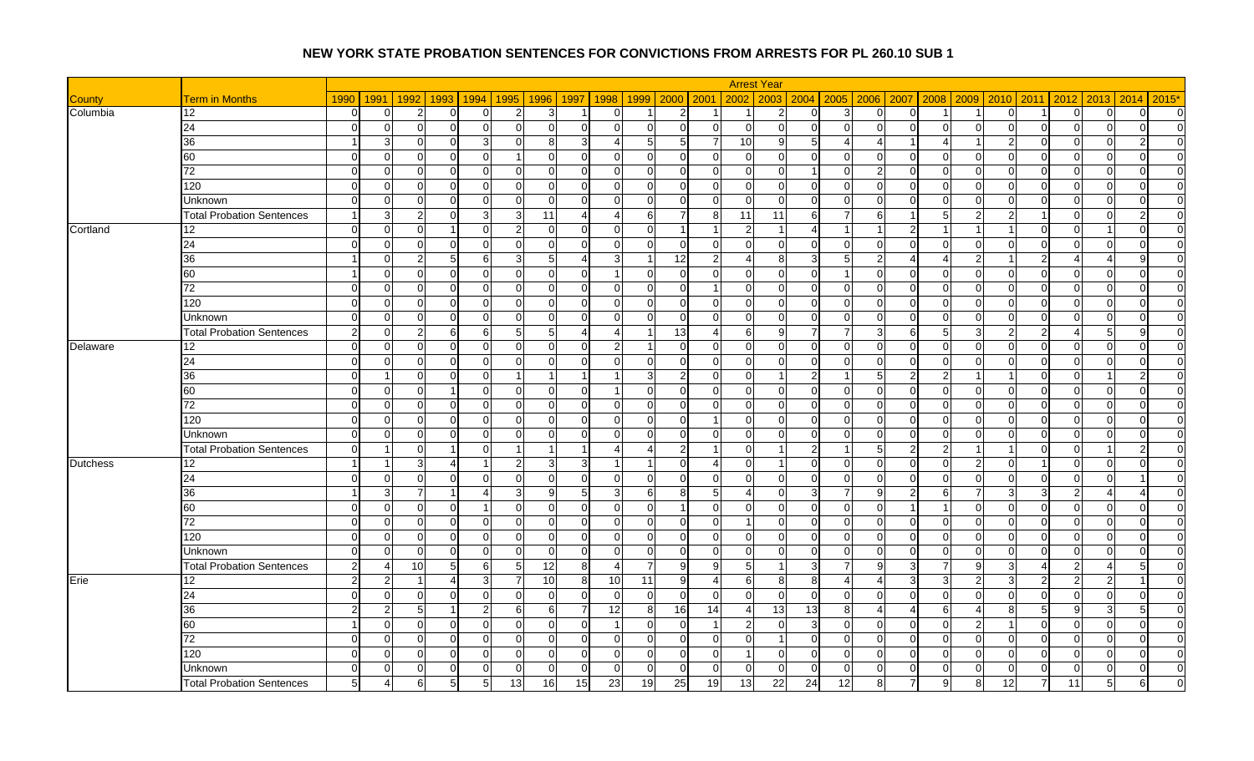|                 |                                  |                |                       |                           |                |                |                 |                        |                            |                |                | <b>Arrest Year</b>                |                |                       |                |                                  |          |                |                |                                            |                |                |
|-----------------|----------------------------------|----------------|-----------------------|---------------------------|----------------|----------------|-----------------|------------------------|----------------------------|----------------|----------------|-----------------------------------|----------------|-----------------------|----------------|----------------------------------|----------|----------------|----------------|--------------------------------------------|----------------|----------------|
| <b>County</b>   | <b>Term in Months</b>            | 1990           | 1991                  | 1992<br>1993              | 1994           | 1995           | 1996            | 1998<br>1997           | 1999                       | 2000 2001      |                | 2002<br>2003                      |                | 2004 2005             | 2006 2007      | 2008                             | 2009     | 2010           | 2011           | 2013<br>2012                               | 2014           | $2015*$        |
| Columbia        | 12                               | $\Omega$       | $\overline{0}$        | $\mathcal{P}$<br>$\Omega$ | $\mathbf 0$    | $\overline{2}$ | $\mathbf{3}$    |                        | $\Omega$<br>-1             | $2 \vert$      |                | $\overline{2}$<br>-1              | $\Omega$       | 3                     | $\overline{0}$ | $\overline{0}$<br>-1             |          | $\overline{0}$ | -1             | $\Omega$<br>$\Omega$                       | $\Omega$       | $\overline{0}$ |
|                 | 24                               | $\Omega$       | $\overline{0}$        | $\mathcal{C}$             | $\mathbf 0$    | $\Omega$       | $\overline{0}$  | $\Omega$               | U<br>$\Omega$              | $\Omega$       | $\Omega$       | $\overline{0}$<br>$\Omega$        | $\Omega$       | $\overline{0}$        | $\Omega$       | $\overline{0}$<br>$\Omega$       |          | $\overline{0}$ | $\mathbf 0$    | $\Omega$<br>$\Omega$                       | $\Omega$       | $\Omega$       |
|                 | 36                               |                | $\mathbf{3}$          | $\Omega$<br>∩             | 3              | $\Omega$       | 8 <sup>1</sup>  | 3                      | 5<br>4                     | $5 \square$    | $\overline{7}$ | 10<br>9                           | 5 <sup>1</sup> | $\boldsymbol{\Delta}$ | 41             | -1<br>4                          |          | 2              | $\overline{0}$ | $\Omega$<br>$\Omega$                       | $\overline{2}$ | $\overline{0}$ |
|                 | 60                               | $\Omega$       | $\overline{0}$        | $\sqrt{ }$                | $\Omega$       |                | $\Omega$        | $\Omega$               |                            | $\Omega$       | $\Omega$       | $\Omega$<br>$\Omega$              | $\Omega$       | $\overline{0}$        | $\Omega$       | $\Omega$<br>$\mathcal{C}$        |          | $\Omega$       | $\Omega$       | $\Omega$                                   | $\Omega$       | $\Omega$       |
|                 | 72                               | $\Omega$       | $\overline{0}$        | $\Omega$<br>$\Omega$      | $\mathbf 0$    | $\Omega$       | $\overline{0}$  | $\Omega$               | $\Omega$<br>$\Omega$       | $\Omega$       | $\Omega$       | $\Omega$<br>$\Omega$              | $\overline{1}$ | $\Omega$              | $\overline{2}$ | $\Omega$<br>$\Omega$             | $\Omega$ | $\Omega$       | $\Omega$       | $\Omega$<br>$\Omega$                       | $\Omega$       | $\Omega$       |
|                 | 120                              | $\Omega$       | $\overline{0}$        | $\Omega$<br>∩             | 0              | $\Omega$       | $\overline{0}$  | $\Omega$               | O<br>$\Omega$              | $\Omega$       | $\Omega$       | $\mathbf 0$<br>$\Omega$           | $\Omega$       | $\overline{0}$        | $\overline{0}$ | $\mathbf 0$<br>$\Omega$          |          | $\Omega$       | $\mathbf 0$    | $\Omega$<br>0                              | $\Omega$       | $\overline{0}$ |
|                 | Unknown                          | $\Omega$       | $\overline{0}$        | $\sqrt{ }$                | 0              | $\Omega$       | $\overline{0}$  | $\Omega$               | $\Omega$<br>$\Omega$       | ∩              | $\Omega$       | $\Omega$<br>$\Omega$              | $\Omega$       | $\Omega$              | $\overline{0}$ | $\Omega$<br>C                    | $\Omega$ | $\Omega$       | $\mathbf 0$    | $\Omega$<br>$\Omega$                       | ∩              | $\Omega$       |
|                 | <b>Total Probation Sentences</b> |                | $\mathbf{3}$          | 2                         | 3              | -31            | 11              | $\Delta$               | Δ<br>61                    | 7              | 8              | 11<br>11                          | 61             |                       | 6              | 5                                |          |                | -1             | $\Omega$<br>0                              |                | $\overline{0}$ |
| Cortland        | 12                               | $\Omega$       | $\overline{0}$        | $\Omega$                  | $\Omega$       | $\mathcal{D}$  | $\Omega$        | $\Omega$               | $\Omega$<br>$\Omega$       | -1             |                | $\overline{2}$                    | 4              |                       |                | $\overline{2}$                   |          |                | $\Omega$       | ∩                                          | $\Omega$       | $\Omega$       |
|                 | 24                               | $\Omega$       | $\overline{0}$        | $\Omega$<br>∩             | $\overline{0}$ | $\overline{0}$ | $\overline{0}$  | $\overline{0}$         | $\overline{0}$<br>$\Omega$ | $\Omega$       | $\overline{0}$ | $\overline{0}$<br>$\mathbf 0$     | 01             | $\overline{0}$        | $\overline{0}$ | $\overline{0}$<br>$\Omega$       | $\Omega$ | $\overline{0}$ | $\mathbf 0$    | $\overline{0}$<br>$\mathbf 0$              | $\overline{0}$ | $\overline{0}$ |
|                 | 36                               |                | $\overline{0}$        | 2                         | 6              | 3              | 5 <sub>5</sub>  | $\boldsymbol{\Lambda}$ |                            | 12             | $\mathfrak{p}$ | 8<br>4                            | $\overline{3}$ | 5                     | $\overline{2}$ | Δ<br>Δ                           |          |                | $\overline{2}$ | $\boldsymbol{\varLambda}$                  | q              | $\Omega$       |
|                 | 60                               |                | $\overline{0}$        | $\mathbf 0$<br>∩          | $\mathbf 0$    | $\overline{0}$ | $\overline{0}$  | $\overline{0}$         | $\Omega$<br>-1             | $\overline{0}$ | $\overline{0}$ | $\overline{0}$<br>$\Omega$        | $\Omega$       |                       | $\overline{0}$ | $\overline{0}$<br>$\Omega$       | $\Omega$ | $\Omega$       | $\overline{0}$ | $\Omega$<br>$\mathbf 0$                    | $\Omega$       | $\overline{0}$ |
|                 | 72                               | $\Omega$       | $\overline{0}$        | $\Omega$                  | 0              | $\Omega$       | $\mathbf 0$     | $\Omega$               | U<br>$\Omega$              | $\Omega$       |                | $\Omega$<br>$\Omega$              | $\Omega$       | $\overline{0}$        | $\overline{0}$ | $\overline{0}$<br>$\sqrt{ }$     | ∩        | $\Omega$       | $\mathbf 0$    | $\Omega$<br>$\Omega$                       | $\Omega$       | $\Omega$       |
|                 | 120                              | $\Omega$       | $\Omega$              | $\Omega$<br>∩             | $\Omega$       | $\Omega$       | $\Omega$        | $\Omega$               | $\Omega$<br>$\Omega$       | $\Omega$       | $\Omega$       | $\Omega$<br>$\Omega$              | $\Omega$       | $\Omega$              | $\Omega$       | $\Omega$<br>$\Omega$             | $\Omega$ | $\Omega$       | $\Omega$       | $\Omega$<br>$\Omega$                       | $\Omega$       | $\Omega$       |
|                 | Unknown                          | $\Omega$       | $\overline{0}$        | $\Omega$                  | 0              | $\Omega$       | $\overline{0}$  | $\Omega$               | U<br>$\Omega$              | $\Omega$       | $\Omega$       | $\Omega$<br>$\Omega$              | $\Omega$       | $\Omega$              | $\Omega$       | $\Omega$<br>$\Omega$             | ∩        | $\Omega$       | $\Omega$       | $\Omega$<br>$\Omega$                       | $\Omega$       | $\Omega$       |
|                 | <b>Total Probation Sentences</b> | $\mathcal{P}$  | $\overline{0}$        | 2<br>6                    | 6              | -5             | 5 <sub>5</sub>  | $\Delta$               |                            | 13             | Δ              | 6<br>q                            | $\overline{7}$ |                       | 3 <sup>1</sup> | 6<br>5                           |          |                | $\overline{2}$ | 5<br>4                                     | q              | $\Omega$       |
| Delaware        | 12                               | $\Omega$       | $\overline{0}$        | $\Omega$                  | 0              | $\Omega$       | 0               | $\Omega$               | 2                          | $\Omega$       | $\Omega$       | $\mathbf 0$<br>$\cap$             | U              | $\Omega$              | $\overline{0}$ | $\mathbf 0$<br>$\Omega$          |          | $\Omega$       | $\Omega$       | $\Omega$<br>$\Omega$                       | $\Omega$       | $\Omega$       |
|                 | 24                               | $\Omega$       | $\overline{0}$        | C                         | $\Omega$       | $\Omega$       | $\Omega$        | $\Omega$               | $\Omega$<br>∩              | ∩              | $\Omega$       | $\Omega$<br>$\Omega$              | $\Omega$       | $\Omega$              | $\Omega$       | $\Omega$<br>C                    | $\Omega$ | $\Omega$       | $\Omega$       | $\Omega$<br>$\cap$                         | ∩              | $\overline{0}$ |
|                 | 36                               | $\Omega$       | -1                    | $\Omega$                  | $\mathbf 0$    | -1             | $\overline{1}$  |                        | 3                          | 2              | $\Omega$       | $\Omega$                          | $\overline{2}$ |                       | $5 \,$         | $\overline{2}$<br>2              |          |                | $\Omega$       | $\Omega$<br>-1                             |                | $\overline{0}$ |
|                 | 60                               | $\Omega$       | $\overline{0}$        | $\Omega$                  | $\Omega$       | $\Omega$       | 0               | $\Omega$               | $\Omega$                   | $\Omega$       | $\Omega$       | $\Omega$<br>$\Omega$              | $\Omega$       | $\overline{0}$        | $\Omega$       | $\mathbf 0$<br>$\Omega$          | $\Omega$ | $\Omega$       | $\Omega$       | $\Omega$<br>$\Omega$                       | $\Omega$       | $\Omega$       |
|                 | 72                               | $\Omega$       | $\overline{0}$        | $\Omega$                  | $\mathbf 0$    | $\Omega$       | 0               | $\Omega$               | $\Omega$<br>$\Omega$       | $\Omega$       | $\Omega$       | $\Omega$<br>$\Omega$              | $\Omega$       | $\overline{0}$        | $\Omega$       | $\overline{0}$<br>$\Omega$       | $\Omega$ | $\Omega$       | $\overline{0}$ | $\mathbf 0$<br>$\Omega$                    | $\Omega$       | $\overline{0}$ |
|                 | 120                              | $\Omega$       | $\overline{0}$        | C                         | $\Omega$       | $\Omega$       | $\Omega$        | $\Omega$               | U<br>$\Omega$              | $\Omega$       |                | $\Omega$<br>$\Omega$              | $\Omega$       | $\Omega$              | $\Omega$       | $\Omega$<br>C                    |          | $\Omega$       | $\Omega$       | $\Omega$<br>$\Omega$                       | $\Omega$       | $\Omega$       |
|                 | <b>Unknown</b>                   | $\Omega$       | $\overline{0}$        | $\Omega$<br>∩             | $\Omega$       | $\Omega$       | $\Omega$        | $\Omega$               | $\Omega$<br>$\Omega$       | $\Omega$       | $\Omega$       | $\Omega$<br>$\Omega$              | $\Omega$       | $\Omega$              | $\Omega$       | $\Omega$<br>$\Omega$             | $\Omega$ | $\Omega$       | $\Omega$       | $\Omega$<br>$\Omega$                       | $\Omega$       | $\Omega$       |
|                 | <b>Total Probation Sentences</b> | $\Omega$       |                       | C                         | $\Omega$       |                | $\overline{1}$  |                        |                            | $\overline{2}$ |                | $\Omega$                          | $2 \vert$      |                       | 5              | $\overline{c}$<br>$\overline{2}$ |          |                | $\Omega$       | $\Omega$                                   |                | $\Omega$       |
| <b>Dutchess</b> | 12                               |                | -1                    | 3                         | -1             | 2              | 3 <sup>1</sup>  | 3                      |                            | $\Omega$       | 4              | $\Omega$                          | $\Omega$       | $\Omega$              | $\overline{0}$ | $\Omega$<br>$\Omega$             |          | $\Omega$       | -1             | $\Omega$<br>$\Omega$                       | $\Omega$       | $\overline{0}$ |
|                 | 24                               | $\Omega$       | $\overline{0}$        | $\sqrt{ }$                | $\Omega$       | $\Omega$       | $\overline{0}$  | $\Omega$               | $\Omega$                   | $\Omega$       | $\Omega$       | $\mathbf 0$<br>$\Omega$           | $\Omega$       | $\mathbf 0$           | $\overline{0}$ | $\mathbf 0$<br>$\Omega$          |          | $\Omega$       | $\mathbf 0$    | $\Omega$<br>0                              |                | $\overline{0}$ |
|                 | 36                               |                | $\overline{3}$        |                           |                | 3              | $\overline{9}$  | 5                      | 31<br>6                    | 8              | 5 <sup>1</sup> | $\overline{4}$<br>$\Omega$        | $\overline{3}$ | 7                     | $9 \square$    | $\overline{2}$<br>-6             |          | 3              | 3              | $\mathfrak{p}$<br>$\boldsymbol{\varDelta}$ |                | $\Omega$       |
|                 | 60                               | $\Omega$       | $\overline{0}$        | $\Omega$                  |                | $\Omega$       | $\overline{0}$  | $\Omega$               | U<br>$\Omega$              | $\overline{1}$ | $\Omega$       | $\Omega$<br>$\Omega$              | ΩI             | $\Omega$              | $\overline{0}$ |                                  |          | $\Omega$       | $\Omega$       | $\Omega$<br>$\Omega$                       | $\Omega$       | $\overline{0}$ |
|                 | 72                               | $\Omega$       | $\overline{0}$        | $\Omega$                  | $\Omega$       | $\Omega$       | $\overline{0}$  | $\Omega$               | U<br>$\Omega$              | $\Omega$       | $\Omega$       | $\Omega$                          | U              | $\mathbf 0$           | $\overline{0}$ | $\mathbf 0$<br>C                 | ∩        | $\Omega$       | $\mathbf 0$    | $\Omega$<br>$\Omega$                       | $\Omega$       | $\overline{0}$ |
|                 | 120                              | $\Omega$       | $\overline{0}$        | $\Omega$                  | $\overline{0}$ | $\overline{0}$ | $\overline{0}$  | $\overline{0}$         | $\Omega$<br>$\Omega$       | $\Omega$       | $\Omega$       | $\mathbf{0}$<br>$\Omega$          | $\Omega$       | $\overline{0}$        | $\overline{0}$ | $\overline{0}$<br>$\Omega$       | $\Omega$ | $\Omega$       | $\overline{0}$ | $\Omega$<br>$\mathbf 0$                    | $\Omega$       | $\overline{0}$ |
|                 | <b>Unknown</b>                   | $\Omega$       | $\overline{0}$        | $\mathsf{C}$              | $\mathbf 0$    | $\Omega$       | $\overline{0}$  | $\Omega$               | $\Omega$<br>$\Omega$       | $\Omega$       | $\Omega$       | $\Omega$<br>$\Omega$              | $\Omega$       | $\overline{0}$        | $\overline{0}$ | $\overline{0}$<br>$\Omega$       | $\Omega$ | $\Omega$       | $\mathbf 0$    | $\Omega$<br>$\Omega$                       | $\Omega$       | $\Omega$       |
|                 | <b>Total Probation Sentences</b> | $\mathcal{P}$  | $\overline{4}$        | 10 <sup>1</sup><br>5      | 6              | 5              | 12              | 8                      | $\overline{4}$             | 9              | 9 <sub>l</sub> | 5                                 | 3              | 7                     | 9              | 3<br>7                           | a        | $\overline{3}$ | $\overline{4}$ | $\overline{2}$<br>Δ                        | 5              | $\overline{0}$ |
| Erie            | 12                               | $\overline{2}$ | $\overline{2}$        | $\overline{\phantom{a}}$  | 3              |                | 10 <sup>1</sup> | 8<br>10                | 11                         | 9              | 4              | 6<br>8                            | 8 <sup>1</sup> | 4                     | $\overline{4}$ | 3<br>3                           |          | 3              | $\overline{2}$ | $\overline{2}$<br>$\overline{2}$           |                | $\Omega$       |
|                 | 24                               | $\Omega$       | $\overline{0}$        | $\Omega$<br>∩             | $\mathbf 0$    | $\overline{0}$ | $\overline{0}$  | $\Omega$               | $\Omega$<br>$\Omega$       | $\Omega$       | $\Omega$       | $\overline{0}$<br>$\Omega$        | $\Omega$       | $\overline{0}$        | $\overline{0}$ | $\overline{0}$<br>$\Omega$       | $\Omega$ | $\Omega$       | $\overline{0}$ | $\Omega$<br>$\Omega$                       | $\Omega$       | $\overline{0}$ |
|                 | 36                               |                | $\overline{2}$        | 5                         | $\overline{2}$ | 6              | 6               | 12                     | 8                          | 16             | 14             | $\overline{13}$<br>$\overline{a}$ | 13             | 8                     | $\overline{4}$ | 6<br>$\boldsymbol{\Delta}$       |          |                | 5              | 9<br>3                                     | 5              | $\Omega$       |
|                 | 60                               |                | $\overline{0}$        | $\Omega$<br>∩             | $\mathbf 0$    | $\Omega$       | $\overline{0}$  | $\Omega$               | $\Omega$<br>$\overline{1}$ | $\Omega$       |                | $\overline{2}$<br>$\Omega$        | $\overline{3}$ | $\overline{0}$        | $\overline{0}$ | $\overline{0}$<br>$\Omega$       | 2        |                | $\Omega$       | $\Omega$<br>$\Omega$                       | $\Omega$       | $\overline{0}$ |
|                 | $\overline{72}$                  |                | $\overline{0}$        | C                         | $\mathbf 0$    | $\Omega$       | $\overline{0}$  | $\Omega$               | $\Omega$                   | $\Omega$       | $\Omega$       | $\mathbf 0$                       | $\Omega$       | $\Omega$              | $\overline{0}$ | $\mathbf{0}$<br>$\Omega$         |          | $\Omega$       | $\Omega$       | $\Omega$<br>0                              | $\Omega$       | $\overline{0}$ |
|                 | 120                              | $\Omega$       | $\overline{0}$        | C                         | $\Omega$       | $\Omega$       | 0               | $\Omega$               | U<br>$\Omega$              | ∩              | $\Omega$       | $\Omega$<br>-1                    | U              | $\Omega$              | $\Omega$       | $\mathbf 0$<br>C                 |          | O              | $\mathbf 0$    | U<br>$\Omega$                              | $\Omega$       | $\overline{0}$ |
|                 | Unknown                          | $\Omega$       | $\overline{0}$        | $\Omega$                  | 0              | $\Omega$       | $\Omega$        | 0                      | $\Omega$<br><sup>O</sup>   | $\Omega$       | $\Omega$       | $\Omega$<br>$\Omega$              | $\Omega$       | $\Omega$              | $\Omega$       | $\overline{0}$<br>$\Omega$       | $\Omega$ | <sup>O</sup>   | $\Omega$       | $\Omega$<br>0                              | $\Omega$       | $\overline{0}$ |
|                 | <b>Total Probation Sentences</b> |                | $\boldsymbol{\Delta}$ | 5<br>F                    | 5              | 13             | 16              | $\overline{15}$<br>23  | 19                         | 25             | 19             | 13<br>22                          | 24             | $\overline{12}$       | 8              |                                  |          | 12             |                | 11<br>5                                    |                | $\Omega$       |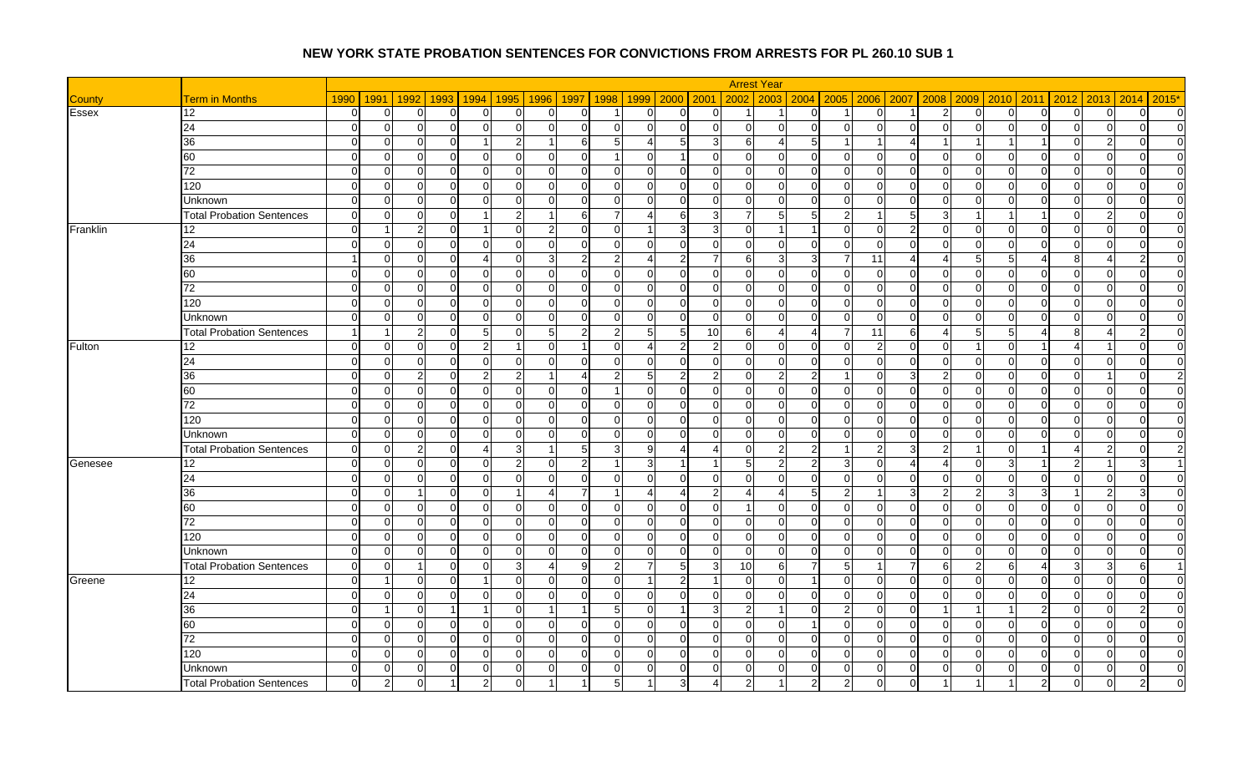|              |                                  |                |                |                            |                         |                |                |                                  |                           |                       |                | <b>Arrest Year</b>         |                                  |                 |                |                         |                       |                            |                         |                               |               |                |
|--------------|----------------------------------|----------------|----------------|----------------------------|-------------------------|----------------|----------------|----------------------------------|---------------------------|-----------------------|----------------|----------------------------|----------------------------------|-----------------|----------------|-------------------------|-----------------------|----------------------------|-------------------------|-------------------------------|---------------|----------------|
| County       | <b>Term in Months</b>            | 1990           | 1991           | 1992                       | 1993 1994               | 1995           | 1996           | 1998<br>1997                     |                           | 1999 2000 2001        |                | 2002<br>2003               | 2004 2005                        |                 |                | 2006 2007<br>2008       | 2009                  | 2010                       | 2011                    | 2013<br>2012                  | 2014          | $2015*$        |
| <b>Essex</b> | 12                               | $\Omega$       | 0              | ∩                          | 0                       | $\overline{0}$ | $\Omega$       | $\Omega$                         | $\overline{0}$            | 0                     | $\Omega$       |                            | <sup>0</sup>                     |                 | $\overline{0}$ |                         | 2                     | 0                          | $\overline{0}$          | O<br>0                        | 0             | $\overline{0}$ |
|              | 24                               | $\Omega$       | $\Omega$       | $\Omega$<br>∩              | $\mathbf 0$             | $\overline{0}$ | $\Omega$       | $\Omega$<br>$\Omega$             | $\Omega$                  | $\Omega$              | $\overline{0}$ | $\mathbf 0$                | $\Omega$<br>$\Omega$             | $\Omega$        | $\overline{0}$ | $\overline{0}$          | $\Omega$              | $\overline{0}$             | $\overline{0}$          | $\Omega$<br>$\Omega$          | $\Omega$      | $\overline{0}$ |
|              | 36                               | $\overline{0}$ | $\overline{0}$ | $\Omega$<br>$\Omega$       | -1                      | $\overline{2}$ | -1             | 6<br>5                           | Δ                         | 5                     | 3              | 6                          | 5 <sub>l</sub>                   |                 | -1             | 4                       |                       |                            | -1                      | $\Omega$<br>-2                | $\Omega$      | $\overline{0}$ |
|              | 60                               | $\Omega$       | $\Omega$       | ∩                          | $\Omega$                | $\Omega$       | $\Omega$       | $\Omega$                         | $\Omega$                  |                       | $\Omega$       | $\Omega$                   | $\Omega$<br>$\Omega$             | $\Omega$        | $\Omega$       | $\Omega$                | C                     | ∩<br>O                     | $\Omega$                | ∩<br>$\Omega$                 |               | $\Omega$       |
|              | 72                               | $\Omega$       | $\Omega$       | $\Omega$<br>ΩI             | $\Omega$                | $\Omega$       | $\Omega$       | $\Omega$<br>$\Omega$             | $\Omega$                  | $\Omega$              | $\Omega$       | $\Omega$                   | $\Omega$<br>$\Omega$             | $\Omega$        | $\Omega$       | $\Omega$                | $\Omega$              | $\Omega$<br>$\Omega$       | $\Omega$                | $\Omega$<br>$\Omega$          | $\Omega$      | $\Omega$       |
|              | 120                              | $\Omega$       | $\Omega$       | $\Omega$<br>$\Omega$       | $\Omega$                | $\Omega$       | $\Omega$       | $\Omega$<br>$\Omega$             | $\Omega$                  | $\Omega$              | $\Omega$       | $\Omega$                   | $\Omega$<br>$\Omega$             | $\overline{0}$  | $\overline{0}$ | $\overline{0}$          | $\Omega$              | $\Omega$                   | $\Omega$                | $\Omega$<br>$\Omega$          | $\Omega$      | $\Omega$       |
|              | Unknown                          | $\Omega$       | $\Omega$       | $\Omega$<br>$\Omega$       | $\Omega$                | $\Omega$       | $\Omega$       | $\Omega$<br>$\Omega$             | $\Omega$                  | $\Omega$              | $\Omega$       | $\Omega$                   | $\Omega$<br>$\Omega$             | $\overline{0}$  | $\overline{0}$ | $\overline{0}$          | $\Omega$              | $\Omega$<br><sup>0</sup>   | $\overline{0}$          | $\Omega$<br>$\Omega$          | $\Omega$      | $\overline{0}$ |
|              | <b>Total Probation Sentences</b> | $\Omega$       | $\Omega$       | $\Omega$<br>U              |                         | $\overline{2}$ | $\mathbf{1}$   | 6                                |                           | 6                     | 3              | 7<br>F                     | 5                                | $\overline{2}$  |                | 5 <sub>l</sub>          | 3                     |                            | -1                      | $\Omega$<br>2                 | $\Omega$      | $\overline{0}$ |
| Franklin     | 12                               | $\Omega$       | -1             | $\mathfrak{p}$<br>ΩI       | $\overline{1}$          | $\Omega$       | $2 \,$         | $\Omega$<br>$\Omega$             |                           | 3                     | 3              | $\mathbf 0$                | $\blacktriangleleft$             | $\Omega$        | $\overline{0}$ | $\mathbf{2}$            | $\Omega$              | $\Omega$<br>$\Omega$       | $\Omega$                | $\Omega$<br>$\Omega$          | $\Omega$      | $\overline{0}$ |
|              | 24                               | $\Omega$       | $\overline{0}$ | $\Omega$<br>$\Omega$       | $\Omega$                | $\Omega$       | $\overline{0}$ | $\mathbf 0$<br>$\Omega$          | $\Omega$                  | $\Omega$              | $\Omega$       | $\mathbf 0$<br>$\Omega$    | $\Omega$                         | $\Omega$        | $\overline{0}$ | $\overline{0}$          | $\Omega$              | 0                          | $\Omega$                | $\Omega$<br>$\Omega$          | $\Omega$      | $\overline{0}$ |
|              | 36                               |                | $\Omega$       | $\Omega$<br>$\Omega$       | 4                       | $\Omega$       | 3 <sup>l</sup> | 2                                |                           | $\overline{2}$        |                | 6                          | 3                                |                 | 11             | 4                       | $\Delta$              | 5                          | $\boldsymbol{\Delta}$   | 8                             |               | $\overline{0}$ |
|              | 60                               | $\Omega$       | $\overline{0}$ | $\Omega$<br>$\Omega$       | $\Omega$                | $\overline{0}$ | $\overline{0}$ | $\mathbf 0$<br>$\Omega$          | $\Omega$                  | $\Omega$              | $\overline{0}$ | $\mathbf 0$                | $\Omega$<br>$\Omega$             | $\Omega$        | $\overline{0}$ | $\overline{0}$          | $\Omega$              | $\Omega$                   | $\overline{0}$          | $\Omega$<br>0                 | $\Omega$      | $\overline{0}$ |
|              | $\overline{72}$                  | $\Omega$       | $\Omega$       | $\cap$<br>$\cap$           | $\Omega$                | $\Omega$       | $\Omega$       | $\Omega$<br>$\cap$               | $\Omega$                  | $\Omega$              | $\Omega$       | $\overline{0}$<br>$\Omega$ | U                                | $\Omega$        | $\overline{0}$ | $\overline{0}$          | $\Omega$              | $\Omega$                   | $\Omega$                | ∩<br>$\Omega$                 | $\Omega$      | $\Omega$       |
|              | 120                              | $\Omega$       | $\overline{0}$ | ΩI<br>$\Omega$             | $\overline{0}$          | $\overline{0}$ | $\overline{0}$ | $\mathbf 0$<br>$\Omega$          | $\Omega$                  | $\Omega$              | $\Omega$       | $\overline{0}$             | $\Omega$<br>$\Omega$             | $\overline{0}$  | $\overline{0}$ | $\overline{0}$          | $\Omega$              | $\Omega$<br>$\overline{0}$ | $\overline{0}$          | $\Omega$<br>$\Omega$          | $\Omega$      | $\overline{0}$ |
|              | Unknown                          | $\Omega$       | $\Omega$       | $\Omega$<br>$\Omega$       | $\Omega$                | $\Omega$       | $\Omega$       | $\Omega$<br>$\Omega$             | $\Omega$                  | $\Omega$              | $\Omega$       | $\Omega$                   | $\Omega$<br>$\Omega$             | $\Omega$        | $\overline{0}$ | $\Omega$                | $\Omega$              | $\Omega$                   | $\Omega$                | $\Omega$<br>$\Omega$          | $\Omega$      | $\Omega$       |
|              | <b>Total Probation Sentences</b> | $\overline{1}$ | -1             | $\overline{2}$<br>$\Omega$ | $5\overline{)}$         | $\Omega$       | 5 <sub>5</sub> | $\overline{2}$<br>2              | 5 <sub>l</sub>            | 5                     | 10             | 6<br>Δ                     | $\overline{4}$                   | 7               | 11             | $6 \mid$                | $\boldsymbol{\Delta}$ | 5                          | $\boldsymbol{\Delta}$   | 8<br>$\boldsymbol{\varDelta}$ | $\mathcal{P}$ | $\overline{0}$ |
| Fulton       | 12                               | $\Omega$       | $\mathbf 0$    | $\Omega$<br>$\Omega$       | $\overline{2}$          |                | $\Omega$       | $\Omega$                         |                           | $2 \overline{)}$      | $\overline{2}$ | $\overline{0}$             | $\Omega$<br>$\Omega$             | $\Omega$        | $\mathbf{2}$   | $\overline{0}$          | $\Omega$              | $\Omega$                   | -1                      | 4                             | $\Omega$      | $\Omega$       |
|              | 24                               | $\Omega$       | $\Omega$       | ΩI<br>∩                    | $\Omega$                | $\Omega$       | $\Omega$       | $\Omega$<br>$\Omega$             | $\Omega$                  | $\Omega$              | $\Omega$       | $\Omega$                   | $\Omega$<br>$\Omega$             | $\Omega$        | $\Omega$       | $\Omega$                | $\Omega$              | $\Omega$<br>$\Omega$       | $\Omega$                | $\Omega$<br>$\Omega$          | $\Omega$      | $\Omega$       |
|              | $\overline{36}$                  | $\Omega$       | $\Omega$       | $\overline{2}$<br>U        | $\overline{2}$          | $\overline{2}$ | $\overline{1}$ | 2                                | 5                         | 2                     | $\mathfrak{p}$ | $\mathbf 0$                | $\overline{2}$                   |                 | $\overline{0}$ | $\overline{3}$          | $\overline{2}$        | $\Omega$                   | $\Omega$                | $\Omega$                      | $\Omega$      | $\overline{2}$ |
|              | 60                               | $\Omega$       | $\Omega$       | U<br>∩                     | $\Omega$                | $\overline{0}$ | $\Omega$       | $\Omega$                         | $\Omega$                  | $\Omega$              | $\Omega$       | $\mathbf 0$<br>$\Omega$    | $\Omega$                         | $\Omega$        | $\overline{0}$ | $\overline{0}$          | $\Omega$              | 0                          | $\overline{0}$          | U<br>$\Omega$                 | $\Omega$      | $\overline{0}$ |
|              | 72                               | 0              | $\overline{0}$ | $\Omega$<br>U              | $\Omega$                | $\overline{0}$ | $\Omega$       | $\Omega$<br>n                    | $\Omega$                  | 0                     | $\Omega$       | $\mathbf 0$                | $\Omega$<br>$\Omega$             | $\overline{0}$  | $\overline{0}$ | $\overline{0}$          | $\Omega$              | 0                          | $\overline{0}$          | $\Omega$<br>0                 | n             | $\overline{0}$ |
|              | 120                              | $\Omega$       | $\Omega$       | $\Omega$<br>$\Omega$       | $\Omega$                | $\Omega$       | $\Omega$       | $\Omega$<br>$\Omega$             | $\Omega$                  | $\Omega$              | $\Omega$       | $\overline{0}$<br>$\Omega$ | $\Omega$                         | $\Omega$        | $\overline{0}$ | $\overline{0}$          | $\Omega$              | $\Omega$                   | $\Omega$                | $\Omega$<br>$\Omega$          | $\Omega$      | $\Omega$       |
|              | Unknown                          | $\Omega$       | $\overline{0}$ | $\Omega$<br>$\Omega$       | $\Omega$                | $\Omega$       | $\overline{0}$ | $\Omega$<br>$\Omega$             | $\Omega$                  | $\Omega$              | $\Omega$       | $\Omega$                   | $\Omega$<br>$\Omega$             | $\Omega$        | $\overline{0}$ | $\overline{0}$          | $\Omega$              | $\Omega$<br>$\Omega$       | $\Omega$                | $\Omega$<br>$\Omega$          | $\Omega$      | $\overline{0}$ |
|              | <b>Total Probation Sentences</b> | $\Omega$       | $\Omega$       | $\overline{2}$<br>$\Omega$ | $\overline{\mathbf{4}}$ | 3 <sup>1</sup> | $\overline{1}$ | 5<br>3                           | 9 <sub>l</sub>            | $\boldsymbol{\Delta}$ |                | $\mathbf 0$                | 2 <sub>l</sub>                   |                 | $\overline{2}$ | $\mathbf{3}$            | $\overline{2}$        | $\overline{0}$             | $\overline{\mathbf{1}}$ | $\overline{2}$<br>4           | $\Omega$      | $\overline{2}$ |
| Genesee      | 12                               | $\Omega$       | $\overline{0}$ | $\Omega$<br>$\Omega$       | $\Omega$                | $\overline{2}$ | $\Omega$       | $\overline{2}$                   | $\overline{3}$            | $\blacktriangleleft$  |                | 5                          | $\overline{2}$<br>$\overline{2}$ | $\overline{3}$  | $\overline{0}$ | $\overline{\mathbf{4}}$ | $\Delta$              | $\Omega$<br>3              | $\overline{1}$          | $\overline{2}$<br>-1          | $\mathbf{3}$  |                |
|              | 24                               | $\Omega$       | $\Omega$       | $\Omega$                   | $\Omega$                | $\Omega$       | $\overline{0}$ | $\Omega$<br>$\Omega$             | $\Omega$                  | $\Omega$              | $\Omega$       | $\mathbf 0$<br>$\sqrt{ }$  | $\Omega$                         | $\Omega$        | $\overline{0}$ | $\overline{0}$          | $\Omega$              | $\Omega$                   | $\overline{0}$          | $\Omega$                      | $\Omega$      | $\overline{0}$ |
|              | 36                               | $\Omega$       | $\mathbf 0$    | ΩI<br>$\overline{1}$       | $\overline{0}$          | $\overline{1}$ | $\overline{4}$ | $\overline{7}$<br>$\overline{1}$ | $\boldsymbol{\varLambda}$ | $\Delta$              | $\mathcal{P}$  | $\overline{4}$             | $5\overline{)}$                  | $\overline{2}$  | $\overline{1}$ | $\overline{3}$          | $\overline{2}$        | 3<br>$\mathcal{P}$         | $\overline{3}$          | $\overline{2}$                | $\mathcal{R}$ | $\overline{0}$ |
|              | 60                               | $\Omega$       | $\Omega$       | U<br>$\Omega$              | $\Omega$                | $\Omega$       | $\Omega$       | $\Omega$<br>$\Omega$             | $\Omega$                  | $\Omega$              | $\Omega$       | $\Omega$<br>-1             | $\Omega$                         | $\Omega$        | $\overline{0}$ | $\overline{0}$          | $\Omega$              | $\Omega$                   | $\Omega$                | $\Omega$<br>$\Omega$          | $\Omega$      | $\Omega$       |
|              | 72                               | $\Omega$       | $\Omega$       | $\Omega$<br>∩              | $\Omega$                | $\Omega$       | $\Omega$       | $\Omega$<br>$\Omega$             | $\Omega$                  | $\Omega$              | $\Omega$       | $\mathbf 0$                | $\Omega$<br>$\Omega$             | $\Omega$        | $\overline{0}$ | 0                       | $\Omega$              | ∩<br>$\Omega$              | $\Omega$                | $\Omega$<br>$\Omega$          | $\Omega$      | $\Omega$       |
|              | 120                              | $\Omega$       | $\overline{0}$ | $\Omega$<br>U              | $\Omega$                | $\Omega$       | $\Omega$       | $\Omega$<br>$\Omega$             | $\Omega$                  | 0                     | $\Omega$       | $\mathbf 0$                | $\Omega$<br><sup>0</sup>         | $\overline{0}$  | $\overline{0}$ | 0                       | $\Omega$              | 0                          | $\overline{0}$          | $\Omega$<br>$\Omega$          | $\Omega$      | $\overline{0}$ |
|              | Unknown                          | $\Omega$       | $\Omega$       | $\Omega$<br>$\Omega$       | $\Omega$                | $\Omega$       | $\Omega$       | $\Omega$<br>$\Omega$             | $\Omega$                  | $\Omega$              | $\Omega$       | $\Omega$                   | $\Omega$<br>$\Omega$             | $\overline{0}$  | $\overline{0}$ | $\overline{0}$          | $\Omega$              | $\Omega$<br>$\Omega$       | $\Omega$                | $\Omega$<br>$\Omega$          | $\Omega$      | $\Omega$       |
|              | <b>Total Probation Sentences</b> | $\Omega$       | $\Omega$       | -1<br>$\Omega$             | $\Omega$                | $\overline{3}$ | $\overline{4}$ | 9<br>$\overline{2}$              |                           | 5                     | 3              | $\overline{10}$            | 6<br>7                           | $5\overline{)}$ | -1             | $\overline{7}$          | 6                     | 6<br>2                     | 4                       | 3<br>3                        | 6             |                |
| Greene       | 12                               | $\Omega$       | -1             | $\Omega$<br>$\Omega$       | $\mathbf{1}$            | $\Omega$       | $\overline{0}$ | $\mathbf 0$<br>$\Omega$          |                           | $\overline{2}$        |                | $\overline{0}$             | $\Omega$                         | $\overline{0}$  | $\overline{0}$ | $\overline{0}$          | $\Omega$              | $\Omega$                   | $\Omega$                | $\Omega$<br>$\Omega$          | $\Omega$      | $\Omega$       |
|              | 24                               | $\Omega$       | $\overline{0}$ | $\Omega$<br>$\Omega$       | $\Omega$                | $\Omega$       | $\Omega$       | $\Omega$<br>$\Omega$             | $\Omega$                  | $\Omega$              | $\overline{0}$ | $\overline{0}$             | $\Omega$<br>$\Omega$             | $\overline{0}$  | $\overline{0}$ | $\overline{0}$          | $\Omega$              | $\Omega$<br>$\Omega$       | $\overline{0}$          | $\Omega$<br>$\Omega$          | $\Omega$      | $\overline{0}$ |
|              | $\overline{36}$                  | $\Omega$       |                | $\Omega$                   |                         | $\Omega$       | $\overline{1}$ | $5 \frac{1}{2}$                  | $\Omega$                  |                       | 3              | $\overline{2}$             | 0                                | $\overline{2}$  | $\overline{0}$ | $\Omega$                |                       |                            | $\overline{2}$          | $\Omega$<br>$\Omega$          |               | $\Omega$       |
|              | 60                               | $\Omega$       | $\overline{0}$ | $\Omega$<br>$\Omega$       | $\Omega$                | $\Omega$       | $\Omega$       | $\Omega$<br>$\Omega$             | $\Omega$                  | $\Omega$              | $\Omega$       | $\mathbf 0$                | $\Omega$<br>$\overline{1}$       | $\Omega$        | $\overline{0}$ | $\overline{0}$          | $\Omega$              | $\Omega$<br>$\Omega$       | $\Omega$                | $\Omega$<br>$\Omega$          | $\Omega$      | $\overline{0}$ |
|              | $\overline{72}$                  | $\Omega$       | $\Omega$       | $\Omega$<br>U              | $\Omega$                | $\Omega$       | $\overline{0}$ | $\Omega$<br>U                    | $\Omega$                  | $\Omega$              | $\Omega$       | $\mathbf 0$                | $\Omega$<br>$\Omega$             | $\Omega$        | $\overline{0}$ | $\overline{0}$          | $\Omega$              | $\Omega$                   | $\Omega$                | $\Omega$<br>0                 |               | $\overline{0}$ |
|              | 120                              | $\Omega$       | $\Omega$       | ∩<br>U                     | $\Omega$                | $\Omega$       | $\Omega$       | $\Omega$<br>$\Omega$             | $\Omega$                  | ∩                     | $\Omega$       | $\mathbf 0$                | $\Omega$<br>$\Omega$             | $\Omega$        | $\overline{0}$ | $\overline{0}$          | C                     | O                          | $\overline{0}$          | $\Omega$<br>$\Omega$          | $\Omega$      | $\overline{0}$ |
|              | Unknown                          | $\overline{0}$ | $\overline{0}$ | $\Omega$<br>U              | $\overline{0}$          | $\overline{0}$ | $\overline{0}$ | $\Omega$<br>$\Omega$             | $\overline{0}$            | 0                     | $\overline{0}$ | 0                          | $\Omega$<br>01                   | 0               | $\overline{0}$ | $\overline{0}$          | $\Omega$              | 0                          | $\overline{0}$          | $\Omega$<br>0                 | $\Omega$      | $\overline{0}$ |
|              | <b>Total Probation Sentences</b> |                | $\mathcal{P}$  |                            |                         | $\Omega$       |                |                                  |                           |                       |                | $\mathcal{P}$              | $\mathcal{P}$                    | $\mathcal{P}$   | $\Omega$       | $\Omega$                |                       |                            | 2                       |                               |               | $\Omega$       |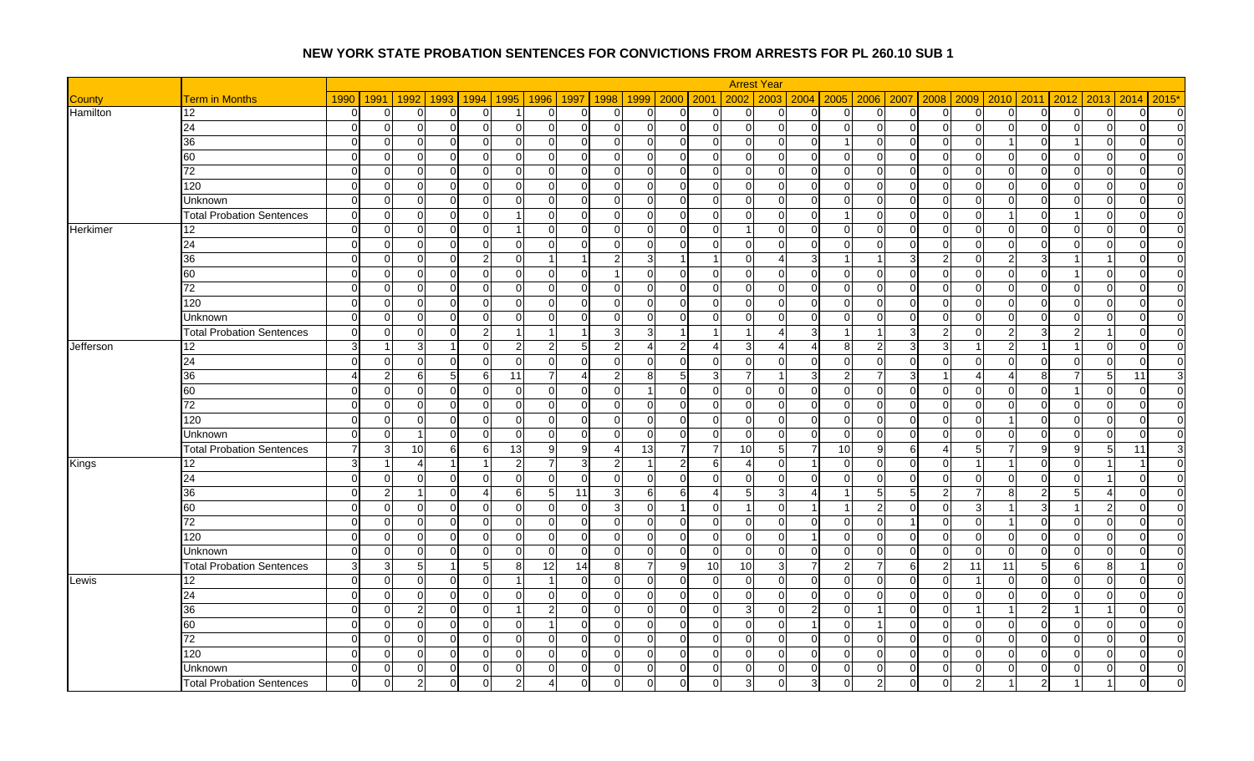|               |                                  |                |                |                            |                        |                |                |                         |                                  |                |                 | <b>Arrest Year</b>         |                         |                |                  |                                 |              |                |                |                         |                |                |
|---------------|----------------------------------|----------------|----------------|----------------------------|------------------------|----------------|----------------|-------------------------|----------------------------------|----------------|-----------------|----------------------------|-------------------------|----------------|------------------|---------------------------------|--------------|----------------|----------------|-------------------------|----------------|----------------|
| <b>County</b> | <b>Term in Months</b>            | 1990           | 1991           | 1992<br>1993               | 1994                   | 1995           |                | 1996   1997<br>1998     | 1999                             | 2000           | 2001            | 2002<br>2003               |                         | 2004 2005      |                  | 2006 2007<br>2008               | 2009         | 2010           | 2011           | 2012<br>2013            | 2014           | $2015*$        |
| Hamilton      | 12                               | $\overline{0}$ | $\overline{0}$ | ∩<br>U                     | $\overline{0}$         |                | $\Omega$       | $\Omega$<br>∩           | $\overline{0}$                   | $\Omega$       | $\overline{0}$  | $\mathbf 0$<br>$\Omega$    | $\Omega$                | $\overline{0}$ | $\overline{0}$   | $\overline{0}$<br>$\Omega$      |              | 0              | $\overline{0}$ | $\Omega$<br>0           | $\overline{0}$ | $\overline{0}$ |
|               | 24                               | $\Omega$       | $\mathbf 0$    | $\Omega$<br>$\Omega$       | $\overline{0}$         | $\overline{0}$ | $\Omega$       | $\mathbf 0$<br>$\Omega$ | $\overline{0}$                   | $\mathbf 0$    | $\overline{0}$  | $\overline{0}$<br>$\Omega$ | $\Omega$                | $\overline{0}$ | $\overline{0}$   | $\overline{0}$<br>$\Omega$      |              | $\Omega$       | $\overline{0}$ | $\Omega$<br>$\Omega$    | $\Omega$       | $\overline{0}$ |
|               | 36                               | $\Omega$       | $\overline{0}$ | $\Omega$<br>$\Omega$       | $\mathbf 0$            | $\overline{0}$ | $\Omega$       | $\mathbf 0$<br>$\Omega$ | $\overline{0}$                   | $\mathbf 0$    | $\overline{0}$  | $\overline{0}$             | $\Omega$<br>$\Omega$    |                | $\overline{0}$   | $\overline{0}$<br>$\Omega$      |              |                | $\overline{0}$ | $\Omega$                | $\Omega$       | $\overline{0}$ |
|               | 60                               | $\Omega$       | $\Omega$       | $\Omega$<br>$\Omega$       | $\Omega$               | $\overline{0}$ | $\overline{0}$ | $\Omega$<br>$\Omega$    | $\Omega$                         | $\mathbf 0$    | $\Omega$        | $\mathbf 0$<br>$\Omega$    | $\Omega$                | $\Omega$       | $\overline{0}$   | $\overline{0}$<br>$\Omega$      |              | $\Omega$       | $\overline{0}$ | $\Omega$<br>$\Omega$    | $\Omega$       | $\overline{0}$ |
|               | 72                               | $\Omega$       | $\Omega$       | ΩI<br>$\Omega$             | $\Omega$               | $\Omega$       | $\Omega$       | $\Omega$                | $\Omega$<br>$\Omega$             | $\Omega$       | $\Omega$        | $\Omega$<br>$\Omega$       | $\Omega$                | $\Omega$       | $\Omega$         | $\Omega$<br>$\Omega$            | $\Omega$     | $\Omega$       | $\Omega$       | $\Omega$<br>$\Omega$    | $\Omega$       | $\Omega$       |
|               | 120                              | $\Omega$       | $\Omega$       | $\Omega$<br>$\Omega$       | $\Omega$               | $\Omega$       | $\Omega$       | $\Omega$<br>$\Omega$    | $\Omega$                         | $\Omega$       | $\Omega$        | $\overline{0}$<br>$\Omega$ | $\Omega$                | $\overline{0}$ | $\overline{0}$   | $\Omega$<br>$\Omega$            |              | $\Omega$       | $\Omega$       | $\Omega$<br>$\Omega$    | $\Omega$       | $\Omega$       |
|               | Unknown                          | $\Omega$       | $\Omega$       | ΩI<br>∩                    | $\Omega$               | $\Omega$       | $\Omega$       | $\Omega$                | $\Omega$<br>$\Omega$             | $\Omega$       | $\Omega$        | $\Omega$                   | $\Omega$<br>$\Omega$    | $\Omega$       | $\overline{0}$   | $\Omega$<br>$\Omega$            | ΩI           | $\Omega$       | $\overline{0}$ | $\Omega$<br>$\Omega$    | $\Omega$       | $\Omega$       |
|               | <b>Total Probation Sentences</b> | $\Omega$       | $\Omega$       | $\Omega$                   | $\Omega$               |                | $\Omega$       | $\Omega$<br>$\Omega$    | $\Omega$                         | $\Omega$       | $\Omega$        | $\overline{0}$<br>$\Omega$ | $\Omega$                |                | $\overline{0}$   | $\overline{0}$<br>$\Omega$      |              |                | $\overline{0}$ | 0                       | $\Omega$       | $\overline{0}$ |
| Herkimer      | 12 <sup>2</sup>                  | $\Omega$       | $\Omega$       | $\Omega$<br>∩              | $\Omega$               |                | $\Omega$       | $\Omega$<br>$\Omega$    | $\Omega$                         | $\Omega$       | $\Omega$        | $\Omega$                   | $\Omega$                | $\Omega$       | $\Omega$         | $\overline{0}$<br>$\Omega$      | $\Omega$     | $\Omega$       | $\Omega$       | U<br>$\Omega$           | $\Omega$       | $\Omega$       |
|               | 24                               | $\Omega$       | 0              | $\Omega$<br>∩              | $\Omega$               | $\overline{0}$ | $\overline{0}$ | $\Omega$<br>∩           | $\Omega$                         | $\Omega$       | $\Omega$        | $\mathbf 0$<br>$\Omega$    | $\Omega$                | $\overline{0}$ | $\overline{0}$   | $\overline{0}$<br>$\Omega$      |              | $\Omega$       | $\overline{0}$ | $\Omega$<br>$\Omega$    | $\Omega$       | $\overline{0}$ |
|               | 36                               | $\Omega$       | $\Omega$       | $\Omega$<br>$\Omega$       | $\overline{2}$         | $\overline{0}$ | $\overline{1}$ | $\mathcal{P}$           | 3                                |                |                 | $\overline{0}$             | $\overline{\mathbf{3}}$ |                |                  | $\overline{3}$<br>2             |              |                | 3              |                         | $\Omega$       | $\overline{0}$ |
|               | 60                               | $\Omega$       | $\overline{0}$ | $\Omega$<br>$\Omega$       | $\mathbf 0$            | $\overline{0}$ | $\overline{0}$ | $\Omega$                | $\Omega$                         | $\Omega$       | $\Omega$        | $\overline{0}$<br>$\Omega$ | $\Omega$                | $\overline{0}$ | $\overline{0}$   | $\overline{0}$<br>$\Omega$      | $\cap$       | $\Omega$       | $\overline{0}$ | $\mathbf 0$             | $\Omega$       | $\overline{0}$ |
|               | 72                               | $\Omega$       | $\Omega$       | $\Omega$<br>$\Omega$       | $\Omega$               | $\Omega$       | $\Omega$       | $\Omega$<br>$\Omega$    | $\Omega$                         | $\Omega$       | $\Omega$        | $\overline{0}$<br>$\Omega$ | $\Omega$                | $\overline{0}$ | $\overline{0}$   | $\overline{0}$<br>$\Omega$      |              | $\Omega$       | $\Omega$       | $\Omega$<br>$\Omega$    | $\Omega$       | $\overline{0}$ |
|               | 120                              | $\Omega$       | $\overline{0}$ | $\Omega$<br>$\Omega$       | $\Omega$               | $\Omega$       | $\Omega$       | $\Omega$                | $\Omega$<br>$\Omega$             | $\Omega$       | $\Omega$        | $\overline{0}$<br>$\Omega$ | $\Omega$                | $\Omega$       | $\overline{0}$   | $\overline{0}$<br>$\Omega$      | $\Omega$     | $\Omega$       | $\Omega$       | $\Omega$<br>$\Omega$    | $\Omega$       | $\overline{0}$ |
|               | Unknown                          | $\Omega$       | $\Omega$       | $\Omega$<br>O              | $\Omega$               | $\Omega$       | $\overline{0}$ | $\Omega$                | $\Omega$<br>U                    | $\Omega$       | $\Omega$        | $\Omega$<br>$\Omega$       | $\Omega$                | $\Omega$       | $\overline{0}$   | $\overline{0}$<br>$\Omega$      |              | $\Omega$       | $\Omega$       | $\Omega$                | $\Omega$       | $\overline{0}$ |
|               | <b>Total Probation Sentences</b> | $\Omega$       | $\overline{0}$ | ΩI<br>$\Omega$             | $\overline{2}$         | -1             | $\overline{1}$ | 3                       | 3                                | $\overline{1}$ |                 | $\overline{1}$             | 3 <sup>l</sup>          |                |                  | $\overline{3}$<br>$\mathcal{P}$ | $\Omega$     | 2              | $\overline{3}$ | $\mathfrak{p}$<br>-1    | $\Omega$       | $\overline{0}$ |
| Jefferson     | 12                               | 3 <sup>1</sup> |                | 3                          | $\Omega$               | $\overline{2}$ | $\overline{2}$ | 5                       |                                  | $\overline{2}$ |                 | 3                          | $\Delta$                | 8              | $2 \overline{)}$ | 3<br>3                          |              |                |                | $\Omega$                | $\Omega$       | $\overline{0}$ |
|               | 24                               | $\Omega$       | $\Omega$       | ∩<br>$\Omega$              | $\Omega$               | $\Omega$       | $\Omega$       | $\Omega$                | $\Omega$<br>$\Omega$             | $\Omega$       | $\Omega$        | $\mathbf 0$<br>$\Omega$    | $\Omega$                | $\Omega$       | $\Omega$         | $\Omega$<br>$\Omega$            | $\Omega$     | $\Omega$       | $\Omega$       | $\Omega$<br>$\cap$      | $\Omega$       | $\Omega$       |
|               | 36                               | $\Delta$       | $\overline{2}$ | 51<br>6                    | 6                      | 11             | $\overline{7}$ | Δ                       | 8<br>2                           | 5              | 3               | $\overline{7}$             | 3                       | $\overline{2}$ | $\overline{7}$   | $\overline{3}$                  |              | Δ              | 8              | 7<br>5                  | 11             | $\overline{3}$ |
|               | 60                               | $\Omega$       | $\Omega$       | $\Omega$<br>$\Omega$       | $\Omega$               | $\Omega$       | $\Omega$       | $\Omega$<br>$\Omega$    |                                  | $\Omega$       | $\Omega$        | $\mathbf 0$<br>$\Omega$    | $\Omega$                | $\overline{0}$ | $\overline{0}$   | $\overline{0}$<br>$\Omega$      |              | O              | $\Omega$       | $\Omega$                | $\Omega$       | $\overline{0}$ |
|               | 72                               | $\Omega$       | $\overline{0}$ | $\Omega$<br>$\Omega$       | $\overline{0}$         | $\overline{0}$ | $\Omega$       | $\Omega$                | $\Omega$<br>$\Omega$             | $\Omega$       | $\Omega$        | $\overline{0}$<br>$\Omega$ | ΟI                      | $\overline{0}$ | $\overline{0}$   | $\overline{0}$<br>$\Omega$      | $\Omega$     | $\Omega$       | $\overline{0}$ | $\mathbf 0$<br>$\Omega$ | $\Omega$       | $\overline{0}$ |
|               | 120                              | $\Omega$       | $\Omega$       | $\Omega$<br>$\Omega$       | $\Omega$               | $\Omega$       | $\Omega$       | $\Omega$<br>$\Omega$    | $\Omega$                         | $\Omega$       | $\Omega$        | $\mathbf 0$<br>$\Omega$    | $\Omega$                | $\overline{0}$ | $\overline{0}$   | $\overline{0}$<br>$\Omega$      |              |                | $\Omega$       | $\Omega$<br>$\Omega$    | $\Omega$       | $\Omega$       |
|               | Unknown                          | $\Omega$       | $\Omega$       | $\overline{1}$<br>$\Omega$ | $\Omega$               | $\Omega$       | $\Omega$       | $\Omega$                | $\Omega$<br>$\Omega$             | $\Omega$       | $\Omega$        | $\Omega$<br>$\Omega$       | $\Omega$                | $\Omega$       | $\Omega$         | $\overline{0}$<br>$\Omega$      | $\Omega$     | $\Omega$       | $\Omega$       | $\Omega$<br>$\Omega$    | $\Omega$       | $\Omega$       |
|               | <b>Total Probation Sentences</b> | $\overline{7}$ | 3              | 10<br>6                    | 6                      | 13             | 9              | 9<br>4                  | 13                               | $\overline{7}$ |                 | 10<br>5                    | $\overline{7}$          | 10             | 9                | 6<br>4                          | 5            |                | 9              | 9<br>5                  | 11             | 3              |
| Kings         | 12                               | $\mathbf{3}$   | -1             | $\boldsymbol{\Delta}$      | -1                     | $\overline{2}$ | $\overline{7}$ | 3<br>2                  |                                  | $2 \vert$      | 6               | $\overline{4}$<br>$\Omega$ |                         | $\Omega$       | $\overline{0}$   | $\overline{0}$<br>$\Omega$      |              |                | $\overline{0}$ | $\Omega$                |                | $\overline{0}$ |
|               | $\overline{24}$                  | $\overline{0}$ | $\overline{0}$ | $\Omega$<br>∩              | $\Omega$               | $\overline{0}$ | $\overline{0}$ | $\mathbf 0$<br>$\Omega$ | $\overline{0}$                   | $\mathbf 0$    | $\mathbf 0$     | $\mathbf 0$<br>$\Omega$    | $\Omega$                | 0              | $\overline{0}$   | $\overline{0}$<br>0             |              | 0              | $\overline{0}$ | $\Omega$                | 0              | $\overline{0}$ |
|               | 36                               | $\Omega$       | $\overline{2}$ | -1<br>$\Omega$             | $\boldsymbol{\Lambda}$ | 6              | 5 <sub>l</sub> | 11<br>з                 | 6                                | 6              |                 | 5<br>Я                     | $\boldsymbol{\Lambda}$  |                | 5                | 5 <sub>l</sub><br>2             |              | R              | $\mathcal{P}$  | 5                       | $\Omega$       | $\overline{0}$ |
|               | 60                               | $\Omega$       | $\overline{0}$ | $\Omega$<br>$\Omega$       | $\overline{0}$         | $\overline{0}$ | $\overline{0}$ | $\mathbf 0$             | $\overline{0}$<br>3 <sup>l</sup> | $\mathbf 1$    | $\overline{0}$  | $\Omega$<br>-1             |                         |                | $\overline{2}$   | $\overline{0}$<br>$\Omega$      | 3            |                | $\overline{3}$ | $\overline{2}$          | $\overline{0}$ | $\overline{0}$ |
|               | 72                               | $\Omega$       | $\Omega$       | ∩                          | $\Omega$               | $\Omega$       | $\Omega$       | $\Omega$<br>$\Omega$    | $\Omega$                         | $\Omega$       | $\Omega$        | $\Omega$<br>$\Omega$       | ∩                       | $\Omega$       | $\Omega$         | ∩                               |              |                | $\Omega$       | ∩<br>$\Omega$           | $\Omega$       | $\Omega$       |
|               | 120                              | $\Omega$       | $\Omega$       | $\Omega$<br>$\Omega$       | $\Omega$               | $\Omega$       | $\Omega$       | $\Omega$                | $\Omega$<br>$\Omega$             | $\Omega$       | $\Omega$        | $\overline{0}$<br>$\Omega$ |                         | $\overline{0}$ | $\Omega$         | $\overline{0}$<br>$\Omega$      | $\Omega$     | $\Omega$       | $\Omega$       | $\Omega$<br>$\Omega$    | $\Omega$       | $\Omega$       |
|               | Unknown                          | $\Omega$       | $\Omega$       | $\Omega$                   | $\Omega$               | $\Omega$       | $\Omega$       | $\Omega$<br>$\Omega$    | $\Omega$                         | $\Omega$       | $\Omega$        | $\Omega$<br>$\Omega$       | $\Omega$                | $\Omega$       | $\Omega$         | $\Omega$<br>$\sqrt{ }$          |              | $\Omega$       | $\Omega$       | $\Omega$<br>$\Omega$    | $\Omega$       | $\overline{0}$ |
|               | <b>Total Probation Sentences</b> | 3              | $\overline{3}$ | 5                          | $5\overline{)}$        | 8              | 12             | 14                      | 81<br>$\overline{7}$             | 9              | 10 <sup>1</sup> | 10<br>3                    | $\overline{7}$          | $\overline{2}$ | $\overline{7}$   | 6<br>2                          | 11           | 11             | -5             | -61<br>8                |                | $\Omega$       |
| Lewis         | 12                               | $\Omega$       | $\Omega$       | $\Omega$<br>$\Omega$       | $\overline{0}$         |                | $\mathbf{1}$   | $\Omega$<br>∩           | $\Omega$                         | $\Omega$       | $\Omega$        | $\mathbf 0$<br>$\Omega$    | $\Omega$                | $\overline{0}$ | $\overline{0}$   | $\overline{0}$<br>$\Omega$      |              | $\Omega$       | $\Omega$       | $\Omega$<br>$\Omega$    | $\Omega$       | $\overline{0}$ |
|               | 24                               | $\Omega$       | $\Omega$       | $\Omega$<br>$\Omega$       | $\Omega$               | $\Omega$       | $\Omega$       | $\Omega$                | $\Omega$<br>ΩI                   | $\Omega$       | $\Omega$        | $\overline{0}$             | $\Omega$<br>$\Omega$    | $\Omega$       | $\overline{0}$   | $\overline{0}$<br>$\Omega$      | $\Omega$     | $\Omega$       | $\overline{0}$ | $\Omega$<br>$\Omega$    | $\Omega$       | $\Omega$       |
|               | 36                               | $\Omega$       | $\Omega$       | $\overline{2}$<br>$\Omega$ | $\overline{0}$         | -1             | $2 \vert$      | $\Omega$<br>$\Omega$    | $\overline{0}$                   | $\mathbf 0$    | $\mathbf 0$     | 3<br>$\Omega$              | $\overline{2}$          | $\overline{0}$ |                  | $\overline{0}$<br>$\Omega$      |              |                | $\overline{2}$ |                         | $\Omega$       | $\overline{0}$ |
|               | 60                               | $\Omega$       | $\Omega$       | $\Omega$<br>$\Omega$       | $\Omega$               | $\Omega$       | $\overline{1}$ | $\Omega$<br>$\Omega$    | $\Omega$                         | $\Omega$       | $\Omega$        | $\overline{0}$<br>$\Omega$ |                         | $\Omega$       |                  | $\Omega$<br>$\Omega$            | $\Omega$     | $\Omega$       | $\Omega$       | $\Omega$<br>$\Omega$    | $\Omega$       | $\overline{0}$ |
|               | $\overline{72}$                  | $\Omega$       | $\overline{0}$ | $\Omega$<br>$\Omega$       | $\Omega$               | $\overline{0}$ | $\overline{0}$ | $\mathbf 0$             | $\overline{0}$<br>$\Omega$       | $\Omega$       | $\Omega$        | $\overline{0}$<br>$\Omega$ | $\Omega$                | $\overline{0}$ | $\overline{0}$   | $\overline{0}$<br>$\Omega$      | <sup>n</sup> | $\overline{0}$ | $\overline{0}$ | $\Omega$<br>$\mathbf 0$ | $\Omega$       | $\overline{0}$ |
|               | 120                              | $\Omega$       | $\Omega$       | ∩<br>∩                     | $\Omega$               | $\overline{0}$ | $\Omega$       | $\Omega$                | $\Omega$<br>∩                    | $\Omega$       | $\Omega$        | $\overline{0}$<br>$\Omega$ | U                       | $\overline{0}$ | $\overline{0}$   | $\overline{0}$<br>$\Omega$      |              | O              | $\overline{0}$ | ∩<br>$\Omega$           | $\Omega$       | $\overline{0}$ |
|               | Unknown                          | $\overline{0}$ | $\overline{0}$ | $\Omega$<br>$\Omega$       | $\overline{0}$         | $\overline{0}$ | $\overline{0}$ | $\mathbf 0$<br>∩        | $\overline{0}$                   | $\mathbf 0$    | $\overline{0}$  | $\mathbf 0$                | $\Omega$<br>$\Omega$    | $\overline{0}$ | $\overline{0}$   | $\overline{0}$<br>$\Omega$      | $\Omega$     | 0              | $\overline{0}$ | 0<br>$\mathbf 0$        | $\Omega$       | $\overline{0}$ |
|               | <b>Total Probation Sentences</b> | $\Omega$       | $\Omega$       | 2<br>$\Omega$              | $\Omega$               |                | Δ              | $\Omega$                | $\Omega$                         | $\Omega$       | $\Omega$        | 3<br>$\Omega$              | 3 <sub>l</sub>          | $\Omega$       | $\overline{2}$   | $\Omega$                        |              |                | 2              |                         | $\Omega$       | $\Omega$       |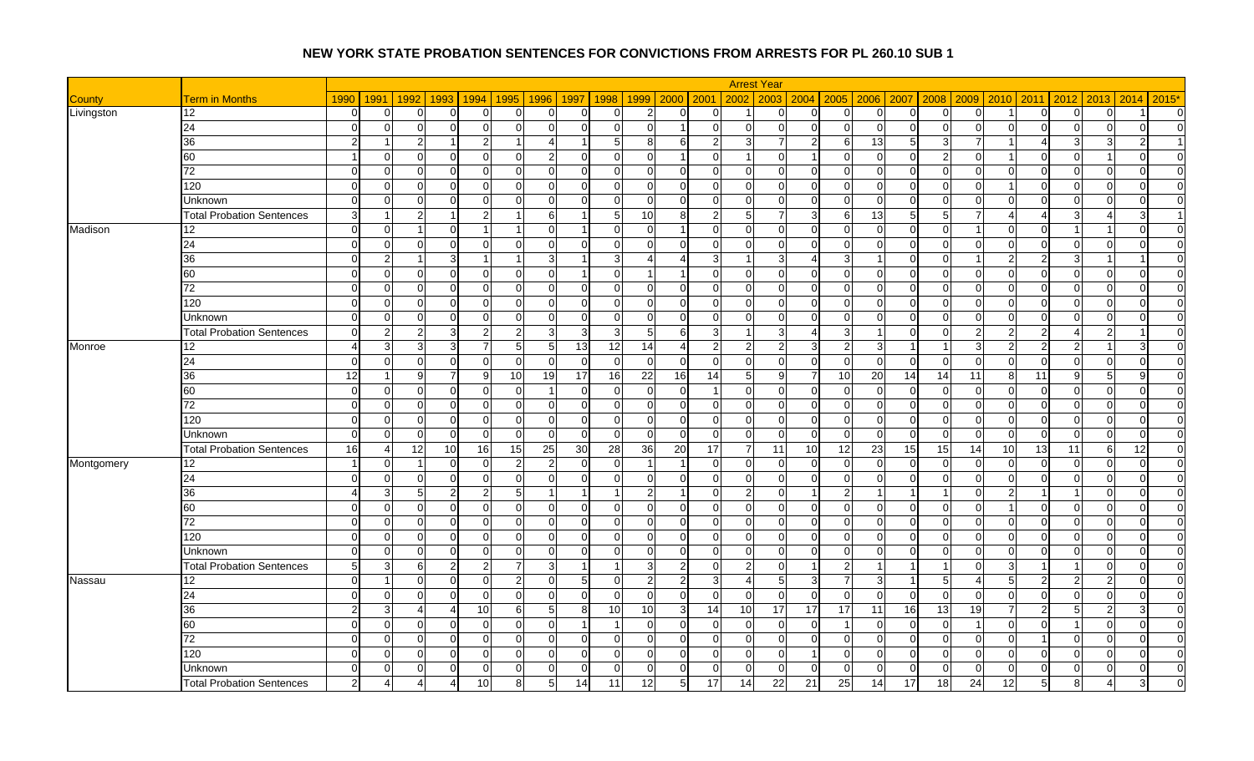|               |                                  |          |                |                      |                |                 |                         |                |                |                |                      | <b>Arrest Year</b>               |              |                 |                                  |                            |                      |                |                |                                  |              |                |
|---------------|----------------------------------|----------|----------------|----------------------|----------------|-----------------|-------------------------|----------------|----------------|----------------|----------------------|----------------------------------|--------------|-----------------|----------------------------------|----------------------------|----------------------|----------------|----------------|----------------------------------|--------------|----------------|
| <b>County</b> | <b>Term in Months</b>            | 1990     | 1991           | 1992<br>1993         | 1994           | 1995            | 1996                    | 1997<br>1998   | 1999           |                | 2000 2001            | 2002<br>2003                     |              | $2004$ 2005     |                                  | 2006 2007<br>2008          | 2009                 | 2010           | 2011           | 2012<br>2013                     | 2014         | $2015*$        |
| Livingston    | 12                               | $\Omega$ | $\overline{0}$ | ∩<br>∩               | 0              | $\overline{0}$  | 0                       | $\Omega$       | U              | $\overline{2}$ | $\Omega$             | 0                                | $\Omega$     | $\Omega$        | $\mathbf 0$<br>$\overline{0}$    | $\overline{0}$             | ∩                    |                | $\mathbf 0$    | $\Omega$<br>0                    |              | $\overline{0}$ |
|               | 24                               | $\Omega$ | $\overline{0}$ | $\Omega$             | $\Omega$       | $\Omega$        | $\overline{0}$          | $\Omega$       | ∩              | $\Omega$       | $\blacktriangleleft$ | $\Omega$<br>$\Omega$             | $\Omega$     | $\Omega$        | $\overline{0}$<br>$\overline{0}$ | $\overline{0}$             | $\Omega$<br>∩        | $\Omega$       | $\mathbf 0$    | $\Omega$<br>$\Omega$             | $\Omega$     | $\Omega$       |
|               | 36                               | 2        |                | $\overline{2}$       | $\overline{2}$ |                 | $\boldsymbol{\Delta}$   |                | 5              | 8              | 6                    | $\overline{2}$<br>3              |              | 2 <sub>l</sub>  | 13<br>6                          | 5                          | p                    |                | $\overline{4}$ | 3<br>3                           |              |                |
|               | 60                               |          | $\overline{0}$ | $\Omega$             | $\Omega$       | $\Omega$        | $\mathbf{2}$            | $\Omega$       | U              | $\Omega$       | $\blacktriangleleft$ | $\Omega$<br>$\overline{1}$       | $\Omega$     | 1               | $\overline{0}$<br>$\overline{0}$ | $\mathbf 0$                | 2                    |                | $\mathbf 0$    | $\Omega$                         | $\Omega$     | $\Omega$       |
|               | 72                               | $\Omega$ | $\overline{0}$ | $\Omega$<br>$\Omega$ | $\Omega$       | $\Omega$        | $\Omega$                | $\Omega$       | $\Omega$       | $\Omega$       | $\Omega$             | $\Omega$<br>$\Omega$             | $\Omega$     | $\Omega$        | $\Omega$<br>$\Omega$             | $\Omega$<br>$\Omega$       | $\Omega$             | $\Omega$       | $\Omega$       | $\Omega$<br>$\Omega$             | $\Omega$     | $\Omega$       |
|               | 120                              | $\Omega$ | $\overline{0}$ | C                    | 0              | $\Omega$        | $\Omega$                | $\Omega$       | n              | $\Omega$       | $\Omega$             | $\Omega$<br>$\Omega$             | $\Omega$     | $\Omega$        | $\overline{0}$<br>$\Omega$       | $\Omega$                   | $\Omega$<br>∩        |                | $\Omega$       | $\Omega$<br>$\Omega$             | $\Omega$     | $\Omega$       |
|               | Unknown                          | $\Omega$ | $\overline{0}$ | $\Omega$<br>∩        | $\Omega$       | $\Omega$        | $\Omega$                | $\Omega$       | U              | $\Omega$       | $\Omega$             | $\Omega$<br>$\Omega$             | $\Omega$     | $\Omega$        | $\Omega$<br>$\Omega$             | $\Omega$                   | $\Omega$<br>$\Omega$ | $\Omega$       | $\Omega$       | $\Omega$<br>$\Omega$             | $\Omega$     | $\Omega$       |
|               | <b>Total Probation Sentences</b> | 3        | -1             | 2                    | $\overline{2}$ |                 | 6                       |                | 5              | 10             | 8                    | $\overline{2}$<br>5              |              | $\overline{3}$  | 13<br>6                          | 5                          | 5                    |                | 4              | 3                                | $\mathbf{3}$ |                |
| Madison       | 12                               | $\Omega$ | $\overline{0}$ |                      | -1             |                 | $\Omega$                |                | ∩              | $\Omega$       | -1                   | $\Omega$<br>$\Omega$             | $\Omega$     | $\Omega$        | $\Omega$<br>$\Omega$             | $\Omega$<br>$\cap$         |                      | $\Omega$       | $\Omega$       |                                  | $\Omega$     | $\overline{0}$ |
|               | 24                               | $\Omega$ | $\overline{0}$ | $\Omega$<br>∩        | 0              | <sup>O</sup>    | 0                       | $\Omega$       | n              | <sup>O</sup>   | ∩                    | $\Omega$<br>$\Omega$             | $\Omega$     | 0               | $\mathbf 0$<br>$\Omega$          | $\mathbf 0$                | $\Omega$             | 0              | $\overline{0}$ | $\Omega$<br>$\Omega$             | $\Omega$     | $\overline{0}$ |
|               | 36                               | $\Omega$ | $\overline{2}$ |                      |                |                 | $\overline{3}$          |                | 3              |                | Δ                    | 3<br>$\overline{1}$              |              | Δ               | 3                                | $\overline{0}$             | $\Omega$             |                | $\overline{2}$ | 3                                |              | $\overline{0}$ |
|               | 60                               | $\Omega$ | $\overline{0}$ | $\Omega$             | $\mathbf 0$    | $\overline{0}$  | $\overline{0}$          |                | $\Omega$       |                | $\overline{1}$       | $\Omega$<br>$\mathbf{0}$         | $\Omega$     | ΩI              | $\mathbf 0$<br>$\overline{0}$    | $\overline{0}$             | $\Omega$<br>∩        | $\Omega$       | $\mathbf 0$    | $\Omega$<br>$\mathbf 0$          | $\Omega$     | $\overline{0}$ |
|               | 72                               | $\Omega$ | $\overline{0}$ | $\Omega$             | $\mathbf 0$    | $\Omega$        | $\Omega$                | $\Omega$       | $\Omega$       | $\Omega$       | $\Omega$             | $\Omega$<br>$\Omega$             | $\Omega$     | $\Omega$        | $\overline{0}$<br>$\Omega$       | $\mathbf{0}$               | $\Omega$<br>$\Omega$ | $\Omega$       | $\Omega$       | $\Omega$<br>$\Omega$             | $\Omega$     | $\overline{0}$ |
|               | 120                              | $\Omega$ | $\overline{0}$ | $\Omega$<br>$\Omega$ | $\mathbf 0$    | $\Omega$        | $\overline{0}$          | $\Omega$       | $\Omega$       | $\Omega$       | $\Omega$             | $\Omega$<br>$\Omega$             | $\Omega$     | $\Omega$        | $\overline{0}$<br>$\Omega$       | $\Omega$<br>$\Omega$       | $\Omega$             | $\Omega$       | $\Omega$       | $\Omega$<br>$\Omega$             | $\Omega$     | $\overline{0}$ |
|               | <b>Unknown</b>                   | $\Omega$ | $\overline{0}$ | $\sqrt{ }$           | $\Omega$       | $\Omega$        | $\Omega$                | $\Omega$       | n              |                | $\Omega$             | $\Omega$<br>$\Omega$             | $\Omega$     | $\Omega$        | $\overline{0}$<br>$\Omega$       | $\Omega$                   | $\sqrt{ }$           | $\Omega$       | $\Omega$       | $\Omega$<br>$\Omega$             | $\Omega$     | $\overline{0}$ |
|               | <b>Total Probation Sentences</b> | $\Omega$ | $\overline{2}$ | 2<br>ঽ               | $\overline{2}$ | $\overline{2}$  | 3 <sup>1</sup>          | 3              | з              | 5              | 6                    | 3<br>$\overline{1}$              | З            | $\overline{4}$  | 3<br>$\overline{1}$              | $\overline{0}$             | $\Omega$<br>っ        | 2              | $\overline{2}$ | 4<br>2                           |              | $\overline{0}$ |
| Monroe        | 12                               |          | $\mathbf{3}$   | 3                    |                | 5               | 5 <sub>5</sub>          | 13             | 12             | 14             | Δ                    | $\overline{2}$<br>$\overline{2}$ |              | 3 <sup>1</sup>  | $\mathfrak{p}$<br>3 <sup>l</sup> |                            |                      |                | $\overline{2}$ | $\overline{2}$                   |              | $\Omega$       |
|               | 24                               | $\Omega$ | $\overline{0}$ | $\Omega$<br>∩        | $\Omega$       | $\Omega$        | $\Omega$                | $\sqrt{ }$     | $\Omega$       | $\Omega$       | ∩                    | $\Omega$<br>$\Omega$             | $\Omega$     | $\Omega$        | $\Omega$<br>$\Omega$             | $\Omega$<br>C              | $\Omega$             | $\Omega$       | $\Omega$       | $\Omega$<br>$\cap$               | $\Omega$     | $\Omega$       |
|               | 36                               | 12       | -1             | 9                    | 9              | 10 <sup>1</sup> | 19                      | 17             | 16             | 22             | 16<br>14             | 5                                | <sub>9</sub> | 10<br>7         | 20                               | 14<br>14                   | 11                   | 8              | 11             | 9<br>5                           | 9            | $\overline{0}$ |
|               | 60                               | $\Omega$ | $\overline{0}$ | $\Omega$             | $\Omega$       | $\Omega$        | $\overline{1}$          | $\Omega$       | U              | $\Omega$       | $\Omega$             | $\Omega$                         | $\Omega$     | U               | $\Omega$<br>$\Omega$             | $\Omega$                   | $\Omega$<br>$\Omega$ | $\Omega$       | $\Omega$       | $\Omega$<br>$\Omega$             | $\Omega$     | $\Omega$       |
|               | 72                               | $\Omega$ | $\overline{0}$ | $\Omega$<br>∩        | $\overline{0}$ | 0               | 0                       | $\overline{0}$ | $\Omega$       | $\Omega$       | $\Omega$             | $\Omega$<br>$\overline{0}$       | $\Omega$     | $\Omega$        | $\overline{0}$<br>$\overline{0}$ | $\overline{0}$             | $\Omega$<br>$\Omega$ | $\Omega$       | $\overline{0}$ | $\Omega$<br>$\mathbf 0$          | $\Omega$     | $\overline{0}$ |
|               | 120                              | $\Omega$ | $\overline{0}$ | $\Omega$             | $\mathbf 0$    | $\Omega$        | $\mathbf 0$             | $\overline{0}$ | $\Omega$       | $\Omega$       | $\Omega$             | $\Omega$<br>$\Omega$             | $\Omega$     | $\Omega$        | $\overline{0}$<br>$\Omega$       | $\mathbf 0$                | $\Omega$             | $\Omega$       | $\Omega$       | $\Omega$<br>$\Omega$             | $\Omega$     | $\Omega$       |
|               | Unknown                          | $\Omega$ | $\overline{0}$ | $\Omega$<br>$\Omega$ | $\Omega$       | $\Omega$        | $\Omega$                | $\Omega$       | $\Omega$       | $\Omega$       | $\Omega$             | $\Omega$<br>$\Omega$             | $\Omega$     | $\Omega$        | $\Omega$<br>$\Omega$             | $\Omega$<br>$\Omega$       | $\overline{0}$       | $\Omega$       | $\Omega$       | $\Omega$<br>$\Omega$             | $\Omega$     | $\overline{0}$ |
|               | <b>Total Probation Sentences</b> | 16       | $\overline{4}$ | 12<br>10             | 16             | 15              | 25                      | 30             | 28             | 36             | 20<br>17             | $\overline{7}$                   | 11           | 10 <sup>1</sup> | 12<br>23                         | 15<br>15                   | 14                   | 10             | 13             | 11<br>6                          | 12           | $\Omega$       |
| Montgomery    | 12                               |          | $\overline{0}$ | -1<br>∩              | 0              | $\overline{2}$  | $\overline{2}$          | $\Omega$       | $\Omega$       |                | $\overline{1}$       | $\Omega$<br>$\Omega$             | $\Omega$     | $\Omega$        | $\Omega$<br>$\Omega$             | $\Omega$<br>C              | $\Omega$             | $\Omega$       | $\mathbf 0$    | $\Omega$<br>$\Omega$             | $\Omega$     | $\overline{0}$ |
|               | 24                               | $\Omega$ | $\overline{0}$ | $\Omega$<br>∩        | 0              | 0               | $\overline{0}$          | $\Omega$       | U              | 0              | $\Omega$             | $\Omega$<br>$\mathbf 0$          | $\Omega$     | $\Omega$        | $\mathbf 0$<br>$\overline{0}$    | $\mathbf 0$                | $\Omega$             | $\overline{0}$ | $\mathbf 0$    | $\Omega$<br>0                    | 0            | $\overline{0}$ |
|               | 36                               |          | $\overline{3}$ | っ<br>5               | $\overline{2}$ | 5               | $\overline{\mathbf{1}}$ |                |                | $\mathcal{D}$  | $\overline{1}$       | $\Omega$<br>$\overline{2}$       | $\Omega$     | 1               | $\mathcal{P}$                    |                            | $\Omega$             |                | -1             | $\Omega$                         | $\Omega$     | $\overline{0}$ |
|               | 60                               | $\Omega$ | $\overline{0}$ | $\Omega$<br>∩        | $\mathbf 0$    | $\overline{0}$  | $\overline{0}$          | $\Omega$       | $\Omega$       | $\overline{0}$ | $\Omega$             | $\overline{0}$<br>$\mathbf{0}$   | $\Omega$     | $\Omega$        | $\mathbf 0$<br>$\overline{0}$    | $\overline{0}$             | $\Omega$<br>$\Omega$ |                | $\mathbf 0$    | $\Omega$<br>$\mathbf 0$          | $\Omega$     | $\overline{0}$ |
|               | 72                               | $\Omega$ | $\overline{0}$ | $\Omega$             | $\Omega$       | $\Omega$        | $\Omega$                | $\Omega$       | n              |                | ∩                    | $\Omega$<br>$\Omega$             | $\Omega$     | U               | $\Omega$<br>$\Omega$             | $\Omega$                   | C<br>∩               | O              | $\Omega$       | ∩<br>$\Omega$                    | $\Omega$     | $\Omega$       |
|               | 120                              | $\Omega$ | $\overline{0}$ | $\Omega$<br>∩        | $\mathbf 0$    | $\Omega$        | $\Omega$                | $\Omega$       | $\Omega$       | $\Omega$       | $\Omega$             | $\Omega$<br>$\Omega$             | $\Omega$     | $\Omega$        | $\Omega$<br>$\Omega$             | $\Omega$<br>$\Omega$       | $\Omega$             | $\Omega$       | $\Omega$       | $\Omega$<br>$\Omega$             | $\Omega$     | $\Omega$       |
|               | <b>Unknown</b>                   | $\Omega$ | $\Omega$       | $\sqrt{ }$           | $\Omega$       | $\Omega$        | $\Omega$                | $\Omega$       |                | $\Omega$       | $\Omega$             | $\Omega$<br>$\Omega$             | $\Omega$     | U               | $\Omega$<br>$\Omega$             | $\Omega$                   | $\sqrt{ }$           | $\Omega$       | $\Omega$       | $\Omega$<br>$\Omega$             | $\Omega$     | $\overline{0}$ |
|               | <b>Total Probation Sentences</b> | 5        | $\mathbf{3}$   | 6<br>2               | $\overline{2}$ | 7               | $\mathbf{3}$            | -1             | $\overline{1}$ | $\mathbf{3}$   | $\overline{2}$       | $\overline{0}$<br>$\overline{2}$ | $\Omega$     | 1               | $\overline{2}$<br>$\overline{1}$ | -1                         | $\Omega$<br>1        | $\overline{3}$ | $\overline{1}$ | $\Omega$                         | $\Omega$     | $\Omega$       |
| Nassau        | 12                               | $\Omega$ |                | C                    | 0              | $\overline{2}$  | $\overline{0}$          | 5              | U              | 2              | $\overline{2}$       | 3<br>$\overline{4}$              | 5            | $\overline{3}$  | $\overline{3}$                   | -1                         | 5                    | 5              | $\overline{2}$ | $\overline{2}$<br>2              | $\Omega$     | $\Omega$       |
|               | 24                               | $\Omega$ | $\overline{0}$ | $\Omega$<br>∩        | 0              | $\Omega$        | $\overline{0}$          | $\Omega$       | ∩              | $\Omega$       | $\Omega$             | $\Omega$<br>$\Omega$             | $\Omega$     | $\Omega$        | $\Omega$<br>$\Omega$             | $\Omega$<br>$\Omega$       | $\Omega$             | $\Omega$       | $\mathbf 0$    | $\Omega$<br>$\Omega$             | $\Omega$     | $\overline{0}$ |
|               | 36                               |          | $\mathbf{3}$   | ∠                    | 10             | 6               | $5\overline{)}$         | 8              | 10             | 10             | 3 <sup>1</sup><br>14 | $\overline{10}$                  | 17           | 17<br>17        | 11                               | 16<br>$\overline{13}$      | 19                   |                | $\overline{2}$ | 5 <sub>5</sub><br>$\overline{2}$ | 3            | $\overline{0}$ |
|               | 60                               | $\Omega$ | $\overline{0}$ | $\sqrt{ }$<br>∩      | $\Omega$       | $\Omega$        | $\Omega$                |                |                | $\Omega$       | $\cap$               | $\Omega$<br>$\Omega$             | $\Omega$     | $\Omega$        | $\Omega$                         | $\Omega$<br>C              |                      | $\Omega$       | $\Omega$       | $\Omega$                         | $\Omega$     | $\overline{0}$ |
|               | $\overline{72}$                  | $\Omega$ | $\overline{0}$ | $\Omega$<br>∩        | $\mathbf 0$    | $\Omega$        | $\overline{0}$          | $\Omega$       | U              | $\Omega$       | $\Omega$             | $\Omega$<br>$\mathbf 0$          | $\Omega$     | $\Omega$        | $\mathbf 0$<br>$\overline{0}$    | $\mathbf{0}$               | $\Omega$<br>∩        | $\overline{0}$ |                | $\Omega$<br>$\mathbf 0$          | $\Omega$     | $\overline{0}$ |
|               | 120                              | $\Omega$ | $\overline{0}$ | $\sqrt{ }$           | $\Omega$       | $\Omega$        | $\Omega$                | $\Omega$       |                |                | ∩                    | $\Omega$<br>$\Omega$             | $\Omega$     |                 | $\Omega$<br>$\Omega$             | $\mathbf{0}$               | $\sqrt{ }$           | O              | $\Omega$       | ∩<br>$\Omega$                    | $\Omega$     | $\overline{0}$ |
|               | Unknown                          | $\Omega$ | $\overline{0}$ | $\Omega$             | $\mathbf 0$    | $\overline{0}$  | $\overline{0}$          | $\overline{0}$ | U              | 0              | $\Omega$             | $\overline{0}$<br>$\mathbf 0$    | $\Omega$     | $\Omega$        | $\mathbf 0$<br>$\overline{0}$    | $\overline{0}$<br>$\Omega$ | $\Omega$             | $\Omega$       | $\mathbf 0$    | $\Omega$<br>$\mathbf 0$          | $\Omega$     | $\overline{0}$ |
|               | <b>Total Probation Sentences</b> | 2        | $\overline{4}$ |                      | 10             | 8               | 5 <sub>l</sub>          | 14             | 11             | 12             | 17<br>5              | 14                               | 22           | 25<br>21        | 14                               | 17<br>18                   | 24                   | 12             | 5              | 8                                | 3            | $\Omega$       |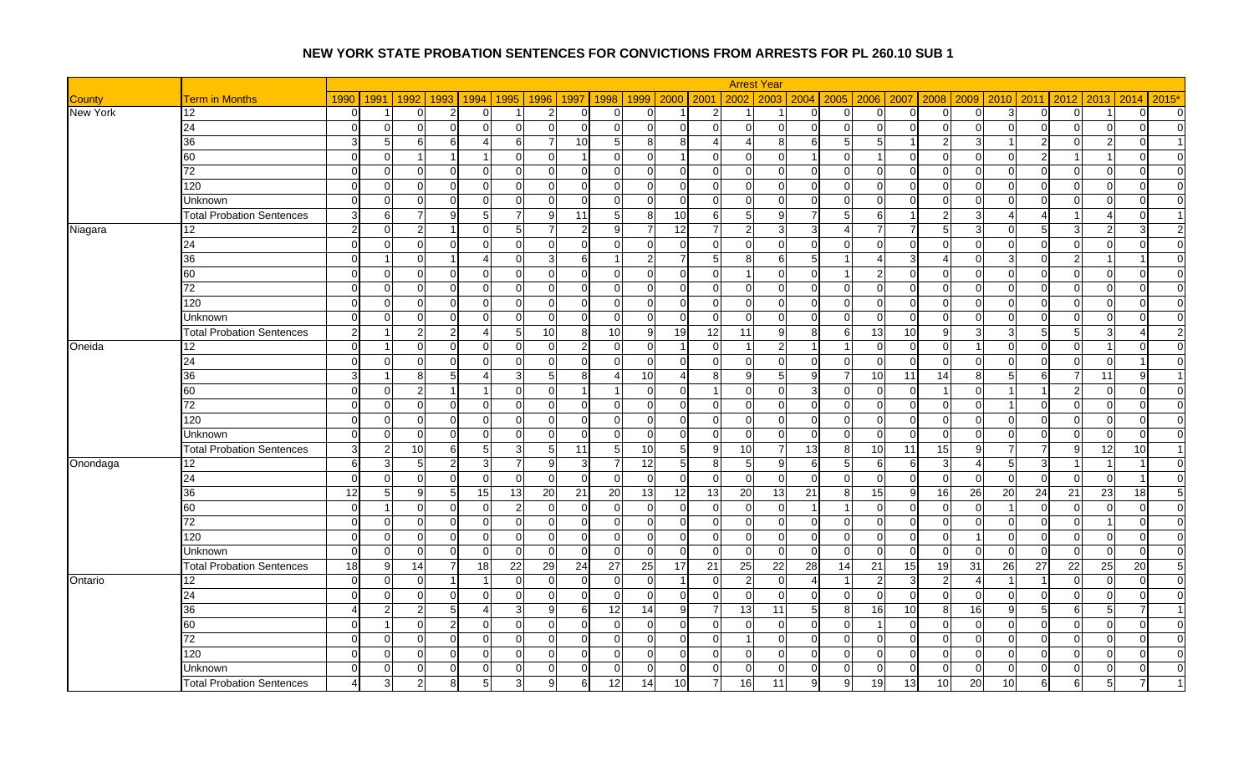|                 |                                  |                |                |                            |                 |                 |                 |                       |                            |                       |                 | <b>Arrest Year</b>              |                            |                            |                                  |          |                |                |                               |                |                 |
|-----------------|----------------------------------|----------------|----------------|----------------------------|-----------------|-----------------|-----------------|-----------------------|----------------------------|-----------------------|-----------------|---------------------------------|----------------------------|----------------------------|----------------------------------|----------|----------------|----------------|-------------------------------|----------------|-----------------|
| County          | <b>Term in Months</b>            | 1990           | 1991           | 1992                       | 1993 1994       | 1995            | 1996            | 1997<br>1998          |                            | 1999 2000             | 2001            | 2003<br>2002                    | $2004$ 2005                |                            | 2006 2007<br>2008                | 2009     | 2010           | 2011           | 2012<br>2013                  | 2014           | $2015*$         |
| <b>New York</b> | 12                               | $\overline{0}$ | -1             | $\Omega$<br>$\overline{2}$ | $\overline{0}$  |                 | $2 \vert$       | $\Omega$              | $\overline{0}$<br>$\Omega$ | -1                    | 2               | -1                              | $\overline{0}$<br>$\Omega$ | $\overline{0}$             | $\overline{0}$<br>$\Omega$       | $\Omega$ | $\overline{3}$ | $\overline{0}$ | $\Omega$<br>-1                | $\Omega$       | $\overline{0}$  |
|                 | 24                               | $\Omega$       | $\Omega$       | $\Omega$<br>$\Omega$       | $\Omega$        | $\Omega$        | $\Omega$        | $\Omega$              | $\overline{0}$<br>$\Omega$ | $\Omega$              | $\Omega$        | $\overline{0}$<br>$\Omega$      | $\Omega$<br>$\overline{0}$ | $\overline{0}$             | $\overline{0}$<br>$\Omega$       |          | $\Omega$       | $\Omega$       | $\Omega$<br>$\Omega$          | $\Omega$       | $\Omega$        |
|                 | 36                               | $\mathbf{3}$   | 5              | 6<br>61                    | 4               | 6I              | $\overline{7}$  | 10                    | 8 <sup>1</sup><br>-51      | 8                     | 4               | $\overline{4}$<br>8             | 6I<br>$5 \,$               | $5 \vert$                  | $\overline{2}$<br>-1             |          |                | $\overline{2}$ | $\Omega$<br>2                 | $\Omega$       |                 |
|                 | 60                               | $\Omega$       | $\Omega$       |                            |                 | $\Omega$        | $\Omega$        |                       | $\Omega$<br>∩              |                       | $\Omega$        | $\overline{0}$<br>$\Omega$      | $\Omega$                   |                            | $\Omega$<br>$\mathcal{C}$        |          |                | $\overline{2}$ |                               | $\Omega$       | $\overline{0}$  |
|                 | 72                               | $\Omega$       | $\Omega$       | $\Omega$<br>ΩI             | $\Omega$        | $\Omega$        | $\Omega$        | $\Omega$              | $\Omega$<br>$\Omega$       | $\Omega$              | $\Omega$        | $\Omega$<br>$\Omega$            | $\Omega$<br>$\Omega$       | $\overline{0}$             | $\overline{0}$<br>$\Omega$       | $\Omega$ | $\Omega$       | $\Omega$       | $\Omega$<br>$\Omega$          | $\Omega$       | $\overline{0}$  |
|                 | 120                              | $\Omega$       | $\Omega$       | $\Omega$<br>0              | $\Omega$        | $\Omega$        | $\overline{0}$  | $\Omega$              | $\Omega$<br>$\Omega$       | $\Omega$              | $\Omega$        | $\mathbf 0$<br>$\Omega$         | $\Omega$<br>$\overline{0}$ | $\overline{0}$             | $\overline{0}$<br>$\Omega$       |          | $\Omega$       | $\overline{0}$ | $\Omega$<br>0                 | $\Omega$       | $\overline{0}$  |
|                 | Unknown                          | $\Omega$       | $\Omega$       | $\Omega$<br>∩              | $\Omega$        | $\Omega$        | $\Omega$        | $\Omega$              | $\Omega$<br>∩              | $\Omega$              | $\Omega$        | $\mathbf 0$<br>$\Omega$         | $\Omega$<br>$\Omega$       | $\overline{0}$             | $\overline{0}$<br>C              |          | 0              | $\overline{0}$ | $\Omega$<br>$\cap$            | ∩              | $\Omega$        |
|                 | <b>Total Probation Sentences</b> | 3I             | 6              |                            | $5\overline{)}$ | 7               | 9               | 11                    | 8<br>-5                    | 10                    | 6               | 5<br>9                          | 5                          | 6                          | $\overline{2}$                   |          |                | $\overline{4}$ |                               | 0              |                 |
| Niagara         | 12 <sup>°</sup>                  | $\overline{2}$ | $\Omega$       | 2                          | $\Omega$        | 5               | $\overline{7}$  | 2                     | Q                          | 12                    |                 | $\overline{2}$                  | 3                          | $\overline{7}$             | $\overline{5}$<br>$\overline{7}$ |          | $\Omega$       | 5              | 3<br>່າ                       | ર              | $\overline{2}$  |
|                 | 24                               | $\overline{0}$ | $\overline{0}$ | $\Omega$<br>$\Omega$       | $\overline{0}$  | $\overline{0}$  | $\overline{0}$  | $\mathbf 0$           | $\overline{0}$<br>$\Omega$ | $\mathbf 0$           | $\overline{0}$  | $\mathbf 0$<br>$\overline{0}$   | 01<br>$\overline{0}$       | $\overline{0}$             | $\overline{0}$<br>$\Omega$       | $\Omega$ | $\overline{0}$ | $\overline{0}$ | $\overline{0}$<br>$\mathbf 0$ | $\overline{0}$ | $\overline{0}$  |
|                 | 36                               | $\Omega$       |                | $\cap$                     | Δ               | $\overline{0}$  | 3 <sup>l</sup>  | 6                     |                            | 7                     | 5               | 8<br>6                          | 5                          | $\boldsymbol{\mathcal{A}}$ | $\overline{3}$<br>Δ              |          | 3              | $\overline{0}$ | $\mathfrak{p}$                |                | $\Omega$        |
|                 | 60                               | $\Omega$       | $\overline{0}$ | $\Omega$<br>$\Omega$       | $\mathbf 0$     | $\overline{0}$  | $\overline{0}$  | $\mathbf 0$           | $\overline{0}$<br>$\Omega$ | $\mathbf 0$           | $\overline{0}$  | $\Omega$<br>-1                  | $\Omega$                   | $\overline{2}$             | $\overline{0}$<br>$\Omega$       | $\Omega$ | $\Omega$       | $\overline{0}$ | $\Omega$<br>$\mathbf 0$       | $\Omega$       | $\overline{0}$  |
|                 | 72                               | $\Omega$       | $\Omega$       | ∩<br>U                     | $\Omega$        | $\Omega$        | $\Omega$        | $\Omega$              | $\Omega$<br>$\Omega$       | $\Omega$              | $\Omega$        | $\overline{0}$<br>$\Omega$      | $\Omega$<br>$\overline{0}$ | $\overline{0}$             | $\overline{0}$<br>$\mathcal{C}$  |          | $\Omega$       | $\overline{0}$ | $\Omega$<br>$\Omega$          | $\Omega$       | $\Omega$        |
|                 | 120                              | $\Omega$       | $\Omega$       | $\Omega$<br>ΩI             | $\Omega$        | $\Omega$        | $\Omega$        | $\Omega$              | $\Omega$<br>$\Omega$       | $\Omega$              | $\Omega$        | $\Omega$<br>$\Omega$            | $\Omega$<br>$\Omega$       | $\Omega$                   | $\Omega$<br>$\Omega$             | $\cap$   | $\Omega$       | $\Omega$       | $\Omega$<br>$\Omega$          | $\Omega$       | $\Omega$        |
|                 | Unknown                          | $\Omega$       | $\Omega$       | $\Omega$<br>O              | $\Omega$        | $\Omega$        | $\Omega$        | $\Omega$              | $\Omega$<br>$\Omega$       | $\Omega$              | $\Omega$        | $\Omega$<br>$\Omega$            | $\Omega$<br>$\Omega$       | $\overline{0}$             | $\overline{0}$<br>$\Omega$       |          | $\Omega$       | $\Omega$       | $\Omega$<br>$\Omega$          | $\Omega$       | $\Omega$        |
|                 | <b>Total Probation Sentences</b> | $\overline{2}$ | -1             | $\mathcal{P}$              | 4               | $5 \square$     | 10 <sup>1</sup> | 10<br>8               | 9                          | 19                    | 12              | 11<br>q                         | 8<br>6                     | 13                         | 10 <sup>1</sup><br>-9            |          | 3              | 5              | 5 <sub>5</sub><br>3           |                | 2               |
| Oneida          | 12                               | $\Omega$       | -1             | $\Omega$                   | $\Omega$        | $\Omega$        | $\Omega$        | $\mathcal{P}$         | $\Omega$<br>$\Omega$       | -1                    | $\Omega$        | -1                              |                            | $\overline{0}$             | $\Omega$<br>$\overline{0}$       |          | O              | $\overline{0}$ | $\Omega$                      | $\Omega$       | $\overline{0}$  |
|                 | 24                               | $\Omega$       | $\Omega$       | n                          | $\Omega$        | $\Omega$        | $\Omega$        | $\Omega$              | $\Omega$<br>∩              | ∩                     | $\Omega$        | $\Omega$<br>$\Omega$            | $\Omega$<br>$\Omega$       | $\Omega$                   | $\Omega$<br>$\cap$               | $\Omega$ |                | $\Omega$       | $\Omega$<br>$\cap$            |                | $\overline{0}$  |
|                 | 36                               | $\mathbf{3}$   | -1             | 8<br>5                     | Δ               | $\mathbf{3}$    | 5 <sub>l</sub>  | 8                     | 10 <sup>1</sup>            | $\boldsymbol{\Delta}$ | 8               | 9<br>5                          | 9<br>7                     | 10 <sup>1</sup>            | 14<br>11                         | 8        | .5             | 6              | 11<br>7                       | 9              |                 |
|                 | 60                               | $\Omega$       | $\Omega$       | $\mathcal{P}$              |                 | $\Omega$        | $\Omega$        |                       | $\Omega$                   | $\Omega$              |                 | $\Omega$<br>$\Omega$            | 3<br>$\Omega$              | $\overline{0}$             | $\overline{0}$                   | $\Omega$ |                |                | 2<br>$\Omega$                 | $\Omega$       | $\overline{0}$  |
|                 | 72                               | $\Omega$       | $\overline{0}$ | $\Omega$<br>U              | $\Omega$        | $\Omega$        | $\Omega$        | $\Omega$              | $\Omega$<br>$\Omega$       | $\Omega$              | $\Omega$        | $\mathbf 0$<br>$\Omega$         | $\overline{0}$<br>$\Omega$ | $\overline{0}$             | $\overline{0}$<br>$\Omega$       |          |                | $\Omega$       | $\Omega$<br>$\Omega$          | $\Omega$       | $\overline{0}$  |
|                 | 120                              | $\Omega$       | $\Omega$       | $\Omega$<br>∩              | $\Omega$        | $\Omega$        | $\Omega$        | $\Omega$<br>∩         | $\Omega$                   | $\Omega$              | $\Omega$        | $\mathbf 0$<br>$\Omega$         | $\Omega$<br>$\Omega$       | $\overline{0}$             | $\overline{0}$<br>C              |          | $\Omega$       | $\Omega$       | $\Omega$<br>$\Omega$          | $\Omega$       | $\Omega$        |
|                 | Unknown                          | $\Omega$       | $\Omega$       | $\Omega$<br>ΩI             | $\Omega$        | $\Omega$        | $\Omega$        | $\Omega$              | $\Omega$<br>$\Omega$       | $\Omega$              | $\Omega$        | $\Omega$<br>$\Omega$            | $\Omega$<br>$\Omega$       | $\Omega$                   | $\Omega$<br>$\Omega$             | $\Omega$ | $\Omega$       | $\Omega$       | $\Omega$<br>$\Omega$          | $\Omega$       | $\Omega$        |
|                 | <b>Total Probation Sentences</b> | 3              | $\overline{2}$ | 10<br>61                   | 5               | 3               | $5\overline{)}$ | 11                    | 10 <sup>1</sup>            | 5                     | 9               | 10                              | 13<br>8                    | 10                         | 11<br>15                         | q        |                | $\overline{7}$ | 12<br>9                       | 10             |                 |
| Onondaga        | 12                               | 6I             | 3              | 5<br>2                     | 3               | $\overline{7}$  | 9               | 3                     | 12                         | 5                     | 8               | 5<br>$\mathbf{Q}$               | 6<br>5                     | 6                          | 3<br>$6 \mid$                    |          | 5              | $\overline{3}$ | -1                            |                | $\overline{0}$  |
|                 | 24                               | $\Omega$       | $\Omega$       | $\Omega$                   | $\Omega$        | $\Omega$        | $\Omega$        | $\Omega$              | $\Omega$                   | $\Omega$              | $\Omega$        | $\overline{0}$<br>$\mathcal{C}$ | $\Omega$<br>$\Omega$       | $\overline{0}$             | $\overline{0}$<br>$\Omega$       |          | 0              | $\Omega$       | $\Omega$<br>0                 |                | $\overline{0}$  |
|                 | 36                               | 12             | 5              | g<br>5                     | 15              | 13              | 20              | 21<br>$\overline{20}$ | 13                         | 12                    | 13              | $\overline{20}$<br>13           | 21<br>8                    | 15                         | 9<br>16                          | 26       | 20             | 24             | 21<br>23                      | 18             | $5\overline{)}$ |
|                 | 60                               | $\Omega$       | 1              | U<br>$\Omega$              | $\Omega$        | $\overline{2}$  | $\Omega$        | $\Omega$<br>n         | $\Omega$                   | $\Omega$              | $\Omega$        | $\mathbf 0$<br>$\Omega$         |                            | $\overline{0}$             | $\overline{0}$<br>$\Omega$       |          |                | $\overline{0}$ | $\Omega$<br>$\Omega$          | $\Omega$       | $\overline{0}$  |
|                 | 72                               | $\Omega$       | $\Omega$       | U<br>$\Omega$              | $\Omega$        | $\overline{0}$  | $\Omega$        | $\Omega$              | $\Omega$<br>$\Omega$       | $\Omega$              | $\Omega$        | $\mathbf 0$<br>$\Omega$         | $\overline{0}$<br>$\Omega$ | $\overline{0}$             | $\overline{0}$<br>C              |          | $\Omega$       | $\overline{0}$ | $\Omega$                      | $\Omega$       | $\overline{0}$  |
|                 | 120                              | $\Omega$       | $\overline{0}$ | $\Omega$<br>$\Omega$       | $\mathbf 0$     | $\overline{0}$  | $\overline{0}$  | $\mathbf 0$           | $\Omega$<br>n              | $\Omega$              | $\Omega$        | $\overline{0}$<br>$\Omega$      | $\overline{0}$<br>$\Omega$ | $\overline{0}$             | $\overline{0}$<br>$\Omega$       |          | $\Omega$       | $\overline{0}$ | $\Omega$<br>$\mathbf 0$       | $\Omega$       | $\overline{0}$  |
|                 | Unknown                          | $\Omega$       | $\mathbf 0$    | $\Omega$                   | $\Omega$        | $\Omega$        | $\Omega$        | $\Omega$              | $\Omega$<br>$\Omega$       | $\Omega$              | $\Omega$        | $\mathbf 0$<br>$\Omega$         | $\Omega$<br>$\Omega$       | $\overline{0}$             | $\overline{0}$<br>$\Omega$       |          | $\Omega$       | $\Omega$       | $\Omega$<br>$\Omega$          | $\Omega$       | $\Omega$        |
|                 | <b>Total Probation Sentences</b> | 18             | 9              | 14                         | 18              | $\overline{22}$ | 29              | $\overline{24}$<br>27 | 25                         | 17                    | $\overline{21}$ | 25<br>$\overline{22}$           | 14<br>28                   | 21                         | 15<br>19                         | 31       | 26             | 27             | $\overline{25}$<br>22         | 20             | 5 <sub>l</sub>  |
| Ontario         | 12                               | $\Omega$       | $\Omega$       | $\Omega$                   | -1              | $\Omega$        | $\Omega$        | $\Omega$<br>∩         | $\overline{0}$             | $\mathbf{1}$          | $\mathbf 0$     | $\overline{2}$<br>$\Omega$      | Δ                          | $\overline{2}$             | $\mathbf{3}$<br>$\overline{2}$   |          |                | $\overline{1}$ | $\Omega$<br>$\Omega$          | $\Omega$       | $\overline{0}$  |
|                 | 24                               | $\Omega$       | $\overline{0}$ | $\Omega$<br>ΩI             | $\Omega$        | $\overline{0}$  | $\Omega$        | $\Omega$              | $\Omega$<br>$\Omega$       | $\Omega$              | $\overline{0}$  | $\overline{0}$<br>$\Omega$      | $\Omega$<br>$\overline{0}$ | $\overline{0}$             | $\overline{0}$<br>$\Omega$       | $\Omega$ | $\overline{0}$ | $\overline{0}$ | $\Omega$<br>$\mathbf 0$       | $\Omega$       | $\overline{0}$  |
|                 | 36                               | 4              | $\overline{2}$ | 2<br>5                     | 4               | 3               | 9 <sub>l</sub>  | 6<br>12               | 14                         | 9                     |                 | $\overline{13}$<br>11           | 5 <sub>l</sub><br>8        | 16                         | 10<br>8                          | 16       | g              | 5              | 6<br>5                        |                |                 |
|                 | 60                               | $\Omega$       | -1             | $\Omega$<br>$\mathcal{D}$  | $\Omega$        | $\Omega$        | $\Omega$        | $\Omega$              | $\Omega$<br>$\Omega$       | $\Omega$              | $\Omega$        | $\overline{0}$<br>$\Omega$      | $\Omega$<br>$\Omega$       |                            | $\Omega$<br>$\Omega$             | $\Omega$ | $\Omega$       | $\Omega$       | $\Omega$<br>$\Omega$          | $\Omega$       | $\overline{0}$  |
|                 | $\overline{72}$                  | $\Omega$       | $\Omega$       | $\Omega$                   | $\Omega$        | $\Omega$        | $\overline{0}$  | $\Omega$              | $\Omega$                   | $\Omega$              | $\Omega$        | $\Omega$                        | $\Omega$<br>$\Omega$       | $\overline{0}$             | $\overline{0}$<br>$\Omega$       |          | O              | $\Omega$       | $\Omega$<br>0                 | $\Omega$       | $\overline{0}$  |
|                 | 120                              | $\Omega$       | $\Omega$       | ∩                          | $\Omega$        | $\Omega$        | $\Omega$        | $\Omega$              | $\Omega$<br>$\Omega$       | ∩                     | $\Omega$        | $\mathbf 0$<br>$\Omega$         | $\Omega$<br>$\Omega$       | $\overline{0}$             | $\overline{0}$<br>C              |          | U              | $\overline{0}$ | $\Omega$<br>$\Omega$          | $\Omega$       | $\overline{0}$  |
|                 | Unknown                          | $\Omega$       | $\overline{0}$ | $\Omega$<br>0              | $\Omega$        | $\Omega$        | $\Omega$        | $\Omega$              | $\Omega$<br>$\Omega$       | $\Omega$              | $\Omega$        | 0<br>$\Omega$                   | $\overline{0}$<br>$\Omega$ | $\overline{0}$             | $\overline{0}$<br>- 0            |          | 0              | $\overline{0}$ | $\Omega$<br>0                 | <sup>O</sup>   | $\Omega$        |
|                 | <b>Total Probation Sentences</b> |                |                |                            | 5               |                 | 9               | 12<br>6               | 14                         | 10                    |                 | 16<br>11                        | g                          | 19                         | 13<br>10                         | 20       | 10             | 6              | 6                             |                |                 |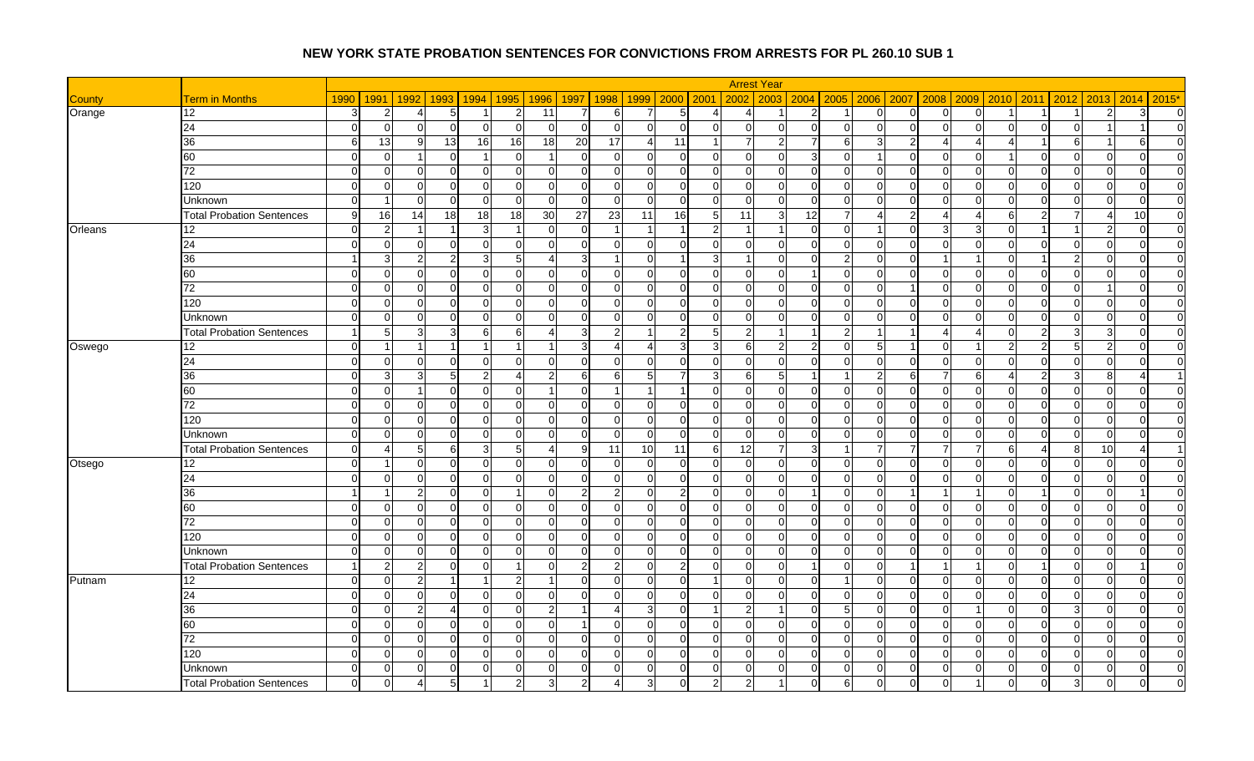|               |                                  |              |                 |                            |                      |                 |                |                 |                            |                |                | <b>Arrest Year</b>         |                |                |                |                            |          |                |                |                                  |              |                |
|---------------|----------------------------------|--------------|-----------------|----------------------------|----------------------|-----------------|----------------|-----------------|----------------------------|----------------|----------------|----------------------------|----------------|----------------|----------------|----------------------------|----------|----------------|----------------|----------------------------------|--------------|----------------|
| <b>County</b> | <b>Term in Months</b>            | 1990         | 1991            | 1992<br>1993               | 1994                 | 1995            | 1996           | 1997<br>1998    | 1999                       | 2000 2001      |                | 2002<br>2003               |                | $2004$ 2005    | 2006 2007      | 2008                       | 2009     | 2010           | 2011           | 2012<br>2013                     | 2014         | $2015*$        |
| Orange        | 12                               | 3            | $\overline{2}$  | 5                          |                      | $\overline{2}$  | 11             | -7              | 6                          | 5              | Δ              | $\overline{4}$             | $\overline{2}$ |                | $\overline{0}$ | $\overline{0}$<br>∩        |          |                |                | 2                                | 3            | $\overline{0}$ |
|               | $\overline{24}$                  | $\Omega$     | $\overline{0}$  | $\sqrt{ }$                 | $\Omega$             | $\Omega$        | $\overline{0}$ | $\Omega$        | $\Omega$<br>$\Omega$       | $\Omega$       | $\Omega$       | $\Omega$<br>$\Omega$       | $\Omega$       | $\overline{0}$ | $\overline{0}$ | $\overline{0}$<br>$\Omega$ | $\Omega$ | $\Omega$       | $\mathbf 0$    | $\Omega$                         |              | $\overline{0}$ |
|               | 36                               | 6            | 13              | -9<br>13                   | 16                   | 16              | 18             | $\overline{20}$ | 17                         | 11             |                | $\overline{7}$             |                | 6              | 3 <sup>1</sup> | $\overline{c}$<br>Δ        |          |                | $\overline{1}$ | 6                                | 6            | $\overline{0}$ |
|               | 60                               | $\Omega$     | $\overline{0}$  | -1<br>∩                    | $\overline{1}$       | $\Omega$        | $\overline{1}$ | $\overline{0}$  | $\Omega$<br>$\Omega$       | $\Omega$       | $\Omega$       | $\mathbf 0$<br>$\Omega$    | $\overline{3}$ | $\overline{0}$ | $\overline{1}$ | $\overline{0}$<br>$\Omega$ |          |                | $\mathbf 0$    | $\Omega$<br>$\cap$               | $\Omega$     | $\overline{0}$ |
|               | 72                               | $\Omega$     | $\overline{0}$  | $\Omega$<br>$\Omega$       | $\mathbf 0$          | $\Omega$        | $\overline{0}$ | $\Omega$        | $\Omega$<br>ΩI             | $\Omega$       | $\Omega$       | $\Omega$<br>$\Omega$       | $\Omega$       | $\Omega$       | $\Omega$       | $\Omega$<br>$\Omega$       | $\Omega$ | $\Omega$       | $\Omega$       | $\Omega$<br>$\Omega$             | $\Omega$     | $\Omega$       |
|               | 120                              | $\Omega$     | $\overline{0}$  | $\Omega$                   | 0                    | $\Omega$        | $\overline{0}$ | $\Omega$        | U<br>$\Omega$              | $\Omega$       | $\Omega$       | $\Omega$<br>$\Omega$       | $\Omega$       | $\overline{0}$ | $\Omega$       | $\Omega$<br>$\Omega$       | ∩        | $\Omega$       | $\Omega$       | $\Omega$<br>$\Omega$             | $\Omega$     | $\Omega$       |
|               | Unknown                          | $\Omega$     | -1              | $\Omega$<br>∩              | $\Omega$             | $\Omega$        | $\Omega$       | $\Omega$        | $\Omega$<br>$\Omega$       | $\Omega$       | $\overline{0}$ | $\Omega$<br>$\Omega$       | $\Omega$       | $\Omega$       | $\Omega$       | $\Omega$<br>∩              | $\Omega$ | $\Omega$       | $\Omega$       | $\Omega$<br>$\Omega$             | $\Omega$     | $\overline{0}$ |
|               | <b>Total Probation Sentences</b> | -9           | 16              | 14<br>18                   | $\overline{18}$      | $\overline{18}$ | 30             | $\overline{27}$ | $\overline{23}$<br>11      | 16             | $\overline{5}$ | 11<br>G                    | 12             | 7              | $\overline{4}$ | $\overline{2}$<br>Δ        |          | 6              | $\overline{2}$ | Δ                                | 10           | $\overline{0}$ |
| Orleans       | 12                               | $\Omega$     | $\overline{2}$  |                            | 3                    |                 | $\Omega$       | $\sqrt{ }$      |                            | $\overline{1}$ | $\mathfrak{p}$ |                            | $\Omega$       | $\Omega$       |                | $\Omega$<br>3              |          | $\Omega$       | -1             | -2                               | $\Omega$     | $\overline{0}$ |
|               | 24                               | $\Omega$     | $\overline{0}$  | $\Omega$<br>∩              | 0                    | $\Omega$        | 0              | $\Omega$        | n<br><sup>O</sup>          | ∩              | $\Omega$       | $\Omega$<br>$\Omega$       | $\Omega$       | $\overline{0}$ | $\overline{0}$ | $\overline{0}$<br>$\Omega$ | ∩        | 0              | $\Omega$       | $\Omega$<br>$\Omega$             | <sup>O</sup> | $\overline{0}$ |
|               | 36                               |              | $\overline{3}$  | 2                          | 3                    | 5               | $\overline{4}$ | 3               | $\Omega$                   | 1              | 3              | $\overline{1}$<br>$\Omega$ | $\Omega$       | $\overline{2}$ | $\Omega$       | $\mathbf 0$                |          | $\Omega$       |                | $\mathfrak{p}$<br>$\Omega$       | $\Omega$     | $\overline{0}$ |
|               | 60                               | $\Omega$     | $\overline{0}$  | $\Omega$                   | $\mathbf 0$          | $\overline{0}$  | $\overline{0}$ | $\Omega$        | $\Omega$<br>$\Omega$       | $\Omega$       | $\Omega$       | $\mathbf 0$<br>$\Omega$    |                | $\overline{0}$ | $\overline{0}$ | $\overline{0}$<br>$\Omega$ | $\Omega$ | $\Omega$       | $\overline{0}$ | $\Omega$<br>$\mathbf 0$          | $\Omega$     | $\overline{0}$ |
|               | 72                               | $\Omega$     | $\overline{0}$  | $\Omega$                   | $\mathbf 0$          | $\Omega$        | $\mathbf 0$    | $\Omega$        | $\Omega$<br>$\Omega$       | $\Omega$       | $\Omega$       | $\Omega$<br>$\Omega$       | $\Omega$       | $\overline{0}$ | $\Omega$       | $\mathcal{C}$              | $\Omega$ | $\Omega$       | $\Omega$       | $\Omega$                         | $\Omega$     | $\overline{0}$ |
|               | 120                              | $\Omega$     | $\overline{0}$  | $\Omega$<br>$\Omega$       | $\mathbf 0$          | $\Omega$        | $\overline{0}$ | $\Omega$        | $\Omega$<br>$\Omega$       | $\Omega$       | $\Omega$       | $\Omega$<br>$\Omega$       | $\Omega$       | $\overline{0}$ | $\Omega$       | $\Omega$<br>$\Omega$       | $\Omega$ | $\Omega$       | $\Omega$       | $\Omega$<br>$\Omega$             | $\Omega$     | $\overline{0}$ |
|               | <b>Unknown</b>                   | $\Omega$     | $\overline{0}$  | $\sqrt{ }$                 | $\Omega$             | $\Omega$        | $\Omega$       | $\Omega$        | n                          | $\Omega$       | $\Omega$       | $\Omega$<br>$\Omega$       | $\Omega$       | $\overline{0}$ | $\Omega$       | $\Omega$<br>$\sqrt{ }$     |          | $\Omega$       | $\Omega$       | $\Omega$<br>$\Omega$             | $\Omega$     | $\overline{0}$ |
|               | <b>Total Probation Sentences</b> | $\mathbf{1}$ | $5\overline{)}$ | 3                          | 6                    | 6               | 4              | 3               | $\mathcal{P}$              | 2              | 5 <sub>l</sub> | $\overline{2}$             | $\overline{1}$ | $\overline{2}$ | $\overline{1}$ | -1<br>Δ                    |          | 0              | $\overline{2}$ | 3<br>3                           | $\Omega$     | $\overline{0}$ |
| Oswego        | 12                               | $\Omega$     |                 |                            |                      |                 | 1              | 3               |                            | 3              | 3              | 6                          | $\overline{2}$ | $\Omega$       | 5 <sub>l</sub> | $\Omega$                   |          |                | $\overline{2}$ | 5 <sub>5</sub><br>$\overline{2}$ | $\Omega$     | $\overline{0}$ |
|               | $\overline{24}$                  | $\Omega$     | $\overline{0}$  | $\Omega$<br>∩              | $\Omega$             | $\Omega$        | $\Omega$       | $\Omega$        | $\Omega$<br>$\Omega$       | ∩              | $\Omega$       | $\Omega$<br>$\Omega$       | $\Omega$       | $\Omega$       | $\Omega$       | $\Omega$<br>$\Omega$       | $\Omega$ | $\Omega$       | $\Omega$       | $\Omega$<br>$\Omega$             | $\Omega$     | $\Omega$       |
|               | 36                               | $\Omega$     | $\mathbf{3}$    | 5<br>3                     | $\overline{2}$       | Δ               | $\overline{2}$ | 6               | 61<br>5                    | 7              | 3              | 6<br>5                     |                |                | $\overline{2}$ | 6<br>7                     | 61       | Δ              | $\overline{2}$ | 3<br>8                           | Δ            | -1             |
|               | 60                               | $\Omega$     | $\overline{0}$  |                            | $\Omega$             | $\Omega$        | $\overline{1}$ | $\Omega$        |                            | 1              | $\Omega$       | $\Omega$<br>$\Omega$       | $\Omega$       | $\overline{0}$ | $\Omega$       | $\Omega$<br>∩              | ∩        | $\Omega$       | $\Omega$       | $\Omega$<br>$\Omega$             | $\Omega$     | $\Omega$       |
|               | 72                               | $\Omega$     | $\overline{0}$  | $\Omega$<br>∩              | $\overline{0}$       | 0               | 0              | $\overline{0}$  | $\Omega$<br>$\Omega$       | $\Omega$       | $\Omega$       | $\overline{0}$<br>$\Omega$ | $\Omega$       | $\overline{0}$ | $\overline{0}$ | $\overline{0}$<br>$\Omega$ | $\Omega$ | 0              | $\overline{0}$ | $\Omega$<br>$\mathbf 0$          | $\Omega$     | $\overline{0}$ |
|               | 120                              | $\Omega$     | $\overline{0}$  | $\Omega$                   | $\mathbf 0$          | $\Omega$        | $\mathbf 0$    | $\Omega$        | $\Omega$<br>$\Omega$       | $\Omega$       | $\Omega$       | $\Omega$<br>$\Omega$       | $\Omega$       | $\overline{0}$ | $\Omega$       | $\Omega$<br>$\mathcal{C}$  |          | $\Omega$       | $\Omega$       | $\Omega$<br>$\Omega$             | $\Omega$     | $\Omega$       |
|               | Unknown                          | $\Omega$     | $\overline{0}$  | $\Omega$<br>$\Omega$       | $\Omega$             | $\Omega$        | $\Omega$       | $\Omega$        | $\Omega$<br>$\Omega$       | $\Omega$       | $\Omega$       | $\Omega$<br>$\Omega$       | $\Omega$       | $\Omega$       | $\Omega$       | $\Omega$<br>$\Omega$       | $\Omega$ | $\Omega$       | $\Omega$       | $\Omega$<br>$\Omega$             | $\Omega$     | $\Omega$       |
|               | <b>Total Probation Sentences</b> | $\Omega$     | $\overline{4}$  | 5<br>6                     | 3                    | 5               | $\overline{4}$ | 9<br>11         | 10                         | 11             | $6 \mid$       | 12                         | 3 <sup>1</sup> |                | $\overline{7}$ | $\overline{7}$<br>7        |          | 6              | 4              | 8<br>10                          | 4            |                |
| Otsego        | 12                               | $\Omega$     | -1              | $\Omega$<br>∩              | $\mathbf 0$          | $\Omega$        | $\overline{0}$ | $\Omega$        | $\Omega$<br>$\Omega$       | $\Omega$       | $\Omega$       | $\mathbf 0$<br>$\Omega$    | $\Omega$       | $\Omega$       | $\overline{0}$ | $\overline{0}$<br>∩        | $\Omega$ | $\Omega$       | $\overline{0}$ | $\Omega$<br>$\Omega$             | $\Omega$     | $\overline{0}$ |
|               | 24                               | $\Omega$     | $\overline{0}$  | $\Omega$                   | 0                    | 0               | $\overline{0}$ | $\overline{0}$  | 0<br>U                     | 0              | $\overline{0}$ | $\mathbf 0$<br>$\Omega$    | $\Omega$       | $\overline{0}$ | $\overline{0}$ | $\mathbf 0$<br>$\Omega$    |          | $\overline{0}$ | $\mathbf 0$    | $\overline{0}$<br>0              | 0            | $\overline{0}$ |
|               | 36                               |              | -1              | 2<br>∩                     | $\Omega$             |                 | $\Omega$       | $\mathcal{P}$   | $\mathcal{D}$<br>$\Omega$  | $\mathcal{P}$  | $\Omega$       | $\Omega$<br>$\Omega$       |                | $\Omega$       | $\Omega$       |                            |          | $\Omega$       |                | $\Omega$<br>$\Omega$             |              | $\overline{0}$ |
|               | 60                               | $\Omega$     | $\overline{0}$  | $\Omega$<br>∩              | $\mathbf 0$          | $\overline{0}$  | $\overline{0}$ | $\Omega$        | $\overline{0}$<br>$\Omega$ | $\Omega$       | $\overline{0}$ | $\mathbf{0}$<br>$\Omega$   | $\Omega$       | $\overline{0}$ | $\overline{0}$ | $\overline{0}$<br>$\Omega$ | $\Omega$ | $\overline{0}$ | $\mathbf 0$    | $\Omega$<br>$\mathbf 0$          | $\Omega$     | $\overline{0}$ |
|               | 72                               | $\Omega$     | $\overline{0}$  | $\Omega$                   | $\Omega$             | $\Omega$        | $\Omega$       | $\Omega$        | n                          | ∩              | $\Omega$       | $\Omega$<br>$\Omega$       | U              | $\Omega$       | $\Omega$       | $\Omega$<br>C              |          | $\Omega$       | $\Omega$       | ∩<br>$\Omega$                    | $\Omega$     | $\Omega$       |
|               | 120                              | $\Omega$     | $\overline{0}$  | $\Omega$<br>∩              | $\overline{0}$       | $\Omega$        | $\Omega$       | $\Omega$        | $\Omega$<br>$\Omega$       | $\Omega$       | $\Omega$       | $\Omega$<br>$\Omega$       | $\Omega$       | $\overline{0}$ | $\Omega$       | $\Omega$<br>$\Omega$       | $\Omega$ | $\Omega$       | $\Omega$       | $\Omega$<br>$\Omega$             | $\Omega$     | $\Omega$       |
|               | <b>Unknown</b>                   | $\Omega$     | $\Omega$        | $\sqrt{ }$                 | $\Omega$             | $\Omega$        | $\Omega$       | $\Omega$        | ∩<br>$\Omega$              | $\Omega$       | $\Omega$       | $\Omega$<br>$\Omega$       | U              | $\Omega$       | $\Omega$       | $\Omega$<br>$\sqrt{ }$     |          | $\Omega$       | $\Omega$       | $\Omega$<br>$\Omega$             | $\Omega$     | $\overline{0}$ |
|               | <b>Total Probation Sentences</b> |              | $\overline{2}$  | $\overline{2}$<br>$\Omega$ | $\Omega$             |                 | $\Omega$       | $\overline{2}$  | 21<br>$\Omega$             | $\overline{2}$ | $\overline{0}$ | $\Omega$<br>$\Omega$       | 11             | $\Omega$       | $\Omega$       | $\overline{1}$<br>1        |          | $\Omega$       | $\overline{1}$ | $\Omega$<br>$\Omega$             |              | $\Omega$       |
| Putnam        | 12                               | $\Omega$     | $\overline{0}$  | $\overline{2}$             | $\blacktriangleleft$ | $\overline{2}$  | $\overline{1}$ | $\Omega$        | $\Omega$<br>n              | $\Omega$       |                | $\Omega$<br>$\Omega$       | $\Omega$       |                | $\Omega$       | $\Omega$<br>$\Omega$       |          | $\Omega$       | $\Omega$       | $\Omega$<br>$\Omega$             | $\Omega$     | $\overline{0}$ |
|               | 24                               | $\Omega$     | $\overline{0}$  | $\Omega$<br>∩              | $\Omega$             | $\Omega$        | $\overline{0}$ | $\Omega$        | $\Omega$<br>$\Omega$       | $\Omega$       | $\Omega$       | $\Omega$<br>$\Omega$       | $\Omega$       | $\Omega$       | $\overline{0}$ | $\Omega$<br>$\Omega$       | $\Omega$ | $\Omega$       | $\overline{0}$ | $\Omega$<br>$\Omega$             | $\Omega$     | $\overline{0}$ |
|               | 36                               | -0           | $\overline{0}$  | 2                          | 0                    | 0               | $2 \mid$       |                 | 3<br>4                     | $\Omega$       |                | $\overline{2}$             | U              | 5              | $\overline{0}$ | $\mathbf{0}$<br>$\Omega$   |          | 0              | $\mathbf 0$    | $\mathbf{3}$<br>0                | 0            | $\overline{0}$ |
|               | 60                               | $\Omega$     | $\overline{0}$  | $\Omega$<br>∩              | $\Omega$             | $\Omega$        | $\overline{0}$ |                 | $\Omega$<br>$\Omega$       | $\cap$         | $\Omega$       | $\Omega$<br>$\Omega$       | $\Omega$       | $\Omega$       | $\Omega$       | $\mathbf 0$<br>$\Omega$    | $\Omega$ | $\Omega$       | $\Omega$       | $\Omega$<br>$\Omega$             | $\Omega$     | $\overline{0}$ |
|               | $\overline{72}$                  | $\Omega$     | $\overline{0}$  | $\Omega$<br>∩              | $\mathbf 0$          | $\Omega$        | $\overline{0}$ | $\Omega$        | U<br>$\Omega$              | $\Omega$       | $\Omega$       | $\mathbf{0}$<br>$\Omega$   | $\Omega$       | $\overline{0}$ | $\overline{0}$ | $\overline{0}$<br>$\Omega$ | $\Omega$ | $\overline{0}$ | $\mathbf 0$    | $\Omega$<br>$\mathbf 0$          | $\Omega$     | $\overline{0}$ |
|               | 120                              | $\Omega$     | $\overline{0}$  | $\sqrt{ }$                 | $\Omega$             | $\Omega$        | $\Omega$       | $\Omega$        |                            | $\Omega$       | $\Omega$       | $\Omega$<br>$\Omega$       | U              | $\overline{0}$ | $\Omega$       | $\mathbf 0$<br>$\sqrt{ }$  |          | O              | $\mathbf 0$    | ∩<br>$\Omega$                    | $\Omega$     | $\overline{0}$ |
|               | Unknown                          | $\Omega$     | $\overline{0}$  | $\Omega$<br>∩              | $\mathbf 0$          | $\overline{0}$  | $\overline{0}$ | $\Omega$        | O<br>0                     | 0              | $\overline{0}$ | $\mathbf 0$<br>$\Omega$    | $\Omega$       | $\overline{0}$ | $\overline{0}$ | $\overline{0}$<br>$\Omega$ | $\Omega$ | 0              | $\overline{0}$ | $\Omega$<br>$\mathbf 0$          | $\Omega$     | $\overline{0}$ |
|               | <b>Total Probation Sentences</b> | $\Omega$     | $\overline{0}$  | 5                          |                      | $\mathcal{P}$   | 3              | 2               | 3                          | ŋ              | 2              | $\overline{2}$             |                | 6              | $\Omega$       | $\Omega$                   |          | $\Omega$       | $\Omega$       | 3<br>$\Omega$                    | $\Omega$     | $\Omega$       |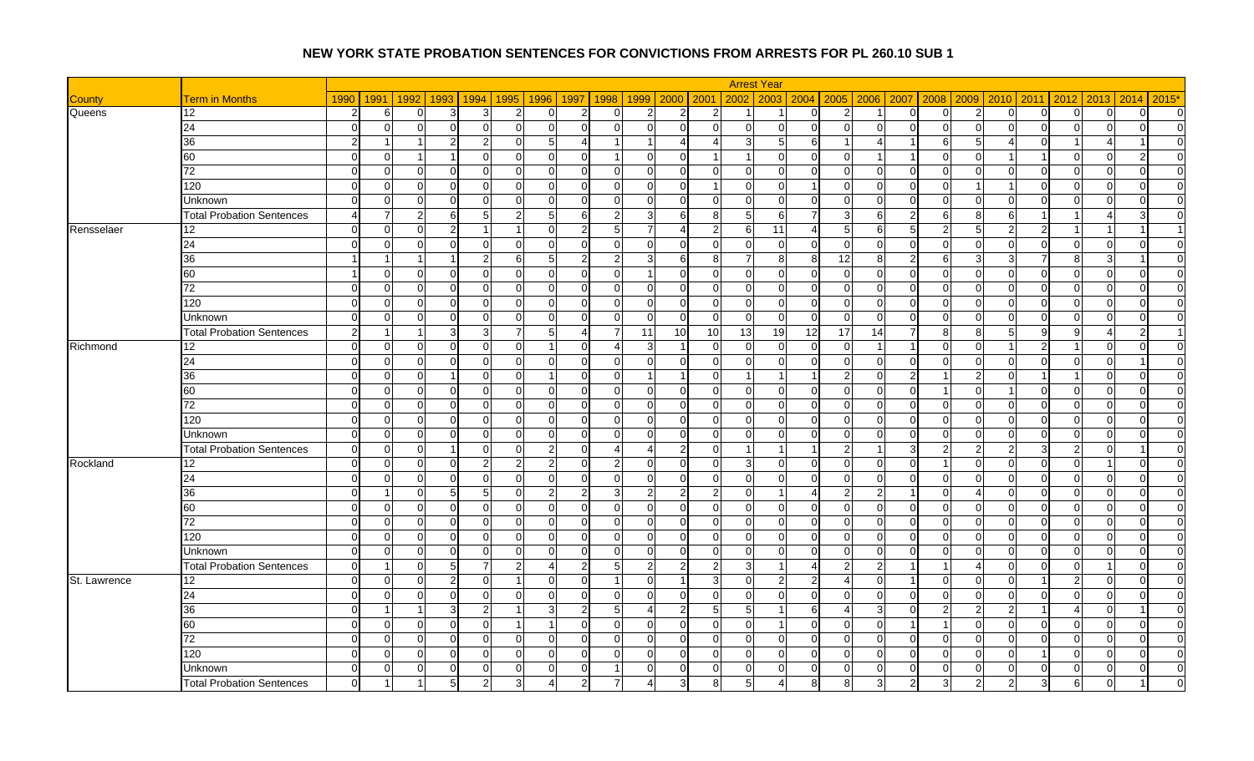|               |                                  |                |                |                          |                |                |                |                              |                |                          |                 | <b>Arrest Year</b>            |                |                |                |                               |          |                |                         |                               |                |                |
|---------------|----------------------------------|----------------|----------------|--------------------------|----------------|----------------|----------------|------------------------------|----------------|--------------------------|-----------------|-------------------------------|----------------|----------------|----------------|-------------------------------|----------|----------------|-------------------------|-------------------------------|----------------|----------------|
| <b>County</b> | <b>Term in Months</b>            | 1990           | 1991           | 1992<br>1993             | 1994           | 1995           | 1996           | 1997<br>1998                 | 1999           | 2000 2001                |                 | 2003<br>2002                  |                | 2004 2005      |                | 2006 2007 2008                | 2009     | 2010           | 2011                    | 2013<br>2012                  | 2014           | $2015*$        |
| Queens        | 12                               | $\overline{2}$ | 6              | $\Omega$<br>3            | 3              | $\overline{2}$ | $\overline{0}$ | $\overline{2}$<br>$\Omega$   | $\overline{2}$ | $\overline{2}$           | $\overline{2}$  | -1                            | $\Omega$       | $\overline{2}$ |                | $\overline{0}$<br>$\Omega$    | 2        | $\overline{0}$ | $\overline{0}$          | $\Omega$<br>$\Omega$          | $\Omega$       | $\overline{0}$ |
|               | 24                               | $\Omega$       | $\overline{0}$ | C                        | $\mathbf 0$    | $\Omega$       | $\mathbf 0$    | $\Omega$<br>U                | $\Omega$       | $\Omega$                 | $\Omega$        | $\Omega$<br>$\Omega$          | $\Omega$       | $\overline{0}$ | $\Omega$       | $\mathbf 0$<br>$\Omega$       | ∩        | $\Omega$       | $\Omega$                | $\Omega$<br>$\Omega$          | $\Omega$       | $\Omega$       |
|               | 36                               | $\mathcal{P}$  | -1             | っ<br>-1                  | $\overline{2}$ | $\Omega$       | 5 <sub>5</sub> | 4<br>-1                      |                | $\overline{4}$           | 4               | 3<br>5                        | 61             |                | 41             | 6                             | 5        | Δ              | $\overline{0}$          |                               |                | $\overline{0}$ |
|               | 60                               | $\Omega$       | $\overline{0}$ |                          | $\Omega$       | $\Omega$       | $\Omega$       | $\Omega$                     |                | $\Omega$                 |                 | $\Omega$                      | 0              | $\overline{0}$ |                |                               |          |                |                         | $\Omega$                      |                | $\Omega$       |
|               | 72                               | $\Omega$       | $\overline{0}$ | $\Omega$<br>$\Omega$     | $\mathbf 0$    | $\Omega$       | $\overline{0}$ | $\Omega$<br>$\Omega$         | $\Omega$       | $\Omega$                 | $\Omega$        | $\Omega$<br>$\Omega$          | $\Omega$       | $\Omega$       | $\Omega$       | $\Omega$<br>$\Omega$          | $\Omega$ | $\Omega$       | $\Omega$                | $\Omega$<br>$\Omega$          | $\Omega$       | $\Omega$       |
|               | 120                              | $\Omega$       | $\overline{0}$ | $\Omega$                 | $\mathbf 0$    | $\Omega$       | $\overline{0}$ | $\Omega$<br>O                | $\Omega$       | $\Omega$                 |                 | $\mathbf{0}$<br>$\Omega$      | 1              | $\overline{0}$ | $\overline{0}$ | $\mathbf 0$<br>$\Omega$       |          |                | $\Omega$                | $\Omega$<br>0                 | $\Omega$       | $\overline{0}$ |
|               | Unknown                          | $\Omega$       | $\overline{0}$ | $\sqrt{ }$               | $\Omega$       | $\Omega$       | 0              | $\Omega$<br>U                | $\Omega$       | $\Omega$                 | $\Omega$        | $\Omega$<br>$\Omega$          | $\Omega$       | $\Omega$       | $\overline{0}$ | $\mathbf{0}$<br>C             | ∩        | U              | $\mathbf 0$             | $\Omega$<br>$\Omega$          | ∩              | $\Omega$       |
|               | <b>Total Probation Sentences</b> |                | 7              | 2<br>6                   | 5              | 2              | 5 <sub>5</sub> | 6<br>2                       |                | 6                        | 8               | 5<br>-6                       |                | 3              | 6              | $\overline{2}$<br>6           | 8        | 6              | -1                      |                               | 3              | $\overline{0}$ |
| Rensselaer    | 12                               | $\Omega$       | $\overline{0}$ | C                        |                |                | $\Omega$       | $\mathcal{P}$<br>$5 \square$ |                | $\boldsymbol{\varDelta}$ | $\mathcal{P}$   | 6<br>11                       |                | 5              | $6 \mid$       | 5<br>2                        | ς        |                | $\mathcal{P}$           |                               |                |                |
|               | 24                               | $\Omega$       | $\overline{0}$ | $\Omega$<br>∩            | $\overline{0}$ | $\overline{0}$ | $\overline{0}$ | $\overline{0}$<br>$\Omega$   | $\overline{0}$ | $\Omega$                 | $\overline{0}$  | $\overline{0}$<br>$\mathbf 0$ | $\Omega$       | $\overline{0}$ | $\overline{0}$ | $\overline{0}$<br>$\Omega$    | $\Omega$ | $\overline{0}$ | $\mathbf 0$             | $\overline{0}$<br>$\mathbf 0$ | $\overline{0}$ | $\overline{0}$ |
|               | 36                               |                |                |                          | $\overline{2}$ | 6              | 5 <sub>5</sub> | $\overline{2}$               |                | 6                        | 8               | $\overline{7}$<br>8           | 8 <sup>1</sup> | 12             | 8 <sup>1</sup> | $\overline{2}$<br>6           |          |                |                         | 8<br>3                        |                | $\Omega$       |
|               | 60                               |                | $\overline{0}$ | $\mathbf 0$              | $\mathbf 0$    | $\overline{0}$ | $\overline{0}$ | $\overline{0}$<br>$\Omega$   |                | $\Omega$                 | $\overline{0}$  | $\overline{0}$<br>$\Omega$    | $\Omega$       | $\overline{0}$ | $\overline{0}$ | $\overline{0}$<br>$\Omega$    | $\Omega$ | 0              | $\overline{0}$          | $\mathbf 0$<br>$\Omega$       | $\Omega$       | $\overline{0}$ |
|               | 72                               | $\Omega$       | $\overline{0}$ | C                        | 0              | $\Omega$       | $\mathbf 0$    | $\Omega$<br>U                |                | $\Omega$                 | $\Omega$        | $\mathbf{0}$<br>$\Omega$      | $\Omega$       | $\overline{0}$ | $\overline{0}$ | $\overline{0}$<br>$\Omega$    | ∩        | $\Omega$       | $\mathbf 0$             | $\Omega$<br>$\Omega$          | $\Omega$       | $\Omega$       |
|               | 120                              | $\Omega$       | $\Omega$       | $\Omega$<br>∩            | $\Omega$       | $\Omega$       | $\Omega$       | $\Omega$<br>$\Omega$         | $\Omega$       | $\Omega$                 | $\Omega$        | $\Omega$<br>$\Omega$          | $\Omega$       | $\Omega$       | $\Omega$       | $\Omega$<br>$\Omega$          | $\Omega$ | $\Omega$       | $\Omega$                | $\Omega$<br>$\Omega$          | $\Omega$       | $\Omega$       |
|               | Unknown                          | $\Omega$       | $\overline{0}$ | C                        | 0              | $\Omega$       | $\overline{0}$ | $\Omega$<br>n                | $\Omega$       | $\Omega$                 | $\Omega$        | $\Omega$<br>$\Omega$          | $\Omega$       | $\Omega$       | $\Omega$       | $\Omega$<br>$\Omega$          | ∩        | $\Omega$       | $\Omega$                | $\Omega$<br>$\Omega$          | $\Omega$       | $\Omega$       |
|               | <b>Total Probation Sentences</b> | 2              | -1             | $\overline{\phantom{a}}$ | 3              | -7             | 5 <sub>5</sub> | $\Delta$<br>7                | 11             | 10                       | 10 <sup>1</sup> | 13<br>19                      | 12             | 17             | 14             | $\overline{7}$<br>8           | я        | 5              | 9                       | g                             | 2              |                |
| Richmond      | 12                               | $\Omega$       | $\overline{0}$ | $\Omega$                 | $\Omega$       | $\Omega$       | -1             | $\Omega$                     | 3              | $\overline{1}$           | $\Omega$        | $\mathbf 0$<br>$\Omega$       | <sup>0</sup>   | $\Omega$       |                | $\cap$                        |          |                | $\overline{2}$          | $\Omega$                      | $\Omega$       | $\overline{0}$ |
|               | 24                               | $\Omega$       | $\overline{0}$ | C                        | $\Omega$       | $\Omega$       | $\Omega$       | $\Omega$<br>$\Omega$         | $\Omega$       | ∩                        | $\Omega$        | $\Omega$<br>$\Omega$          | U              | $\Omega$       | $\Omega$       | $\Omega$<br>C                 | $\Omega$ | $\Omega$       | $\Omega$                | U<br>$\Omega$                 |                | $\overline{0}$ |
|               | 36                               | $\Omega$       | $\overline{0}$ | $\Omega$                 | $\Omega$       | $\Omega$       | $\overline{1}$ | $\Omega$<br>$\Omega$         |                | $\mathbf 1$              | $\Omega$        | -1                            |                | $\overline{2}$ | $\Omega$       | $\overline{2}$                |          | $\Omega$       | -1                      | $\Omega$                      | $\Omega$       | $\overline{0}$ |
|               | 60                               | $\Omega$       | $\overline{0}$ | $\Omega$                 | $\Omega$       | $\Omega$       | 0              | $\Omega$<br>U                | $\Omega$       | $\Omega$                 | $\Omega$        | $\Omega$<br>$\Omega$          | $\Omega$       | $\overline{0}$ | $\Omega$       | $\overline{0}$                | $\Omega$ |                | $\Omega$                | $\Omega$<br>$\Omega$          | $\Omega$       | $\Omega$       |
|               | 72                               | $\Omega$       | $\overline{0}$ | $\Omega$                 | $\mathbf 0$    | $\Omega$       | 0              | $\Omega$<br>$\Omega$         | $\Omega$       | $\Omega$                 | $\Omega$        | $\Omega$<br>$\Omega$          | $\Omega$       | $\overline{0}$ | $\overline{0}$ | $\overline{0}$<br>$\Omega$    | ∩        | $\Omega$       | $\overline{0}$          | $\mathbf 0$<br>$\Omega$       | $\Omega$       | $\overline{0}$ |
|               | 120                              | $\Omega$       | $\overline{0}$ | C                        | $\Omega$       | $\Omega$       | $\mathbf 0$    | $\Omega$<br>U                | $\Omega$       | $\Omega$                 | $\Omega$        | $\Omega$<br>$\Omega$          | U              | $\Omega$       | $\Omega$       | $\Omega$<br>C                 |          | $\Omega$       | $\Omega$                | $\Omega$<br>$\Omega$          | $\Omega$       | $\Omega$       |
|               | <b>Unknown</b>                   | $\Omega$       | $\overline{0}$ | $\Omega$<br>∩            | $\Omega$       | $\Omega$       | $\Omega$       | $\Omega$<br>$\Omega$         | $\Omega$       | $\Omega$                 | $\Omega$        | $\Omega$<br>$\Omega$          | $\Omega$       | $\Omega$       | $\Omega$       | $\Omega$<br>$\Omega$          | $\Omega$ | $\Omega$       | $\Omega$                | $\Omega$<br>$\Omega$          | $\Omega$       | $\Omega$       |
|               | <b>Total Probation Sentences</b> | $\Omega$       | $\overline{0}$ | C                        | $\Omega$       | $\Omega$       | $\mathbf{2}$   | $\Omega$                     |                | $\overline{2}$           | $\Omega$        | $\overline{1}$                | 1              | $\overline{2}$ |                | 3<br>$\overline{2}$           |          |                | 3                       | $\overline{2}$<br>$\Omega$    |                | $\Omega$       |
| Rockland      | 12                               | $\Omega$       | $\overline{0}$ | $\Omega$                 | $\overline{2}$ | 2              | $\mathbf{2}$   | $\Omega$<br>2                | <sup>O</sup>   | $\Omega$                 | $\Omega$        | $\mathbf{3}$<br>$\Omega$      | $\Omega$       | $\overline{0}$ | $\overline{0}$ | $\Omega$                      | $\Omega$ | $\Omega$       | $\overline{0}$          | $\Omega$<br>-1                | $\Omega$       | $\overline{0}$ |
|               | 24                               | $\Omega$       | $\overline{0}$ | $\Omega$                 | $\mathbf 0$    | $\mathbf 0$    | $\overline{0}$ | $\Omega$                     | $\Omega$       | $\Omega$                 | $\Omega$        | $\mathbf 0$<br>$\Omega$       | 0              | $\mathbf 0$    | $\overline{0}$ | $\mathbf 0$<br>$\Omega$       |          | $\Omega$       | $\mathbf 0$             | $\Omega$<br>0                 | $\Omega$       | $\overline{0}$ |
|               | 36                               | $\Omega$       | -1             | 5<br>$\Omega$            | 5              | $\Omega$       | $\overline{2}$ | $\overline{2}$<br>31         | $\mathcal{P}$  | $\mathfrak{p}$           | $\overline{2}$  | $\Omega$                      | 4              | $\mathcal{P}$  | $\overline{2}$ | $\Omega$<br>-1                |          | $\Omega$       | $\Omega$                | $\Omega$<br>$\Omega$          | $\Omega$       | $\overline{0}$ |
|               | 60                               | $\Omega$       | $\overline{0}$ | $\Omega$                 | $\mathbf 0$    | $\Omega$       | $\overline{0}$ | $\Omega$<br>U                | $\Omega$       | $\Omega$                 | $\Omega$        | $\Omega$<br>$\Omega$          | ΩI             | $\Omega$       | $\overline{0}$ | $\mathbf 0$<br>$\Omega$       |          | $\Omega$       | $\Omega$                | $\Omega$<br>$\Omega$          | $\Omega$       | $\overline{0}$ |
|               | 72                               | $\Omega$       | $\overline{0}$ | $\Omega$                 | $\Omega$       | $\Omega$       | $\overline{0}$ | $\Omega$<br>U                | $\Omega$       | $\Omega$                 | $\Omega$        | $\mathbf 0$<br>$\Omega$       | U              | $\overline{0}$ | $\overline{0}$ | $\mathbf{0}$<br>$\Omega$      | ∩        | $\Omega$       | $\mathbf 0$             | $\Omega$<br>$\mathbf 0$       | $\Omega$       | $\overline{0}$ |
|               | 120                              | $\Omega$       | $\overline{0}$ | $\Omega$                 | $\mathbf 0$    | $\overline{0}$ | $\overline{0}$ | $\Omega$<br>$\Omega$         | $\Omega$       | $\Omega$                 | $\Omega$        | $\overline{0}$<br>$\Omega$    | ΩI             | $\overline{0}$ | $\overline{0}$ | $\overline{0}$<br>$\Omega$    | $\Omega$ | $\Omega$       | $\overline{0}$          | $\Omega$<br>$\mathbf 0$       | $\Omega$       | $\overline{0}$ |
|               | <b>Unknown</b>                   | $\Omega$       | $\overline{0}$ | $\sqrt{ }$               | $\mathbf 0$    | $\Omega$       | $\Omega$       | $\Omega$<br>U                | $\Omega$       | $\Omega$                 | $\Omega$        | $\mathbf 0$<br>$\Omega$       | $\Omega$       | $\overline{0}$ | $\overline{0}$ | $\overline{0}$<br>$\sqrt{ }$  | $\Omega$ | $\Omega$       | $\mathbf 0$             | $\Omega$<br>$\Omega$          | $\Omega$       | $\Omega$       |
|               | <b>Total Probation Sentences</b> | $\Omega$       | -1             | $\Omega$<br>5            | $\overline{7}$ | $\overline{2}$ | $\overline{4}$ | $\overline{2}$<br>-5I        | 2              | $\overline{2}$           | $\overline{2}$  | 3                             | $\overline{4}$ | $\overline{2}$ | $\overline{2}$ | -1<br>-1                      |          | $\Omega$       | $\Omega$                | $\Omega$<br>$\overline{1}$    | $\Omega$       | $\overline{0}$ |
| St. Lawrence  | 12                               | $\Omega$       | $\overline{0}$ | $\sqrt{ }$               | 0              |                | $\Omega$       | $\Omega$<br>$\overline{1}$   | $\Omega$       | $\blacktriangleleft$     | 3               | $\mathbf{0}$                  | 2 <sub>l</sub> | Δ              | $\overline{0}$ | $\Omega$                      | ∩        | $\Omega$       | $\overline{\mathbf{1}}$ | $\overline{2}$<br>$\Omega$    | $\Omega$       | $\overline{0}$ |
|               | 24                               | $\Omega$       | $\overline{0}$ | $\Omega$<br>∩            | $\mathbf 0$    | $\Omega$       | $\overline{0}$ | $\Omega$<br>$\Omega$         | $\Omega$       | $\Omega$                 | $\overline{0}$  | $\overline{0}$<br>$\Omega$    | $\Omega$       | $\overline{0}$ | $\overline{0}$ | $\overline{0}$<br>$\Omega$    | $\Omega$ | $\overline{0}$ | $\overline{0}$          | $\Omega$<br>$\mathbf 0$       | $\Omega$       | $\overline{0}$ |
|               | 36                               |                |                |                          | $\overline{2}$ |                | $\mathbf{3}$   | 2<br>5                       |                | $2 \vert$                | 5               | 5                             | 6              |                | $\mathbf{3}$   | $\mathbf{0}$<br>2             |          |                |                         | $\overline{4}$<br>$\Omega$    |                | $\Omega$       |
|               | 60                               | $\Omega$       | $\overline{0}$ | $\Omega$<br>∩            | $\overline{0}$ |                | $\mathbf{1}$   | $\Omega$<br>$\Omega$         | $\Omega$       | $\Omega$                 | $\Omega$        | $\overline{0}$                | ΩI             | $\Omega$       | $\overline{0}$ | $\overline{\mathbf{1}}$<br>-1 | $\Omega$ | $\Omega$       | $\Omega$                | $\Omega$<br>$\Omega$          | $\Omega$       | $\overline{0}$ |
|               | $\overline{72}$                  |                | $\overline{0}$ | C                        | $\mathbf 0$    | $\Omega$       | $\overline{0}$ | $\Omega$                     | $\Omega$       | $\Omega$                 | $\Omega$        | $\mathbf{0}$<br>$\Omega$      | $\Omega$       | $\Omega$       | $\overline{0}$ | $\mathbf{0}$<br>∩             |          | $\Omega$       | $\Omega$                | $\Omega$<br>0                 | $\Omega$       | $\overline{0}$ |
|               | 120                              | $\Omega$       | $\overline{0}$ | C                        | $\Omega$       | $\Omega$       | $\Omega$       | $\Omega$                     |                | ∩                        | $\Omega$        | $\Omega$<br>$\Omega$          | U              | $\Omega$       | $\Omega$       | $\mathbf 0$<br>C              |          | U              |                         | ∩<br>$\Omega$                 | $\Omega$       | $\overline{0}$ |
|               | Unknown                          | $\Omega$       | $\overline{0}$ | $\Omega$<br>∩            | 0              | $\Omega$       | $\overline{0}$ | $\Omega$                     | <sup>O</sup>   | $\Omega$                 | $\Omega$        | $\Omega$<br>$\Omega$          | $\Omega$       | $\mathbf 0$    | $\overline{0}$ | $\overline{0}$<br>$\Omega$    | $\Omega$ | <sup>O</sup>   | 0                       | 0<br>$\Omega$                 | $\Omega$       | $\overline{0}$ |
|               | <b>Total Probation Sentences</b> |                |                |                          |                |                |                |                              |                |                          | 8               | 5                             | 8              |                | 3              | 2                             |          |                | 3                       | 6                             |                | $\Omega$       |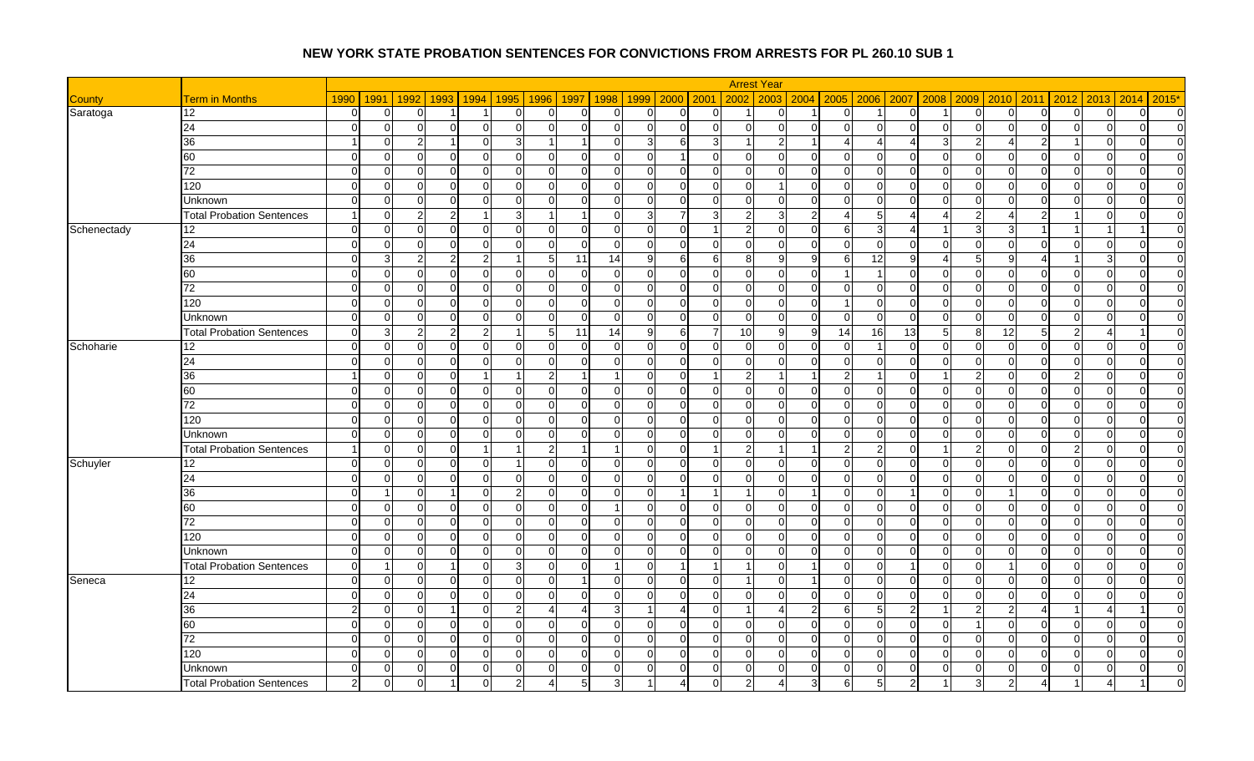|               |                                  |               |                |                      |                      |                |                       |                |                            |                      |                | <b>Arrest Year</b>            |                |                |                 |                               |          |                |                |                            |                |                |
|---------------|----------------------------------|---------------|----------------|----------------------|----------------------|----------------|-----------------------|----------------|----------------------------|----------------------|----------------|-------------------------------|----------------|----------------|-----------------|-------------------------------|----------|----------------|----------------|----------------------------|----------------|----------------|
| <b>County</b> | <b>Term in Months</b>            | 1990          | 1991           | 1992<br>1993         | 1994                 | 1995           | 1996                  | 1997<br>1998   | 1999                       | 2000 2001            |                | 2002<br>2003                  |                | 2004 2005      |                 | 2006 2007 2008                | 2009     | 2010           | 2011           | 2013<br>2012               | 2014           | $2015*$        |
| Saratoga      | 12                               | $\Omega$      | $\overline{0}$ | $\Omega$             | $\overline{1}$       | $\overline{0}$ | $\overline{0}$        | $\Omega$       | $\overline{0}$<br>$\Omega$ | $\Omega$             | $\overline{0}$ | $\Omega$<br>-1                | 1              | $\overline{0}$ |                 | $\overline{0}$<br>-1          | $\Omega$ | $\overline{0}$ | $\overline{0}$ | $\overline{0}$<br>$\Omega$ | $\Omega$       | $\overline{0}$ |
|               | 24                               | $\Omega$      | $\overline{0}$ | $\Omega$             | $\Omega$             | $\Omega$       | $\Omega$              | $\Omega$       | $\Omega$<br>U              | $\Omega$             | $\Omega$       | $\Omega$<br>$\Omega$          | $\Omega$       | $\overline{0}$ | $\Omega$        | $\mathbf 0$<br>$\Omega$       | ∩        | $\Omega$       | $\Omega$       | $\Omega$<br>$\Omega$       | $\Omega$       | $\Omega$       |
|               | 36                               |               | $\overline{0}$ | $\overline{2}$       | $\mathbf 0$          | $\mathbf{3}$   | $\overline{1}$        |                | $\Omega$<br>$\mathbf{3}$   | 6                    | $\overline{3}$ | $\overline{2}$<br>-1          | 1              | 4              | $\overline{4}$  | 3<br>4                        |          | 4              | $\overline{2}$ | $\Omega$                   | $\Omega$       | $\overline{0}$ |
|               | 60                               | $\Omega$      | $\overline{0}$ | $\Omega$             | $\Omega$             | $\Omega$       | $\Omega$              | $\Omega$       |                            | $\overline{1}$       | $\Omega$       | $\Omega$<br>$\Omega$          | 0              | $\overline{0}$ | $\Omega$        | $\Omega$<br>$\mathcal{C}$     |          | $\Omega$       | $\Omega$       | $\Omega$                   | $\Omega$       | $\overline{0}$ |
|               | 72                               | $\Omega$      | $\overline{0}$ | $\Omega$<br>$\Omega$ | $\Omega$             | $\Omega$       | $\overline{0}$        | $\Omega$       | $\Omega$<br>$\Omega$       | $\Omega$             | $\Omega$       | $\Omega$<br>$\Omega$          | $\Omega$       | $\Omega$       | $\Omega$        | $\Omega$<br>$\Omega$          | $\Omega$ | $\Omega$       | $\Omega$       | $\Omega$<br>$\Omega$       | $\Omega$       | $\overline{0}$ |
|               | 120                              | $\Omega$      | $\overline{0}$ | $\Omega$             | $\mathbf 0$          | $\Omega$       | $\overline{0}$        | $\Omega$       | O<br>$\Omega$              | $\Omega$             | $\Omega$       | $\mathbf{0}$                  | $\Omega$       | $\overline{0}$ | $\overline{0}$  | $\mathbf 0$<br>$\Omega$       |          | $\Omega$       | $\mathbf 0$    | $\Omega$<br>0              | $\Omega$       | $\overline{0}$ |
|               | Unknown                          | $\Omega$      | $\overline{0}$ | $\Omega$             | $\Omega$             | $\Omega$       | 0                     | $\sqrt{ }$     | U<br>$\Omega$              | ∩                    | $\Omega$       | $\Omega$<br>$\Omega$          | $\Omega$       | $\Omega$       | $\overline{0}$  | $\Omega$<br>C                 | ∩        | $\Omega$       | $\mathbf 0$    | $\Omega$<br>$\Omega$       | ∩              | $\overline{0}$ |
|               | <b>Total Probation Sentences</b> |               | $\overline{0}$ | 2                    |                      | 3              | -1                    |                | $\Omega$<br>3              | $\overline{7}$       | 3              | $\overline{2}$<br>3           | $\overline{2}$ |                | $5 \mid$        | $\boldsymbol{\varDelta}$<br>4 |          |                | $\overline{2}$ | 0                          | $\Omega$       | $\overline{0}$ |
| Schenectady   | 12                               | $\Omega$      | $\overline{0}$ | $\Omega$             | $\Omega$             | $\Omega$       | $\Omega$              | $\Omega$       | $\Omega$<br>$\Omega$       | $\cap$               |                | $\overline{2}$<br>$\Omega$    | $\Omega$       | 6              | $\mathbf{3}$    | $\boldsymbol{\varDelta}$      |          | ર              |                |                            |                | $\Omega$       |
|               | 24                               | $\Omega$      | $\overline{0}$ | $\Omega$<br>$\Omega$ | $\overline{0}$       | $\overline{0}$ | $\overline{0}$        | $\overline{0}$ | $\overline{0}$<br>$\Omega$ | $\Omega$             | $\overline{0}$ | $\overline{0}$<br>$\mathbf 0$ | 01             | $\overline{0}$ | $\overline{0}$  | $\overline{0}$<br>$\Omega$    | $\Omega$ | $\overline{0}$ | $\overline{0}$ | $\Omega$<br>0              | $\overline{0}$ | $\overline{0}$ |
|               | 36                               | $\Omega$      | $\mathbf{3}$   | 2                    | $\overline{2}$       |                | $5\overline{)}$       | 11<br>14       | g                          | 6                    | 6              | 8<br>9                        | 9 <sub>l</sub> | 6              | 12              | 9<br>Δ                        |          | a              | Δ              | 3                          | $\Omega$       | $\overline{0}$ |
|               | 60                               | $\Omega$      | $\overline{0}$ | $\mathbf 0$<br>∩     | $\mathbf 0$          | $\overline{0}$ | $\overline{0}$        | $\overline{0}$ | $\overline{0}$<br>$\Omega$ | $\Omega$             | $\overline{0}$ | $\overline{0}$<br>$\Omega$    | $\Omega$       |                |                 | $\overline{0}$<br>$\Omega$    | $\Omega$ | 0              | $\overline{0}$ | $\Omega$<br>$\mathbf 0$    | $\Omega$       | $\overline{0}$ |
|               | 72                               | $\Omega$      | $\overline{0}$ | $\Omega$             | $\Omega$             | $\Omega$       | $\mathbf 0$           | $\Omega$       | U<br>$\Omega$              | $\Omega$             | $\Omega$       | $\mathbf{0}$<br>$\Omega$      | $\Omega$       | $\overline{0}$ | $\overline{0}$  | $\overline{0}$<br>$\sqrt{ }$  | ∩        | $\Omega$       | $\mathbf 0$    | $\Omega$<br>$\Omega$       | $\Omega$       | $\Omega$       |
|               | 120                              | $\Omega$      | $\Omega$       | $\Omega$<br>∩        | $\Omega$             | $\Omega$       | $\Omega$              | $\Omega$       | $\Omega$<br>$\Omega$       | $\Omega$             | $\Omega$       | $\Omega$<br>$\Omega$          | $\Omega$       |                | $\Omega$        | $\Omega$<br>$\Omega$          | $\Omega$ | $\Omega$       | $\Omega$       | $\Omega$<br>$\Omega$       | $\Omega$       | $\Omega$       |
|               | Unknown                          | $\Omega$      | $\overline{0}$ | $\Omega$             | 0                    | $\Omega$       | $\Omega$              | $\Omega$       | U<br>$\Omega$              | $\Omega$             | $\Omega$       | $\Omega$<br>$\Omega$          | $\Omega$       | $\Omega$       | $\Omega$        | $\Omega$<br>$\Omega$          | ∩        | $\Omega$       | $\Omega$       | $\Omega$<br>$\Omega$       | $\Omega$       | $\overline{0}$ |
|               | <b>Total Probation Sentences</b> | $\Omega$      | $\mathbf{3}$   | 2                    | $\overline{2}$       |                | 5 <sub>5</sub>        | 11             | 14<br>9.                   | 6                    | 7              | 10<br>$\mathbf{Q}$            | $9 \mid$       | 14             | 16              | 13<br>5                       | 8        | 12             | 5              | $\overline{2}$             |                | $\Omega$       |
| Schoharie     | 12                               | $\Omega$      | $\overline{0}$ | $\Omega$             | 0                    | $\Omega$       | 0                     | $\Omega$       | $\Omega$<br>$\Omega$       | $\Omega$             | $\Omega$       | $\mathbf 0$<br>$\Omega$       | U              | $\Omega$       |                 | $\Omega$<br>$\Omega$          |          | $\Omega$       | $\mathbf 0$    | $\Omega$<br>$\Omega$       | $\Omega$       | $\Omega$       |
|               | 24                               | $\Omega$      | $\overline{0}$ | C                    | $\Omega$             | $\Omega$       | $\Omega$              | -C             | U<br>$\Omega$              | ∩                    | $\Omega$       | $\Omega$<br>$\Omega$          | U              | $\Omega$       | $\Omega$        | $\Omega$<br>C                 | $\Omega$ | $\Omega$       | $\Omega$       | $\Omega$<br>$\Omega$       | ∩              | $\overline{0}$ |
|               | 36                               |               | $\overline{0}$ | $\Omega$             | -1                   |                | $\overline{2}$        |                | $\Omega$                   | $\Omega$             |                | $\overline{2}$                |                | 2              | 11              | $\Omega$                      |          | $\Omega$       | $\Omega$       | $\overline{2}$<br>$\Omega$ | <sup>O</sup>   | $\overline{0}$ |
|               | 60                               | $\Omega$      | $\overline{0}$ | $\Omega$             | $\Omega$             | $\Omega$       | $\overline{0}$        | $\Omega$       | U<br>$\Omega$              | $\Omega$             | $\Omega$       | $\Omega$<br>$\Omega$          | $\Omega$       | $\overline{0}$ | $\Omega$        | $\mathbf 0$<br>∩              | ∩        | $\Omega$       | $\Omega$       | $\Omega$<br>$\Omega$       | $\Omega$       | $\overline{0}$ |
|               | 72                               | $\Omega$      | $\overline{0}$ | $\Omega$             | $\mathbf 0$          | $\Omega$       | 0                     | $\Omega$       | $\Omega$<br>$\Omega$       | $\Omega$             | $\Omega$       | $\Omega$<br>$\Omega$          | $\Omega$       | $\overline{0}$ | $\overline{0}$  | $\overline{0}$<br>$\Omega$    | ∩        | $\Omega$       | $\overline{0}$ | $\Omega$<br>$\mathbf 0$    | $\Omega$       | $\overline{0}$ |
|               | 120                              | $\Omega$      | $\overline{0}$ | C                    | $\Omega$             | $\Omega$       | $\Omega$              | $\Omega$       | U<br>$\Omega$              | $\Omega$             | $\Omega$       | $\Omega$<br>$\Omega$          | U              | $\overline{0}$ | $\Omega$        | $\Omega$<br>C                 |          | $\Omega$       | $\Omega$       | $\Omega$<br>$\Omega$       | $\Omega$       | $\Omega$       |
|               | <b>Unknown</b>                   | $\Omega$      | $\overline{0}$ | $\Omega$<br>$\Omega$ | $\Omega$             | $\Omega$       | $\Omega$              | $\Omega$       | $\Omega$<br>$\Omega$       | $\Omega$             | $\Omega$       | $\Omega$<br>$\Omega$          | $\Omega$       | $\Omega$       | $\Omega$        | $\Omega$<br>$\Omega$          | $\Omega$ | $\Omega$       | $\Omega$       | $\Omega$<br>$\Omega$       | $\Omega$       | $\Omega$       |
|               | <b>Total Probation Sentences</b> |               | $\overline{0}$ | C                    | $\blacktriangleleft$ |                | $\mathbf{2}$          |                | $\Omega$                   | $\Omega$             |                | $\overline{c}$                | 1              | $\overline{2}$ | $\overline{c}$  | $\Omega$                      |          | $\Omega$       | $\Omega$       | $\overline{2}$<br>$\Omega$ | $\Omega$       | $\overline{0}$ |
| Schuyler      | 12                               | $\Omega$      | $\overline{0}$ | $\Omega$<br>∩        | 0                    |                | 0                     | $\Omega$       | ∩<br><sup>O</sup>          | $\Omega$             | $\Omega$       | $\mathbf 0$<br>$\Omega$       | $\Omega$       | $\Omega$       | $\overline{0}$  | $\Omega$<br>$\Omega$          | $\Omega$ | $\Omega$       | $\overline{0}$ | $\Omega$<br>$\Omega$       | $\Omega$       | $\overline{0}$ |
|               | 24                               | $\Omega$      | $\overline{0}$ | $\Omega$             | $\mathbf 0$          | $\Omega$       | $\overline{0}$        | $\Omega$       | $\Omega$                   | $\Omega$             | $\Omega$       | $\mathbf{0}$<br>$\Omega$      | U              | $\mathbf 0$    | $\overline{0}$  | $\mathbf{0}$<br>$\Omega$      |          | 0              | $\mathbf{0}$   | $\Omega$<br>$\mathbf 0$    | $\Omega$       | $\overline{0}$ |
|               | 36                               | $\Omega$      | -1             | $\Omega$             | $\Omega$             | $\mathcal{P}$  | $\overline{0}$        | $\Omega$       | $\Omega$<br>$\Omega$       | $\blacktriangleleft$ |                | $\Omega$<br>-1                | 1              | $\Omega$       | $\Omega$        | $\Omega$<br>-1                | $\Omega$ |                | $\Omega$       | $\Omega$<br>$\Omega$       | $\Omega$       | $\overline{0}$ |
|               | 60                               | $\Omega$      | $\overline{0}$ | $\Omega$             | $\mathbf 0$          | $\Omega$       | $\overline{0}$        | $\Omega$       | $\Omega$                   | $\Omega$             | $\Omega$       | $\Omega$<br>$\Omega$          | ΩI             | $\Omega$       | $\overline{0}$  | $\mathbf{0}$<br>$\Omega$      |          | $\Omega$       | $\Omega$       | $\Omega$<br>$\Omega$       | $\Omega$       | $\overline{0}$ |
|               | 72                               | $\Omega$      | $\overline{0}$ | $\Omega$             | $\Omega$             | $\Omega$       | $\overline{0}$        | $\Omega$       | U<br>$\Omega$              | $\Omega$             | $\Omega$       | $\mathbf 0$<br>$\Omega$       | U              | $\mathbf 0$    | $\overline{0}$  | $\mathbf{0}$<br>$\Omega$      | ∩        | $\Omega$       | $\mathbf 0$    | $\Omega$<br>$\Omega$       | $\Omega$       | $\overline{0}$ |
|               | 120                              | $\Omega$      | $\overline{0}$ | $\Omega$             | $\mathbf 0$          | $\overline{0}$ | $\overline{0}$        | $\overline{0}$ | $\Omega$<br>$\Omega$       | $\Omega$             | $\Omega$       | $\mathbf 0$<br>$\Omega$       | ΩI             | $\overline{0}$ | $\overline{0}$  | $\overline{0}$<br>$\Omega$    | $\Omega$ | 0              | $\overline{0}$ | $\mathbf 0$<br>$\Omega$    | $\Omega$       | $\overline{0}$ |
|               | <b>Unknown</b>                   | $\Omega$      | $\overline{0}$ | $\sqrt{ }$           | $\mathbf 0$          | $\Omega$       | $\overline{0}$        | $\Omega$       | U<br>$\Omega$              | $\Omega$             | $\Omega$       | $\mathbf 0$<br>$\Omega$       | $\Omega$       | $\overline{0}$ | $\overline{0}$  | $\overline{0}$<br>$\Omega$    | $\Omega$ | $\Omega$       | $\mathbf 0$    | $\Omega$<br>$\Omega$       | $\Omega$       | $\Omega$       |
|               | <b>Total Probation Sentences</b> | $\Omega$      | -1             | $\Omega$             | $\overline{0}$       | $\overline{3}$ | $\overline{0}$        | $\overline{0}$ | $\Omega$<br>$\overline{1}$ | $\overline{1}$       |                | $\vert$ 1<br>$\Omega$         | 11             | $\overline{0}$ | $\overline{0}$  | $\overline{1}$<br>$\Omega$    | $\Omega$ |                | $\Omega$       | $\Omega$<br>$\Omega$       | $\Omega$       | $\overline{0}$ |
| Seneca        | 12                               | $\Omega$      | $\overline{0}$ | $\sqrt{ }$           | 0                    | $\Omega$       | $\Omega$              |                | n<br>$\Omega$              | $\Omega$             | $\Omega$       | $\overline{1}$<br>$\Omega$    | 1              | $\overline{0}$ | $\mathbf 0$     | $\mathbf 0$<br>$\Omega$       | ∩        | $\Omega$       | $\mathbf 0$    | $\Omega$<br>$\Omega$       | $\Omega$       | $\overline{0}$ |
|               | 24                               | $\Omega$      | $\overline{0}$ | $\Omega$<br>∩        | $\mathbf 0$          | $\overline{0}$ | $\overline{0}$        | $\Omega$       | $\Omega$<br>$\Omega$       | $\Omega$             | $\overline{0}$ | $\overline{0}$<br>$\Omega$    | $\Omega$       | $\overline{0}$ | $\overline{0}$  | $\overline{0}$<br>$\Omega$    | $\Omega$ | $\overline{0}$ | $\overline{0}$ | $\Omega$<br>$\Omega$       | $\Omega$       | $\overline{0}$ |
|               | 36                               |               | $\overline{0}$ | $\sqrt{ }$           | $\Omega$             | $\mathcal{P}$  | $\boldsymbol{\Delta}$ | Δ              | 3                          | Δ                    | $\Omega$       |                               | 2 <sub>l</sub> | 6              | $5\overline{)}$ | $\overline{2}$                |          | 2              | 4              |                            |                | $\Omega$       |
|               | 60                               | $\Omega$      | $\overline{0}$ | $\Omega$<br>∩        | $\mathbf 0$          | $\Omega$       | $\overline{0}$        | $\Omega$       | $\Omega$<br>$\Omega$       | $\Omega$             | $\Omega$       | $\overline{0}$<br>$\Omega$    | $\Omega$       | $\overline{0}$ | $\overline{0}$  | $\overline{0}$<br>$\Omega$    |          | $\Omega$       | $\Omega$       | $\Omega$<br>$\Omega$       | $\Omega$       | $\overline{0}$ |
|               | $\overline{72}$                  | $\Omega$      | $\overline{0}$ | C                    | $\Omega$             | $\Omega$       | $\overline{0}$        | $\Omega$       | $\Omega$                   | ∩                    | $\Omega$       | $\mathbf{0}$<br>$\Omega$      | $\Omega$       | $\Omega$       | $\overline{0}$  | $\mathbf{0}$<br>$\Omega$      |          | $\Omega$       | $\Omega$       | $\Omega$<br>0              | $\Omega$       | $\overline{0}$ |
|               | 120                              | $\Omega$      | $\overline{0}$ | C                    | $\Omega$             | $\Omega$       | $\Omega$              | $\Omega$       | ∩                          | ∩                    | $\Omega$       | $\Omega$<br>$\Omega$          | U              | $\Omega$       | $\overline{0}$  | $\mathbf 0$<br>C              |          | O              | $\mathbf 0$    | U<br>$\Omega$              | $\Omega$       | $\overline{0}$ |
|               | Unknown                          | $\Omega$      | $\overline{0}$ | $\Omega$             | 0                    | $\Omega$       | 0                     | $\Omega$       | $\Omega$<br>$\Omega$       | 0                    | $\Omega$       | $\Omega$<br>$\Omega$          | $\Omega$       | $\mathbf 0$    | $\overline{0}$  | $\overline{0}$<br>$\Omega$    | $\Omega$ | <sup>O</sup>   | 0              | $\Omega$<br>0              | <sup>O</sup>   | $\overline{0}$ |
|               | <b>Total Probation Sentences</b> | $\mathcal{P}$ | $\overline{0}$ | C                    |                      |                | Δ                     | 5              |                            |                      | $\Omega$       | $\overline{2}$                | 3              | 6              | 5               | 2                             |          |                |                |                            |                | $\Omega$       |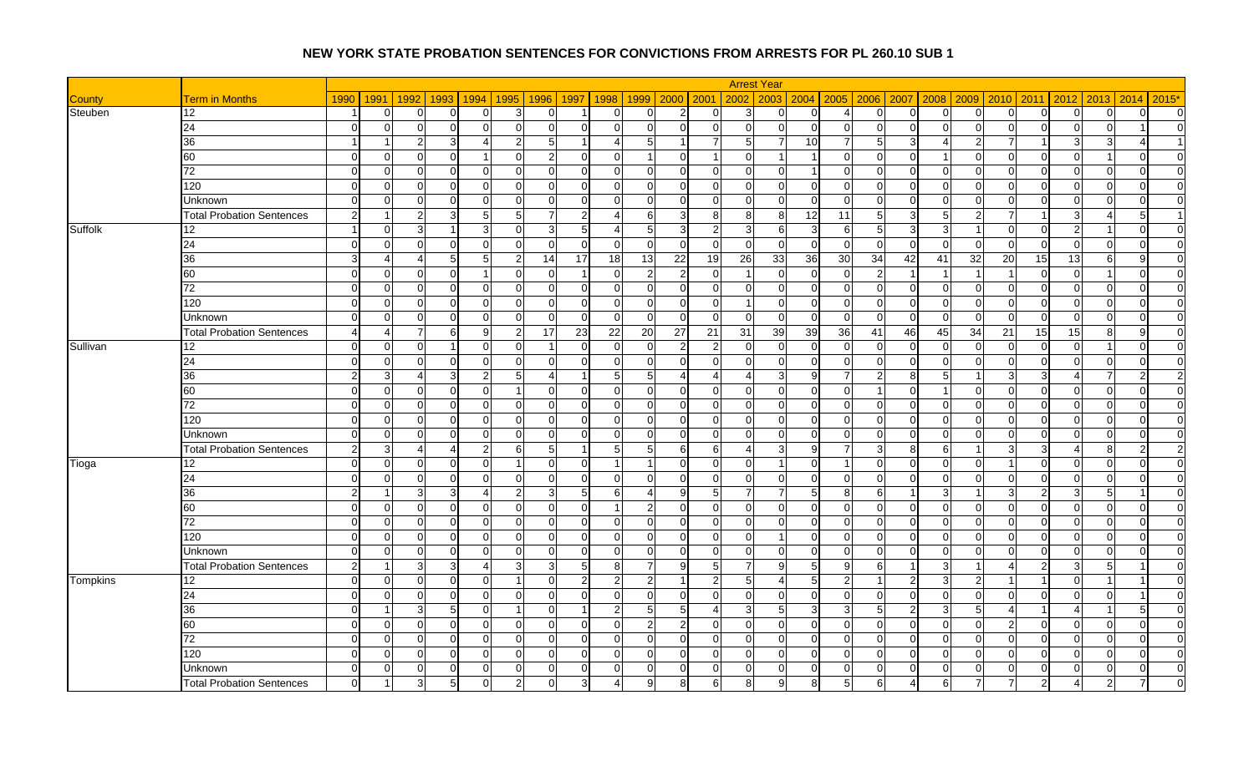|                 |                                  |                      |                |                            |                         |                  |                 |                |                                  |                       |                         | <b>Arrest Year</b>             |                 |                 |                |                            |           |                |                |                         |                            |                                  |
|-----------------|----------------------------------|----------------------|----------------|----------------------------|-------------------------|------------------|-----------------|----------------|----------------------------------|-----------------------|-------------------------|--------------------------------|-----------------|-----------------|----------------|----------------------------|-----------|----------------|----------------|-------------------------|----------------------------|----------------------------------|
| <b>County</b>   | <b>Term in Months</b>            | 1990                 | 1991           | 1992<br>1993               | 1994                    | 1995             | 1996            | 1997<br>1998   | 1999                             | 2000                  | 2001                    | 2002<br>2003                   |                 | 2004 2005 2006  |                | 2007                       | 2008 2009 |                | $2010$ 2011    | $2012$ 2013             | 2014                       | 2015*                            |
| Steuben         | 12                               |                      | $\overline{0}$ | ∩<br>∩                     | $\overline{0}$          | 3                | $\Omega$        |                | 0<br>U                           | $\overline{2}$        | 0                       | 3<br>$\Omega$                  | $\Omega$        |                 | $\Omega$       | $\overline{0}$<br>n        | U         | $\overline{0}$ | $\overline{0}$ | $\overline{0}$          | $\overline{0}$<br>$\Omega$ | $\overline{0}$                   |
|                 | 24                               | $\Omega$             | $\mathbf 0$    | C                          | $\Omega$                | $\overline{0}$   | $\overline{0}$  | $\Omega$       | $\Omega$<br>$\Omega$             | $\Omega$              | $\Omega$                | $\mathbf{0}$<br>$\Omega$       | $\Omega$        | $\overline{0}$  | $\Omega$       | $\overline{0}$<br>$\Omega$ | $\cap$    | $\overline{0}$ | $\overline{0}$ | $\Omega$                | $\overline{0}$             | $\overline{0}$                   |
|                 | 36                               | $\blacktriangleleft$ |                | $\overline{2}$             | Δ                       | $\overline{2}$   | 5 <sub>5</sub>  |                | 5                                | $\vert$ 1             |                         | 5                              | 10 <sup>1</sup> | 7               | 5 <sub>l</sub> | 3                          |           | $\overline{7}$ | -1             | 3 <sub>l</sub>          | 3                          | $\overline{1}$                   |
|                 | 60                               | $\Omega$             | $\Omega$       | C<br>∩                     | $\overline{1}$          | $\Omega$         | $2 \mid$        | $\Omega$       | $\Omega$                         | $\Omega$              |                         | $\mathbf 0$                    |                 | $\overline{0}$  | $\Omega$       | $\overline{0}$<br>-1       | U         | $\overline{0}$ | $\overline{0}$ | $\overline{0}$          | $\Omega$                   | $\overline{0}$                   |
|                 | 72                               | $\Omega$             | $\overline{0}$ | $\Omega$<br>$\Omega$       | $\Omega$                | $\Omega$         | $\Omega$        | $\Omega$       | $\Omega$<br>ΩI                   | $\Omega$              | $\Omega$                | $\Omega$<br>$\Omega$           | $\overline{1}$  | $\Omega$        | $\Omega$       | $\Omega$<br>$\Omega$       | $\Omega$  | $\Omega$       | $\Omega$       | $\Omega$                | $\Omega$<br>$\Omega$       | $\overline{0}$                   |
|                 | 120                              | $\Omega$             | $\Omega$       | C                          | $\overline{0}$          | $\Omega$         | $\overline{0}$  | $\Omega$       | U<br>$\Omega$                    | $\Omega$              | $\Omega$                | $\Omega$<br>$\Omega$           | $\Omega$        | $\overline{0}$  | $\Omega$       | $\Omega$<br>$\Omega$       | $\Omega$  | $\Omega$       | $\Omega$       | $\Omega$                | $\Omega$<br>$\Omega$       | $\overline{0}$                   |
|                 | Unknown                          | $\Omega$             | $\Omega$       | $\Omega$<br>∩              | $\Omega$                | $\Omega$         | $\Omega$        | $\Omega$       | $\Omega$<br>$\Omega$             | $\Omega$              | $\overline{0}$          | $\Omega$<br>$\Omega$           | $\Omega$        | $\Omega$        | $\Omega$       | $\Omega$<br>$\cap$         | ΩI        | $\Omega$       | $\Omega$       | $\Omega$                | $\Omega$<br>$\Omega$       | $\overline{0}$                   |
|                 | <b>Total Probation Sentences</b> | 2                    |                | $\overline{2}$             | $\overline{5}$          | $5 \overline{S}$ | $\overline{7}$  | $\overline{2}$ |                                  | $\overline{3}$        | 8                       | 8<br>8                         | 12              | $\overline{11}$ | 5 <sub>l</sub> | 3<br>5                     |           | $\overline{7}$ |                | 3                       | -5 I                       | $\vert$ 1                        |
| Suffolk         | 12 <sup>°</sup>                  |                      | $\Omega$       | З                          | 3                       | $\Omega$         | $\overline{3}$  | -5             | 5                                | 3                     | $\mathfrak{p}$          | 3<br>6                         | $\mathbf{3}$    | 6               | 5 <sup>1</sup> | 3<br>3                     |           | $\Omega$       | $\Omega$       | 2 <sub>l</sub>          | $\Omega$                   | $\overline{0}$                   |
|                 | 24                               | $\Omega$             | $\overline{0}$ | $\Omega$                   | $\overline{0}$          | $\Omega$         | 0               | $\Omega$       | $\Omega$<br>U                    | $\Omega$              | $\Omega$                | $\Omega$<br>$\Omega$           | $\Omega$        | $\overline{0}$  | $\Omega$       | $\overline{0}$<br>n        | U         | $\overline{0}$ | $\Omega$       | $\Omega$                | $\Omega$<br>$\Omega$       | $\overline{0}$                   |
|                 | 36                               | 3                    | 4              | ∠                          | 5                       | $\overline{2}$   | 14              | 17             | 18<br>13                         | 22                    | 19                      | 33<br>26                       | 36              | 30              | 34             | 42<br>41                   | 32        | 20             | 15             | 13                      | 6<br>$\Omega$              | $\overline{0}$                   |
|                 | 60                               | $\Omega$             | $\overline{0}$ | $\Omega$<br>∩              | $\mathbf 1$             | $\overline{0}$   | $\overline{0}$  |                | $\overline{2}$<br>$\Omega$       | $\overline{2}$        | $\overline{0}$          | $\Omega$<br>$\overline{1}$     | $\Omega$        | $\overline{0}$  | $\overline{2}$ | 1<br>-1                    |           |                | $\overline{0}$ | $\overline{0}$          | $\Omega$                   | $\overline{0}$                   |
|                 | 72                               | $\Omega$             | $\Omega$       | $\sqrt{ }$<br>∩            | $\mathbf 0$             | $\Omega$         | $\mathbf 0$     | $\Omega$       | $\Omega$<br>$\Omega$             | $\Omega$              | $\overline{0}$          | $\mathbf{0}$<br>$\Omega$       | $\Omega$        | $\overline{0}$  | $\Omega$       | $\overline{0}$<br>$\Omega$ | $\Omega$  | $\Omega$       | $\Omega$       | $\overline{0}$          | $\Omega$<br>$\Omega$       | $\overline{0}$                   |
|                 | 120                              | $\Omega$             | $\overline{0}$ | $\Omega$<br>$\Omega$       | $\overline{0}$          | $\Omega$         | $\overline{0}$  | $\overline{0}$ | $\Omega$<br>$\Omega$             | $\Omega$              | $\Omega$                | $\Omega$<br>$\overline{1}$     | $\Omega$        | $\overline{0}$  | $\Omega$       | $\overline{0}$<br>$\Omega$ | $\Omega$  | $\Omega$       | $\Omega$       | $\Omega$                | $\Omega$<br>$\Omega$       | $\overline{0}$                   |
|                 | Unknown                          | $\Omega$             | $\Omega$       |                            | $\Omega$                | $\Omega$         | $\Omega$        | $\Omega$       | $\Omega$<br>$\Omega$             | $\Omega$              | $\Omega$                | $\Omega$<br>$\Omega$           | $\Omega$        | $\overline{0}$  | $\Omega$       | $\mathbf{0}$<br>$\Omega$   | $\Omega$  | $\Omega$       | $\Omega$       | $\mathbf{0}$            | $\Omega$<br>$\Omega$       | $\overline{0}$                   |
|                 | <b>Total Probation Sentences</b> | $\overline{a}$       | 4              | $\overline{7}$<br><b>R</b> | 9                       | $\overline{2}$   | 17              | 23             | 22<br>20                         | 27                    | 21                      | 31<br>39                       | 39              | 36              | 41             | 46<br>45                   | 34        | 21             | 15             | 15                      | 8<br>9I                    | $\overline{0}$                   |
| Sullivan        | 12                               | $\Omega$             | $\Omega$       | C                          | $\Omega$                | $\Omega$         |                 | $\Omega$       | $\Omega$                         | $\overline{2}$        | $\overline{2}$          | $\Omega$<br>$\Omega$           | <sup>0</sup>    | $\Omega$        | $\Omega$       | $\Omega$<br>$\cap$         | O         | $\Omega$       | $\Omega$       | $\Omega$                | $\Omega$                   | $\overline{0}$                   |
|                 | 24                               | $\Omega$             | $\Omega$       | C<br>U                     | $\Omega$                | $\Omega$         | $\Omega$        | $\Omega$       | $\Omega$<br>$\Omega$             | ∩                     | $\Omega$                | $\Omega$<br>$\Omega$           | $\Omega$        | $\Omega$        | $\Omega$       | $\Omega$<br>n              | $\Omega$  | $\Omega$       | $\Omega$       | $\Omega$                | $\Omega$<br>$\Omega$       | $\overline{0}$                   |
|                 | 36                               | 2                    | $\overline{3}$ | 3<br>$\boldsymbol{\Delta}$ | $\overline{2}$          | 5 <sub>l</sub>   | $\overline{4}$  |                | 5 <sup>1</sup><br>$5 \,$         | $\boldsymbol{\Delta}$ | 4                       | $\overline{4}$<br>3            | 9               | 7               | $\overline{2}$ | $8 \,$<br>5                |           | $\mathbf{3}$   | 3              | $\overline{4}$          | 7                          | $\overline{2}$<br>$\overline{2}$ |
|                 | 60                               | $\Omega$             | $\Omega$       | C                          | $\Omega$                |                  | $\overline{0}$  | $\Omega$       | U<br>$\Omega$                    | $\Omega$              | $\Omega$                | $\Omega$<br>$\Omega$           | $\Omega$        | $\overline{0}$  | $\overline{1}$ | $\Omega$<br>-1             | U         | $\Omega$       | $\Omega$       | $\Omega$                | $\Omega$                   | $\overline{0}$<br>ΩI             |
|                 | 72                               | $\Omega$             | $\overline{0}$ | $\Omega$<br>∩              | $\overline{0}$          | $\overline{0}$   | $\overline{0}$  | $\overline{0}$ | $\Omega$<br>$\Omega$             | $\Omega$              | $\overline{0}$          | $\mathbf 0$<br>$\Omega$        | $\Omega$        | $\overline{0}$  | $\Omega$       | $\overline{0}$<br>$\Omega$ | $\Omega$  | $\overline{0}$ | $\overline{0}$ | $\overline{0}$          | $\overline{0}$             | $\overline{0}$<br>$\Omega$       |
|                 | 120                              | $\Omega$             | $\Omega$       | $\sqrt{ }$                 | $\mathbf 0$             | $\Omega$         | $\mathbf 0$     | $\Omega$       | $\Omega$<br>$\Omega$             | $\Omega$              | $\Omega$                | $\Omega$<br>$\Omega$           | $\Omega$        | $\overline{0}$  | $\Omega$       | $\Omega$<br>$\Omega$       | $\Omega$  | $\Omega$       | $\Omega$       | $\Omega$                | $\Omega$<br>$\Omega$       | $\Omega$                         |
|                 | Unknown                          | $\Omega$             | $\overline{0}$ | $\Omega$<br>$\Omega$       | $\Omega$                | $\Omega$         | $\overline{0}$  | $\Omega$       | $\Omega$<br>$\Omega$             | $\Omega$              | $\Omega$                | $\Omega$<br>$\Omega$           | $\Omega$        | $\Omega$        | $\Omega$       | $\overline{0}$<br>$\Omega$ | $\Omega$  | $\Omega$       | $\Omega$       | $\Omega$                | $\Omega$<br>$\Omega$       | $\overline{0}$                   |
|                 | <b>Total Probation Sentences</b> | $\overline{2}$       | 3              |                            | $\overline{2}$          | 6                | $5\overline{)}$ |                | 5 <sub>l</sub><br>5              | 6                     | $6 \mid$                | $\overline{4}$                 | $9 \square$     |                 | 3              | 8<br>6                     |           | 3              | 3              | $\overline{\mathbf{4}}$ | 8<br>2                     | 2                                |
| Tioga           | 12                               | $\Omega$             | $\mathbf 0$    | $\Omega$<br>U              | $\mathbf 0$             |                  | $\overline{0}$  | $\Omega$       |                                  | $\Omega$              | $\Omega$                | $\Omega$                       | $\Omega$        |                 | $\Omega$       | $\Omega$<br>$\Omega$       | $\Omega$  |                | $\overline{0}$ | $\Omega$                | $\Omega$<br>$\Omega$       | $\overline{0}$                   |
|                 | $\overline{24}$                  | 0                    | 0              | 0                          | 0                       | $\overline{0}$   | $\overline{0}$  | $\mathbf 0$    | U<br>O                           | 0                     | $\overline{0}$          | $\mathbf 0$<br>$\Omega$        | $\Omega$        | $\overline{0}$  | $\overline{0}$ | $\overline{0}$<br>$\Omega$ | U         | $\mathbf 0$    | $\overline{0}$ | $\overline{0}$          | $\mathbf 0$<br>$\Omega$    | $\overline{0}$                   |
|                 | 36                               | 2                    | -1             | Э<br>っ                     | $\boldsymbol{\Lambda}$  | $\mathcal{D}$    | $\overline{3}$  | 5              | 6                                | q                     | 5 <sup>1</sup>          | $\overline{7}$                 | 5 <sup>1</sup>  | 8               | $6 \mid$       | 3                          |           | 3              | $\mathcal{P}$  | $\overline{3}$          | 5                          | $\overline{0}$                   |
|                 | 60                               | $\Omega$             | $\overline{0}$ | $\Omega$<br>U              | $\overline{0}$          | $\overline{0}$   | $\overline{0}$  | $\overline{0}$ | $\overline{2}$<br>$\overline{1}$ | $\Omega$              | $\overline{0}$          | $\mathbf{0}$<br>$\Omega$       | $\Omega$        | $\overline{0}$  | $\overline{0}$ | $\overline{0}$<br>$\Omega$ | $\Omega$  | $\overline{0}$ | $\overline{0}$ | $\overline{0}$          | $\overline{0}$<br>$\Omega$ | $\overline{0}$                   |
|                 | 72                               | $\Omega$             | $\Omega$       | C                          | $\Omega$                | $\Omega$         | $\Omega$        | $\Omega$       | n<br>U                           | $\Omega$              | $\Omega$                | $\Omega$<br>$\Omega$           | $\Omega$        | $\overline{0}$  | $\Omega$       | $\Omega$<br>$\cap$         | $\Omega$  | $\Omega$       | $\Omega$       | $\Omega$                | $\Omega$<br>$\Omega$       | $\overline{0}$                   |
|                 | 120                              | $\Omega$             | $\overline{0}$ | $\Omega$<br>U              | $\overline{0}$          | $\Omega$         | $\Omega$        | $\Omega$       | $\Omega$<br>$\Omega$             | $\Omega$              | $\Omega$                | $\Omega$                       | $\Omega$        | $\overline{0}$  | $\Omega$       | $\Omega$<br>$\Omega$       | $\Omega$  | $\Omega$       | $\Omega$       | $\Omega$                | $\Omega$<br>$\Omega$       | $\Omega$                         |
|                 | Unknown                          | $\Omega$             | $\Omega$       | $\sqrt{ }$                 | $\Omega$                | $\Omega$         | $\Omega$        | $\Omega$       | $\cap$<br>$\Omega$               | $\Omega$              | $\Omega$                | $\Omega$<br>$\Omega$           | $\Omega$        | $\Omega$        | $\Omega$       | $\Omega$<br>$\cap$         | ∩         | $\Omega$       | $\Omega$       | $\Omega$                | $\Omega$<br>$\Omega$       | $\overline{0}$                   |
|                 | <b>Total Probation Sentences</b> | $\mathcal{P}$        | $\overline{1}$ | 3<br>$\mathcal{R}$         | $\overline{\mathbf{A}}$ | 3                | $\mathbf{3}$    | 5              | 81<br>7                          | 9                     | 5 <sub>l</sub>          | $\overline{7}$<br>$\mathbf{Q}$ | .5I             | 9I              | 6              | 3<br>-1                    |           | $\overline{4}$ | $\overline{2}$ | $\mathbf{3}$            | .5                         | $\overline{0}$                   |
| <b>Tompkins</b> | 12                               | $\Omega$             | $\Omega$       | C<br>∩                     | 0                       |                  | $\Omega$        | $\overline{2}$ | 2<br>2                           | $\mathbf{1}$          | $\mathbf{2}$            | 5                              | 5 <sub>l</sub>  | $\overline{2}$  | -1             | $\overline{c}$<br>3        | 2         |                |                | $\Omega$                |                            | $\overline{0}$                   |
|                 | 24                               | $\Omega$             | $\mathbf 0$    | $\Omega$<br>U              | 0                       | $\Omega$         | $\Omega$        | $\Omega$       | $\Omega$<br>$\Omega$             | $\Omega$              | $\Omega$                | $\Omega$<br>$\Omega$           | $\Omega$        | $\overline{0}$  | $\Omega$       | $\Omega$<br>$\Omega$       | $\Omega$  | $\Omega$       | $\Omega$       | $\Omega$                | $\Omega$                   | $\overline{0}$                   |
|                 | 36                               | $\Omega$             |                | 3<br>5                     | 0                       |                  | 0               |                | 5<br>2                           | $5\overline{)}$       | $\overline{\mathbf{4}}$ | 3<br>5                         | 3 <sup>l</sup>  | 3               | $5 \vert$      | $\overline{2}$<br>3        | 5         | $\overline{4}$ |                | 4                       | $5 \,$                     | $\overline{0}$                   |
|                 | 60                               | $\Omega$             | $\Omega$       | $\sqrt{ }$<br>∩            | $\Omega$                | $\Omega$         | $\overline{0}$  | $\Omega$       | $\Omega$<br>$\mathcal{D}$        | $\mathfrak{p}$        | $\Omega$                | $\Omega$<br>$\Omega$           | $\Omega$        | $\Omega$        | $\Omega$       | $\Omega$<br>$\cap$         | $\cap$    | 2              | $\Omega$       | $\Omega$                | $\Omega$<br>$\Omega$       | $\overline{0}$                   |
|                 | $\overline{72}$                  | $\Omega$             | $\overline{0}$ | $\Omega$<br>∩              | $\overline{0}$          | $\Omega$         | $\overline{0}$  | $\Omega$       | $\Omega$<br>$\Omega$             | $\Omega$              | $\Omega$                | $\mathbf{0}$<br>$\Omega$       | $\Omega$        | $\overline{0}$  | $\Omega$       | $\overline{0}$<br>$\cap$   | $\Omega$  | $\Omega$       | $\overline{0}$ | $\overline{0}$          | $\Omega$                   | $\overline{0}$<br>$\overline{0}$ |
|                 | 120                              | $\Omega$             | $\Omega$       |                            | $\Omega$                | $\Omega$         | $\Omega$        | $\Omega$       |                                  | $\Omega$              | $\Omega$                | $\Omega$<br>$\Omega$           |                 | $\overline{0}$  | $\Omega$       | $\overline{0}$<br>$\cap$   | U         | $\Omega$       | $\Omega$       | $\Omega$                | $\Omega$<br>$\Omega$       | $\overline{0}$                   |
|                 | Unknown                          | $\Omega$             | $\overline{0}$ | $\Omega$                   | $\mathbf 0$             | $\overline{0}$   | $\overline{0}$  | $\overline{0}$ | 0<br>O                           | $\mathbf 0$           | $\overline{0}$          | $\mathbf 0$<br>$\Omega$        | $\Omega$        | $\overline{0}$  | $\overline{0}$ | $\overline{0}$<br>$\Omega$ | $\Omega$  | $\mathbf 0$    | $\overline{0}$ | $\overline{0}$          | $\overline{0}$             | $\overline{0}$<br>$\Omega$       |
|                 | <b>Total Probation Sentences</b> | $\Omega$             |                | 5                          |                         | 2                | 0               | 3              | g                                | 8                     | 6                       | 8                              | 8               | 5               | 6              | 6                          |           |                |                | 4                       |                            | $\Omega$                         |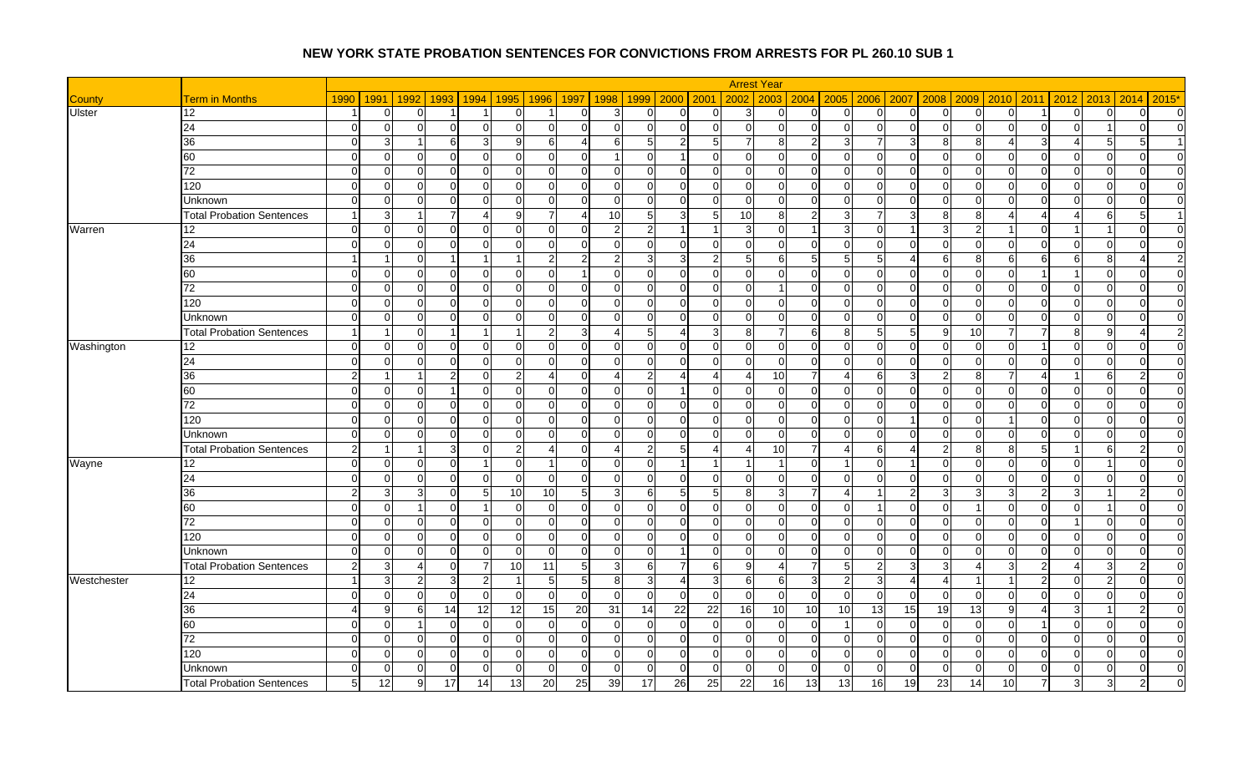|               |                                  |                |                |                            |                      |                 |                         |                            |               |                       |                 | <b>Arrest Year</b>         |                 |                            |                |                                         |                |                |                         |                            |              |                |
|---------------|----------------------------------|----------------|----------------|----------------------------|----------------------|-----------------|-------------------------|----------------------------|---------------|-----------------------|-----------------|----------------------------|-----------------|----------------------------|----------------|-----------------------------------------|----------------|----------------|-------------------------|----------------------------|--------------|----------------|
| <b>County</b> | <b>Term in Months</b>            | 1990           | 1991           | 1992<br>1993               | 1994                 | 1995            | 1996                    | 1997<br>1998               | 1999          | 2000                  | 2001            | 2002<br>2003               |                 | $2004$ 2005                | 2006 2007      | 2008                                    | 2009           | 2010           | 2011                    | 2012<br>2013               | 2014         | $2015*$        |
| <b>Ulster</b> | 12                               |                | $\overline{0}$ | C                          |                      | $\overline{0}$  |                         | $\Omega$<br>З              | 0             | 0                     | 0               | 3<br>$\Omega$              | U               | $\overline{0}$             | $\overline{0}$ | $\mathbf 0$<br>$\Omega$                 |                | 0              |                         | $\Omega$<br>$\Omega$       | $\Omega$     | $\overline{0}$ |
|               | 24                               | $\Omega$       | $\overline{0}$ | $\sqrt{ }$                 | $\Omega$             | $\Omega$        | $\overline{0}$          | $\Omega$<br>∩              | $\Omega$      | $\Omega$              | $\Omega$        | $\Omega$<br>$\Omega$       | $\Omega$        | $\overline{0}$             | $\overline{0}$ | $\overline{0}$<br>$\Omega$              | $\Omega$       | $\Omega$       | $\mathbf 0$             | ∩                          | $\Omega$     | $\Omega$       |
|               | 36                               | $\Omega$       | $\mathbf{3}$   | ี                          | 3                    | 9               | 6                       | 61<br>⊿                    | 5             | $\overline{2}$        | 5 <sub>l</sub>  | $\overline{7}$<br>8        | 2 <sub>l</sub>  | 3                          | $\overline{7}$ | 3<br>8                                  | R              |                | 3                       | Δ<br>-5                    |              |                |
|               | 60                               | $\Omega$       | $\overline{0}$ | $\Omega$                   | $\Omega$             | $\Omega$        | $\mathbf 0$             | $\Omega$                   | $\Omega$      | $\blacktriangleleft$  | $\Omega$        | $\mathbf 0$<br>$\Omega$    | $\Omega$        | $\overline{0}$             | $\overline{0}$ | $\overline{0}$<br>$\Omega$              |                | $\Omega$       | $\mathbf 0$             | $\Omega$<br>$\Omega$       | $\Omega$     | $\Omega$       |
|               | 72                               | $\Omega$       | $\overline{0}$ | $\Omega$<br>$\Omega$       | $\mathbf 0$          | $\Omega$        | $\overline{0}$          | $\overline{0}$<br>$\Omega$ | $\Omega$      | $\Omega$              | $\Omega$        | $\overline{0}$<br>$\Omega$ | $\Omega$        | $\overline{0}$             | $\Omega$       | $\overline{0}$<br>$\Omega$              | $\overline{0}$ | $\overline{0}$ | $\Omega$                | $\Omega$<br>$\Omega$       | $\Omega$     | $\overline{0}$ |
|               | 120                              | $\Omega$       | $\overline{0}$ | $\Omega$                   | $\Omega$             | $\Omega$        | $\mathbf 0$             | $\Omega$<br>U              | $\Omega$      | $\Omega$              | $\Omega$        | $\mathbf{0}$<br>$\Omega$   | $\Omega$        | $\overline{0}$             | $\overline{0}$ | $\mathbf{0}$<br>$\Omega$                | ∩              | $\overline{0}$ | $\mathbf{0}$            | $\Omega$<br>$\Omega$       | $\Omega$     | $\overline{0}$ |
|               | Unknown                          | $\Omega$       | $\overline{0}$ | $\Omega$<br>∩              | $\Omega$             | $\Omega$        | $\Omega$                | $\Omega$<br>$\Omega$       | $\Omega$      | $\Omega$              | $\Omega$        | $\Omega$<br>$\Omega$       | $\Omega$        | $\Omega$                   | $\Omega$       | $\Omega$<br>$\Omega$                    | $\Omega$       | $\Omega$       | $\Omega$                | $\Omega$<br>$\Omega$       | $\Omega$     | $\Omega$       |
|               | <b>Total Probation Sentences</b> |                | $\mathbf{3}$   |                            |                      | g               | $\overline{7}$          | 10<br>⊿                    |               | 3 <sup>1</sup>        | 5               | 10<br>8                    | 2 <sub>l</sub>  | 3                          | $\overline{7}$ | 3<br>8                                  | 8              |                | $\Delta$                | $\overline{4}$<br>6        | 5            |                |
| Warren        | 12                               | $\Omega$       | $\overline{0}$ | $\Omega$<br>∩              | $\Omega$             | $\Omega$        | $\Omega$                | $\Omega$<br>2              | $\mathcal{P}$ | $\overline{1}$        |                 | 3<br>$\Omega$              | 1               | 3                          | $\Omega$       | 3                                       | っ              |                | $\Omega$                |                            | $\Omega$     | $\Omega$       |
|               | 24                               | $\Omega$       | $\overline{0}$ | $\Omega$                   | $\Omega$             | $\Omega$        | 0                       | $\Omega$<br>U              | <sup>O</sup>  | ∩                     | $\Omega$        | $\Omega$<br>$\Omega$       | 0               | $\Omega$                   | $\Omega$       | $\mathbf 0$<br>$\Omega$                 |                | <sup>O</sup>   | $\Omega$                | $\Omega$<br>$\Omega$       | $\Omega$     | $\overline{0}$ |
|               | 36                               |                |                | $\sqrt{ }$                 |                      |                 | $\overline{2}$          | 2<br>2                     |               | 3                     | 2               | 5<br>6                     | 5 <sub>l</sub>  | 5                          | 5              | $\boldsymbol{\Delta}$<br>6              | Զ              | 6              | 6                       | 6<br>8                     |              | $\overline{2}$ |
|               | 60                               | $\Omega$       | $\overline{0}$ | $\Omega$                   | 0                    | $\Omega$        | 0                       | $\Omega$                   | <sup>O</sup>  | $\Omega$              | $\Omega$        | $\Omega$<br>$\Omega$       | $\Omega$        | $\mathbf 0$                | $\overline{0}$ | $\overline{0}$<br>$\Omega$              | $\Omega$       | <sup>O</sup>   | -1                      | $\mathbf 0$                | $\Omega$     | $\Omega$       |
|               | 72                               | $\Omega$       | $\overline{0}$ | $\sqrt{ }$                 | $\Omega$             | $\Omega$        | $\mathbf 0$             | $\Omega$<br>U              | $\Omega$      | $\Omega$              | $\Omega$        | $\Omega$                   | $\Omega$        | $\overline{0}$             | $\Omega$       | $\mathbf 0$<br>$\Omega$                 | ∩              | $\Omega$       | $\Omega$                | $\Omega$<br>$\Omega$       | $\Omega$     | $\Omega$       |
|               | 120                              | $\Omega$       | $\overline{0}$ | $\Omega$<br>∩              | $\Omega$             | $\Omega$        | $\overline{0}$          | $\Omega$<br>$\Omega$       | $\Omega$      | $\Omega$              | $\Omega$        | $\Omega$<br>$\Omega$       | $\Omega$        | $\Omega$                   | $\Omega$       | $\Omega$<br>$\Omega$                    | $\Omega$       | $\Omega$       | $\Omega$                | $\Omega$<br>$\Omega$       | $\Omega$     | $\Omega$       |
|               | <b>Unknown</b>                   |                | $\overline{0}$ | $\sqrt{ }$                 | $\Omega$             | $\Omega$        | $\Omega$                | $\Omega$                   | $\Omega$      | $\Omega$              | $\Omega$        | $\Omega$<br>$\Omega$       | $\Omega$        | $\overline{0}$             | $\Omega$       | $\Omega$<br>$\mathcal{C}$               | $\Omega$       | $\Omega$       | $\Omega$                | $\Omega$<br>$\Omega$       | $\Omega$     | $\Omega$       |
|               | <b>Total Probation Sentences</b> |                | -1             | $\Omega$                   | $\blacktriangleleft$ |                 | $\mathbf{2}$            | 3<br>Δ                     | 5             | $\boldsymbol{\Delta}$ | $\overline{3}$  | 8                          | 6               | 8                          | $5 \vert$      | 5<br>-9                                 | 10             |                | $\overline{7}$          | 8 <sup>1</sup><br>9        | Δ            | $\overline{2}$ |
| Washington    | 12                               | $\Omega$       | $\overline{0}$ | $\Omega$                   | $\mathbf 0$          | $\Omega$        | $\overline{0}$          | $\Omega$<br>U              | $\Omega$      | $\Omega$              | $\Omega$        | $\mathbf 0$<br>$\Omega$    | $\Omega$        | $\overline{0}$             | $\overline{0}$ | $\mathbf 0$<br>$\mathcal{C}$            |                | $\Omega$       |                         | $\Omega$<br>$\mathbf 0$    | $\Omega$     | $\overline{0}$ |
|               | 24                               | $\Omega$       | $\overline{0}$ | $\Omega$<br>∩              | $\Omega$             | $\Omega$        | 0                       | $\Omega$<br>$\Omega$       | $\Omega$      | ∩                     | $\Omega$        | $\mathbf 0$<br>$\Omega$    | $\Omega$        | $\Omega$                   | $\Omega$       | $\overline{0}$<br>$\Omega$              | $\Omega$       | $\Omega$       | $\Omega$                | $\Omega$<br>$\Omega$       | $\Omega$     | $\Omega$       |
|               | 36                               | $\overline{2}$ | -1             |                            | $\mathbf 0$          | 2               | $\overline{\mathbf{4}}$ | $\Omega$<br>Δ              |               | Δ                     |                 | 10<br>$\overline{4}$       | 7               |                            | 6              | 3<br>$\overline{2}$                     | 8              |                | $\Delta$                | 6                          |              | $\overline{0}$ |
|               | 60                               | $\Omega$       | $\overline{0}$ | $\Omega$                   | $\Omega$             | $\Omega$        | 0                       | $\Omega$<br>n              | $\Omega$      |                       | $\Omega$        | $\mathbf 0$<br>$\Omega$    | U               | $\overline{0}$             | $\Omega$       | $\mathbf 0$<br>∩                        |                | $\Omega$       | $\mathbf 0$             | $\Omega$<br>$\Omega$       | $\Omega$     | $\overline{0}$ |
|               | 72                               | $\Omega$       | $\overline{0}$ | $\Omega$                   | 0                    | $\overline{0}$  | 0                       | $\Omega$<br>O              | 0             | $\Omega$              | $\overline{0}$  | $\mathbf 0$<br>$\Omega$    | $\Omega$        | $\overline{0}$             | $\overline{0}$ | $\overline{0}$<br>$\Omega$              | ∩              | $\Omega$       | $\overline{0}$          | $\Omega$<br>$\mathbf 0$    | $\Omega$     | $\overline{0}$ |
|               | 120                              | $\Omega$       | $\overline{0}$ | $\sqrt{ }$                 | $\Omega$             | $\Omega$        | $\Omega$                | $\Omega$<br>$\cap$         | $\Omega$      | $\Omega$              | $\Omega$        | $\Omega$<br>$\Omega$       | $\Omega$        | $\overline{0}$             | $\Omega$       | $\Omega$                                | $\Omega$       |                | $\Omega$                | $\Omega$<br>$\Omega$       | $\Omega$     | $\Omega$       |
|               | Unknown                          | $\Omega$       | $\overline{0}$ | $\Omega$<br>∩              | $\Omega$             | $\Omega$        | $\Omega$                | $\Omega$<br>$\Omega$       | $\Omega$      | $\Omega$              | $\Omega$        | $\Omega$<br>$\Omega$       | $\Omega$        | $\Omega$                   | $\Omega$       | $\Omega$<br>$\Omega$                    | $\Omega$       | $\Omega$       | $\Omega$                | $\Omega$<br>$\Omega$       | $\Omega$     | $\Omega$       |
|               | <b>Total Probation Sentences</b> | $\mathcal{P}$  |                | 3                          | $\Omega$             | $\overline{2}$  | $\boldsymbol{\Delta}$   | $\Omega$                   |               | 5                     |                 | 10<br>$\overline{a}$       | 7               |                            | 6              | $\overline{2}$<br>Δ                     | 8              | 8              | 5                       | 6                          |              | $\Omega$       |
| Wayne         | 12                               | $\Omega$       | $\overline{0}$ | $\Omega$<br>∩              | -1                   | $\Omega$        | $\overline{1}$          | $\Omega$<br>$\Omega$       | $\Omega$      | $\overline{1}$        |                 | $\mathbf 1$                | $\Omega$        |                            | $\Omega$       | $\Omega$<br>-1                          | $\Omega$       | $\Omega$       | $\overline{0}$          | $\Omega$<br>-1             | $\Omega$     | $\overline{0}$ |
|               | 24                               | $\Omega$       | $\overline{0}$ | C                          | $\Omega$             | $\Omega$        | $\Omega$                | $\Omega$<br>n              |               | $\Omega$              | $\Omega$        | $\Omega$<br>$\Omega$       | $\Omega$        | $\Omega$                   | $\Omega$       | $\Omega$<br>$\Omega$                    |                | $\Omega$       | $\Omega$                | $\Omega$                   | $\Omega$     | $\overline{0}$ |
|               | 36                               | 2              | $\overline{3}$ | З<br>∩                     | 5                    | 10              | 10 <sup>1</sup>         | 5<br>31                    | 6             | 5                     | 5 <sup>1</sup>  | 8<br>્વ                    | $\overline{7}$  |                            | $\overline{1}$ | $\overline{2}$<br>3                     | ੨              | 3              | $\overline{2}$          | 3<br>-1                    | 2            | $\overline{0}$ |
|               | 60                               | $\Omega$       | $\overline{0}$ |                            |                      | $\Omega$        | $\Omega$                | $\Omega$<br>U              | $\Omega$      | $\Omega$              | $\Omega$        | $\Omega$<br>$\Omega$       | ΩI              | $\Omega$                   |                | $\mathbf 0$<br>$\Omega$                 |                | $\Omega$       | $\Omega$                | $\Omega$                   | $\Omega$     | $\overline{0}$ |
|               | 72                               | $\Omega$       | $\overline{0}$ | $\Omega$                   | $\Omega$             | $\Omega$        | 0                       | $\Omega$<br>U              | ∩             | ∩                     | $\Omega$        | $\Omega$<br>$\Omega$       | ∩               | $\Omega$                   | $\Omega$       | $\mathbf{0}$<br>∩                       | ∩              | <sup>O</sup>   | $\overline{0}$          | - 0                        | $\Omega$     | $\Omega$       |
|               | 120                              | $\Omega$       | $\overline{0}$ | $\Omega$                   | 0                    | $\overline{0}$  | 0                       | $\Omega$<br>$\Omega$       | <sup>O</sup>  | $\Omega$              | $\Omega$        | $\overline{0}$<br>$\Omega$ | 0               | $\overline{0}$             | $\overline{0}$ | $\overline{0}$<br>$\Omega$              | $\Omega$       | <sup>O</sup>   | $\overline{0}$          | $\Omega$<br>$\Omega$       | <sup>O</sup> | $\overline{0}$ |
|               | <b>Unknown</b>                   | $\Omega$       | $\overline{0}$ | $\Omega$                   | $\Omega$             | $\Omega$        | $\overline{0}$          | $\Omega$<br>$\Omega$       | $\Omega$      | $\overline{1}$        | $\Omega$        | $\Omega$<br>$\Omega$       | $\Omega$        | $\Omega$                   | $\Omega$       | $\mathbf 0$<br>$\Omega$                 | $\Omega$       | $\Omega$       | $\Omega$                | $\Omega$<br>$\Omega$       | $\Omega$     | $\Omega$       |
|               | <b>Total Probation Sentences</b> | っ              | $\mathbf{3}$   | $\Omega$<br>$\overline{4}$ | $\overline{7}$       | 10 <sup>1</sup> | 11                      | 5<br>$\overline{3}$        | 6             | $\overline{7}$        | $6 \mid$        | 9<br>4                     | $\overline{7}$  | $5 \overline{\phantom{0}}$ | $\overline{2}$ | 3<br>3                                  |                | 3              | $\overline{2}$          | 3<br>4                     | 2            | $\overline{0}$ |
| Westchester   | 12                               |                | $\mathbf{3}$   | $\overline{2}$<br>3        | $\overline{2}$       |                 | $5\overline{)}$         | 5<br>8                     | $\mathbf{3}$  | 4                     | 3               | 6<br>6                     | 3 <sub>l</sub>  | $2 \vert$                  | $\mathbf{3}$   | $\overline{4}$<br>$\boldsymbol{\Delta}$ |                |                | $\overline{2}$          | $\Omega$<br>$\overline{2}$ | $\Omega$     | $\overline{0}$ |
|               | 24                               | $\Omega$       | $\overline{0}$ | $\Omega$<br>$\cap$         | $\Omega$             | $\Omega$        | $\overline{0}$          | $\overline{0}$<br>$\Omega$ | $\Omega$      | $\Omega$              | $\Omega$        | $\overline{0}$<br>$\Omega$ | $\Omega$        | $\overline{0}$             | $\overline{0}$ | $\Omega$<br>$\Omega$                    | $\Omega$       | $\Omega$       | $\overline{0}$          | $\Omega$<br>$\Omega$       | $\Omega$     | $\overline{0}$ |
|               | 36                               |                | 9              | 14<br>6                    | 12                   | 12              | 15                      | 20<br>31                   | 14            | $\overline{22}$       | $\overline{22}$ | $\overline{16}$<br>10      | 10 <sup>1</sup> | 10                         | 13             | 15<br>19                                | 13             | g              | Δ                       | 3                          |              | $\overline{0}$ |
|               | 60                               | $\Omega$       | $\overline{0}$ | -1<br>∩                    | $\mathbf 0$          | $\Omega$        | $\overline{0}$          | $\Omega$<br>$\Omega$       | $\Omega$      | $\Omega$              | $\Omega$        | $\overline{0}$<br>$\Omega$ | $\Omega$        |                            | $\Omega$       | $\Omega$<br>$\Omega$                    | $\Omega$       | $\Omega$       | $\overline{\mathbf{1}}$ | $\Omega$<br>$\Omega$       | $\Omega$     | $\overline{0}$ |
|               | $\overline{72}$                  |                | $\overline{0}$ | C                          | $\Omega$             | $\Omega$        | $\overline{0}$          | $\Omega$                   | $\Omega$      | $\Omega$              | $\Omega$        | $\mathbf 0$<br>$\Omega$    | $\Omega$        | $\Omega$                   | $\overline{0}$ | $\mathbf 0$<br>C                        |                | $\Omega$       | $\Omega$                | $\Omega$<br>0              | $\Omega$     | $\overline{0}$ |
|               | 120                              | $\Omega$       | $\overline{0}$ | $\Omega$                   | $\Omega$             | $\Omega$        | $\Omega$                | $\Omega$<br>U              | ∩             | ∩                     | $\Omega$        | $\mathbf 0$<br>$\Omega$    | U               | $\Omega$                   | $\overline{0}$ | $\mathbf 0$<br>C                        |                | O              | $\mathbf 0$             | $\Omega$<br>$\Omega$       | $\Omega$     | $\overline{0}$ |
|               | Unknown                          | $\Omega$       | $\overline{0}$ | $\Omega$                   | $\Omega$             | $\Omega$        | $\overline{0}$          | $\Omega$<br>$\Omega$       | $\Omega$      | $\Omega$              | $\Omega$        | $\Omega$<br>$\Omega$       | $\Omega$        | $\Omega$                   | $\Omega$       | $\overline{0}$<br>$\Omega$              | $\Omega$       | <sup>O</sup>   | $\Omega$                | $\Omega$<br>0              | <sup>O</sup> | $\overline{0}$ |
|               | <b>Total Probation Sentences</b> |                | 12             | ō<br>17                    | 14                   | 13              | 20                      | $\overline{25}$<br>39      | 17            | $\overline{26}$       | $\overline{25}$ | $\overline{22}$<br>16      | 13 <sup>l</sup> | $\overline{13}$            | 16             | 19<br>$\overline{23}$                   | 14             | 10             |                         |                            |              | $\Omega$       |